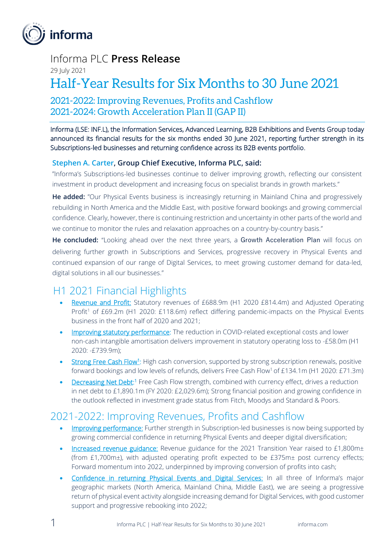

## Informa PLC **Press Release**

29 July 2021

# Half-Year Results for Six Months to 30 June 2021

## 2021-2022: Improving Revenues, Profits and Cashflow 2021-2024: Growth Acceleration Plan II (GAP II)

Informa (LSE: INF.L), the Information Services, Advanced Learning, B2B Exhibitions and Events Group today announced its financial results for the six months ended 30 June 2021, reporting further strength in its Subscriptions-led businesses and returning confidence across its B2B events portfolio.

## **Stephen A. Carter, Group Chief Executive, Informa PLC, said:**

"Informa's Subscriptions-led businesses continue to deliver improving growth, reflecting our consistent investment in product development and increasing focus on specialist brands in growth markets."

**He added:** "Our Physical Events business is increasingly returning in Mainland China and progressively rebuilding in North America and the Middle East, with positive forward bookings and growing commercial confidence. Clearly, however, there is continuing restriction and uncertainty in other parts of the world and we continue to monitor the rules and relaxation approaches on a country-by-country basis."

**He concluded:** "Looking ahead over the next three years, a Growth Acceleration Plan will focus on delivering further growth in Subscriptions and Services, progressive recovery in Physical Events and continued expansion of our range of Digital Services, to meet growing customer demand for data-led, digital solutions in all our businesses."

## H1 2021 Financial Highlights

- Revenue and Profit: Statutory revenues of £688.9m (H1 2020 £814.4m) and Adjusted Operating Profit<sup>1</sup> of £69.2m (H1 2020: £118.6m) reflect differing pandemic-impacts on the Physical Events business in the front half of 2020 and 2021;
- Improving statutory performance: The reduction in COVID-related exceptional costs and lower non-cash intangible amortisation delivers improvement in statutory operating loss to -£58.0m (H1 2020: -£739.9m);
- Strong Free Cash Flow<sup>1</sup>: High cash conversion, supported by strong subscription renewals, positive forward bookings and low levels of refunds, delivers Free Cash Flow<sup>1</sup> of £134.1m (H1 2020: £71.3m)
- Decreasing Net Debt:<sup>1</sup> Free Cash Flow strength, combined with currency effect, drives a reduction in net debt to £1,890.1m (FY 2020: £2,029.6m); Strong financial position and growing confidence in the outlook reflected in investment grade status from Fitch, Moodys and Standard & Poors.

## 2021-2022: Improving Revenues, Profits and Cashflow

- Improving performance: Further strength in Subscription-led businesses is now being supported by growing commercial confidence in returning Physical Events and deeper digital diversification;
- Increased revenue guidance: Revenue guidance for the 2021 Transition Year raised to £1,800m± (from £1,700m±), with adjusted operating profit expected to be £375m± post currency effects; Forward momentum into 2022, underpinned by improving conversion of profits into cash;
- Confidence in returning Physical Events and Digital Services: In all three of Informa's major geographic markets (North America, Mainland China, Middle East), we are seeing a progressive return of physical event activity alongside increasing demand for Digital Services, with good customer support and progressive rebooking into 2022;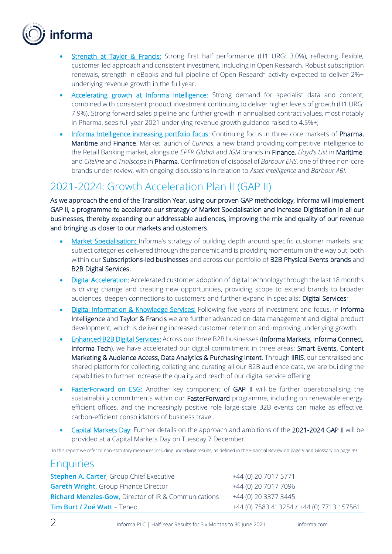

- **Strength at Taylor & Francis:** Strong first half performance (H1 URG: 3.0%), reflecting flexible, customer-led approach and consistent investment, including in Open Research. Robust subscription renewals, strength in eBooks and full pipeline of Open Research activity expected to deliver 2%+ underlying revenue growth in the full year;
- Accelerating growth at Informa Intelligence: Strong demand for specialist data and content, combined with consistent product investment continuing to deliver higher levels of growth (H1 URG: 7.9%). Strong forward sales pipeline and further growth in annualised contract values, most notably in Pharma, sees full year 2021 underlying revenue growth guidance raised to 4.5%+;
- Informa Intelligence increasing portfolio focus: Continuing focus in three core markets of Pharma, Maritime and Finance. Market launch of *Curinos*, a new brand providing competitive intelligence to the Retail Banking market, alongside *EPFR Global* and *IGM* brands in Finance, *Lloyd's List* in Maritime, and *Citeline* and *Trialscope* in Pharma. Confirmation of disposal of *Barbour EHS*, one of three non-core brands under review, with ongoing discussions in relation to *Asset Intelligence* and *Barbour ABI.*

## 2021-2024: Growth Acceleration Plan II (GAP II)

As we approach the end of the Transition Year, using our proven GAP methodology, Informa will implement GAP II, a programme to accelerate our strategy of Market Specialisation and increase Digitisation in all our businesses, thereby expanding our addressable audiences, improving the mix and quality of our revenue and bringing us closer to our markets and customers.

- Market Specialisation: Informa's strategy of building depth around specific customer markets and subject categories delivered through the pandemic and is providing momentum on the way out, both within our Subscriptions-led businesses and across our portfolio of B2B Physical Events brands and B2B Digital Services;
- Digital Acceleration: Accelerated customer adoption of digital technology through the last 18 months is driving change and creating new opportunities, providing scope to extend brands to broader audiences, deepen connections to customers and further expand in specialist Digital Services;
- **Digital Information & Knowledge Services:** Following five years of investment and focus, in Informa Intelligence and Taylor & Francis we are further advanced on data management and digital product development, which is delivering increased customer retention and improving underlying growth.
- Enhanced B2B Digital Services: Across our three B2B businesses (Informa Markets, Informa Connect, Informa Tech), we have accelerated our digital commitment in three areas: Smart Events, Content Marketing & Audience Access, Data Analytics & Purchasing Intent. Through IIRIS, our centralised and shared platform for collecting, collating and curating all our B2B audience data, we are building the capabilities to further increase the quality and reach of our digital service offering.
- **FasterForward on ESG:** Another key component of GAP II will be further operationalising the sustainability commitments within our **FasterForward** programme, including on renewable energy, efficient offices, and the increasingly positive role large-scale B2B events can make as effective, carbon-efficient consolidators of business travel.
- Capital Markets Day: Further details on the approach and ambitions of the 2021-2024 GAP II will be provided at a Capital Markets Day on Tuesday 7 December.

1 In this report we refer to non-statutory measures including underlying results, as defined in the Financial Review on page 9 and Glossary on page 49.

## **Enquiries**

| <b>Stephen A. Carter, Group Chief Executive</b>                 | +44 (0) 20 7017 5771                      |
|-----------------------------------------------------------------|-------------------------------------------|
| <b>Gareth Wright, Group Finance Director</b>                    | +44 (0) 20 7017 7096                      |
| <b>Richard Menzies-Gow, Director of IR &amp; Communications</b> | +44 (0) 20 3377 3445                      |
| Tim Burt / Zoë Watt - Teneo                                     | +44 (0) 7583 413254 / +44 (0) 7713 157561 |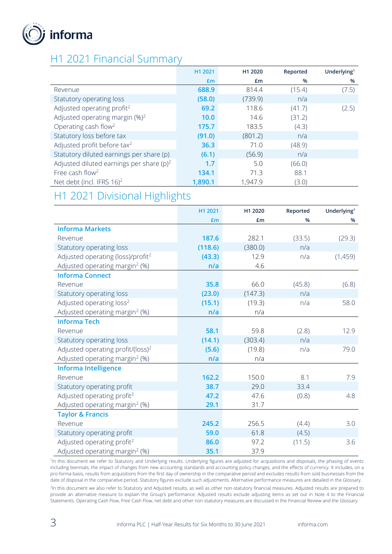

## H1 2021 Financial Summary

|                                             | H1 2021 | H <sub>1</sub> 2020 | Reported | Underlying <sup>1</sup> |
|---------------------------------------------|---------|---------------------|----------|-------------------------|
|                                             | £m      | £m                  | %        | %                       |
| Revenue                                     | 688.9   | 814.4               | (15.4)   | (7.5)                   |
| Statutory operating loss                    | (58.0)  | (739.9)             | n/a      |                         |
| Adjusted operating profit <sup>2</sup>      | 69.2    | 118.6               | (41.7)   | (2.5)                   |
| Adjusted operating margin $(\%)^2$          | 10.0    | 14.6                | (31.2)   |                         |
| Operating cash flow <sup>2</sup>            | 175.7   | 183.5               | (4.3)    |                         |
| Statutory loss before tax                   | (91.0)  | (801.2)             | n/a      |                         |
| Adjusted profit before tax <sup>2</sup>     | 36.3    | 71.0                | (48.9)   |                         |
| Statutory diluted earnings per share (p)    | (6.1)   | (56.9)              | n/a      |                         |
| Adjusted diluted earnings per share $(p)^2$ | 1.7     | 5.0                 | (66.0)   |                         |
| Free cash flow <sup>2</sup>                 | 134.1   | 71.3                | 88.1     |                         |
| Net debt (incl. IFRS 16) <sup>2</sup>       | 1,890.1 | 1,947.9             | (3.0)    |                         |

## H1 2021 Divisional Highlights

|                                               | H1 2021 | H1 2020 | Reported | Underlying <sup>1</sup> |
|-----------------------------------------------|---------|---------|----------|-------------------------|
|                                               | £m      | £m      | %        | %                       |
| <b>Informa Markets</b>                        |         |         |          |                         |
| Revenue                                       | 187.6   | 282.1   | (33.5)   | (29.3)                  |
| Statutory operating loss                      | (118.6) | (380.0) | n/a      |                         |
| Adjusted operating (loss)/profit <sup>2</sup> | (43.3)  | 12.9    | n/a      | (1,459)                 |
| Adjusted operating margin <sup>2</sup> (%)    | n/a     | 4.6     |          |                         |
| <b>Informa Connect</b>                        |         |         |          |                         |
| Revenue                                       | 35.8    | 66.0    | (45.8)   | (6.8)                   |
| Statutory operating loss                      | (23.0)  | (147.3) | n/a      |                         |
| Adjusted operating loss <sup>2</sup>          | (15.1)  | (19.3)  | n/a      | 58.0                    |
| Adjusted operating margin <sup>2</sup> (%)    | n/a     | n/a     |          |                         |
| <b>Informa Tech</b>                           |         |         |          |                         |
| Revenue                                       | 58.1    | 59.8    | (2.8)    | 12.9                    |
| Statutory operating loss                      | (14.1)  | (303.4) | n/a      |                         |
| Adjusted operating profit/(loss) <sup>2</sup> | (5.6)   | (19.8)  | n/a      | 79.0                    |
| Adjusted operating margin <sup>2</sup> (%)    | n/a     | n/a     |          |                         |
| <b>Informa Intelligence</b>                   |         |         |          |                         |
| Revenue                                       | 162.2   | 150.0   | 8.1      | 7.9                     |
| Statutory operating profit                    | 38.7    | 29.0    | 33.4     |                         |
| Adjusted operating profit <sup>2</sup>        | 47.2    | 47.6    | (0.8)    | 4.8                     |
| Adjusted operating margin <sup>2</sup> (%)    | 29.1    | 31.7    |          |                         |
| <b>Taylor &amp; Francis</b>                   |         |         |          |                         |
| Revenue                                       | 245.2   | 256.5   | (4.4)    | 3.0                     |
| Statutory operating profit                    | 59.0    | 61.8    | (4.5)    |                         |
| Adjusted operating profit <sup>2</sup>        | 86.0    | 97.2    | (11.5)   | 3.6                     |
| Adjusted operating margin <sup>2</sup> (%)    | 35.1    | 37.9    |          |                         |

<sup>1</sup>In this document we refer to Statutory and Underlying results. Underlying figures are adjusted for acquisitions and disposals, the phasing of events including biennials, the impact of changes from new accounting standards and accounting policy changes, and the effects of currency. It includes, on a pro-forma basis, results from acquisitions from the first day of ownership in the comparative period and excludes results from sold businesses from the date of disposal in the comparative period. Statutory figures exclude such adjustments. Alternative performance measures are detailed in the Glossary. 2 In this document we also refer to Statutory and Adjusted results, as well as other non-statutory financial measures. Adjusted results are prepared to provide an alternative measure to explain the Group's performance. Adjusted results exclude adjusting items as set out in Note 4 to the Financial Statements. Operating Cash Flow, Free Cash Flow, net debt and other non-statutory measures are discussed in the Financial Review and the Glossary.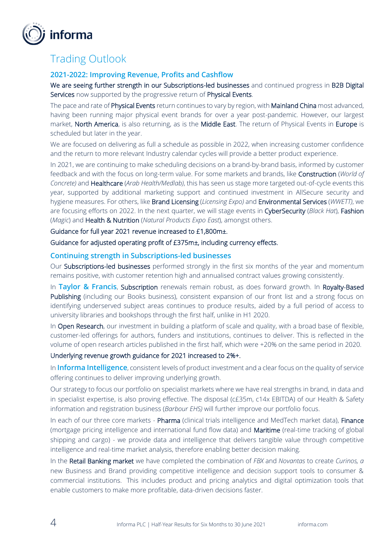

## Trading Outlook

## **2021-2022: Improving Revenue, Profits and Cashflow**

We are seeing further strength in our Subscriptions-led businesses and continued progress in B2B Digital Services now supported by the progressive return of Physical Events.

The pace and rate of Physical Events return continues to vary by region, with Mainland China most advanced, having been running major physical event brands for over a year post-pandemic. However, our largest market, North America, is also returning, as is the Middle East. The return of Physical Events in Europe is scheduled but later in the year.

We are focused on delivering as full a schedule as possible in 2022, when increasing customer confidence and the return to more relevant Industry calendar cycles will provide a better product experience.

In 2021, we are continuing to make scheduling decisions on a brand-by-brand basis, informed by customer feedback and with the focus on long-term value. For some markets and brands, like Construction (*World of Concrete)* and Healthcare (*Arab Health/Medlab)*, this has seen us stage more targeted out-of-cycle events this year, supported by additional marketing support and continued investment in AllSecure security and hygiene measures. For others, like Brand Licensing (*Licensing Expo)* and Environmental Services (*WWETT)*, we are focusing efforts on 2022. In the next quarter, we will stage events in CyberSecurity (*Black Hat*), Fashion (*Magic*) and Health & Nutrition (*Natural Products Expo East*), amongst others.

Guidance for full year 2021 revenue increased to £1,800m±.

Guidance for adjusted operating profit of £375m±, including currency effects.

#### **Continuing strength in Subscriptions-led businesses**

Our Subscriptions-led businesses performed strongly in the first six months of the year and momentum remains positive, with customer retention high and annualised contract values growing consistently.

In **Taylor & Francis**, Subscription renewals remain robust, as does forward growth. In Royalty-Based Publishing (including our Books business), consistent expansion of our front list and a strong focus on identifying underserved subject areas continues to produce results, aided by a full period of access to university libraries and bookshops through the first half, unlike in H1 2020.

In Open Research, our investment in building a platform of scale and quality, with a broad base of flexible, customer-led offerings for authors, funders and institutions, continues to deliver. This is reflected in the volume of open research articles published in the first half, which were +20% on the same period in 2020.

#### Underlying revenue growth guidance for 2021 increased to 2%+.

In **Informa Intelligence**, consistent levels of product investment and a clear focus on the quality of service offering continues to deliver improving underlying growth.

Our strategy to focus our portfolio on specialist markets where we have real strengths in brand, in data and in specialist expertise, is also proving effective. The disposal (c£35m, c14x EBITDA) of our Health & Safety information and registration business (*Barbour EHS)* will further improve our portfolio focus.

In each of our three core markets - Pharma (clinical trials intelligence and MedTech market data), Finance (mortgage pricing intelligence and international fund flow data) and Maritime (real-time tracking of global shipping and cargo) - we provide data and intelligence that delivers tangible value through competitive intelligence and real-time market analysis, therefore enabling better decision making.

In the Retail Banking market we have completed the combination of *FBX* and *Novantas* to create *Curinos, a* new Business and Brand providing competitive intelligence and decision support tools to consumer & commercial institutions. This includes product and pricing analytics and digital optimization tools that enable customers to make more profitable, data-driven decisions faster.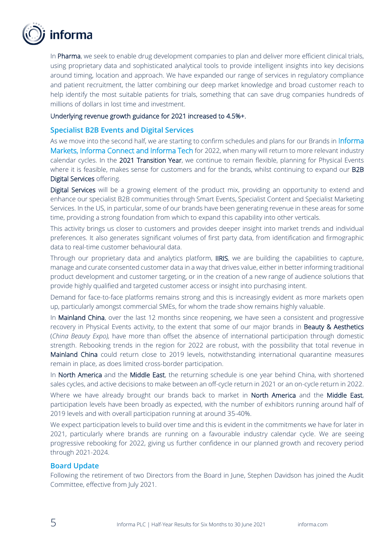

In Pharma, we seek to enable drug development companies to plan and deliver more efficient clinical trials, using proprietary data and sophisticated analytical tools to provide intelligent insights into key decisions around timing, location and approach. We have expanded our range of services in regulatory compliance and patient recruitment, the latter combining our deep market knowledge and broad customer reach to help identify the most suitable patients for trials, something that can save drug companies hundreds of millions of dollars in lost time and investment.

#### Underlying revenue growth guidance for 2021 increased to 4.5%+.

#### **Specialist B2B Events and Digital Services**

As we move into the second half, we are starting to confirm schedules and plans for our Brands in Informa Markets, Informa Connect and Informa Tech for 2022, when many will return to more relevant industry calendar cycles. In the 2021 Transition Year, we continue to remain flexible, planning for Physical Events where it is feasible, makes sense for customers and for the brands, whilst continuing to expand our B2B Digital Services offering.

Digital Services will be a growing element of the product mix, providing an opportunity to extend and enhance our specialist B2B communities through Smart Events, Specialist Content and Specialist Marketing Services. In the US, in particular, some of our brands have been generating revenue in these areas for some time, providing a strong foundation from which to expand this capability into other verticals.

This activity brings us closer to customers and provides deeper insight into market trends and individual preferences. It also generates significant volumes of first party data, from identification and firmographic data to real-time customer behavioural data.

Through our proprietary data and analytics platform, IIRIS, we are building the capabilities to capture, manage and curate consented customer data in a way that drives value, either in better informing traditional product development and customer targeting, or in the creation of a new range of audience solutions that provide highly qualified and targeted customer access or insight into purchasing intent.

Demand for face-to-face platforms remains strong and this is increasingly evident as more markets open up, particularly amongst commercial SMEs, for whom the trade show remains highly valuable.

In Mainland China, over the last 12 months since reopening, we have seen a consistent and progressive recovery in Physical Events activity, to the extent that some of our major brands in Beauty & Aesthetics (*China Beauty Expo),* have more than offset the absence of international participation through domestic strength. Rebooking trends in the region for 2022 are robust, with the possibility that total revenue in Mainland China could return close to 2019 levels, notwithstanding international quarantine measures remain in place, as does limited cross-border participation.

In North America and the Middle East, the returning schedule is one year behind China, with shortened sales cycles, and active decisions to make between an off-cycle return in 2021 or an on-cycle return in 2022.

Where we have already brought our brands back to market in North America and the Middle East, participation levels have been broadly as expected, with the number of exhibitors running around half of 2019 levels and with overall participation running at around 35-40%.

We expect participation levels to build over time and this is evident in the commitments we have for later in 2021, particularly where brands are running on a favourable industry calendar cycle. We are seeing progressive rebooking for 2022, giving us further confidence in our planned growth and recovery period through 2021-2024.

### **Board Update**

Following the retirement of two Directors from the Board in June, Stephen Davidson has joined the Audit Committee, effective from July 2021.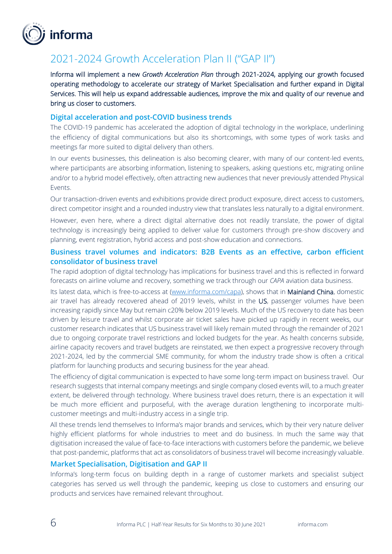

## 2021-2024 Growth Acceleration Plan II ("GAP II")

Informa will implement a new *Growth Acceleration Plan* through 2021-2024, applying our growth focused operating methodology to accelerate our strategy of Market Specialisation and further expand in Digital Services. This will help us expand addressable audiences, improve the mix and quality of our revenue and bring us closer to customers.

### **Digital acceleration and post-COVID business trends**

The COVID-19 pandemic has accelerated the adoption of digital technology in the workplace, underlining the efficiency of digital communications but also its shortcomings, with some types of work tasks and meetings far more suited to digital delivery than others.

In our events businesses, this delineation is also becoming clearer, with many of our content-led events, where participants are absorbing information, listening to speakers, asking questions etc, migrating online and/or to a hybrid model effectively, often attracting new audiences that never previously attended Physical Events.

Our transaction-driven events and exhibitions provide direct product exposure, direct access to customers, direct competitor insight and a rounded industry view that translates less naturally to a digital environment.

However, even here, where a direct digital alternative does not readily translate, the power of digital technology is increasingly being applied to deliver value for customers through pre-show discovery and planning, event registration, hybrid access and post-show education and connections.

## **Business travel volumes and indicators: B2B Events as an effective, carbon efficient consolidator of business travel**

The rapid adoption of digital technology has implications for business travel and this is reflected in forward forecasts on airline volume and recovery, something we track through our *CAPA* aviation data business.

Its latest data, which is free-to-access at [\(www.informa.com/capa\)](http://www.informa.com/capa), shows that in Mainland China, domestic air travel has already recovered ahead of 2019 levels, whilst in the US, passenger volumes have been increasing rapidly since May but remain c20% below 2019 levels. Much of the US recovery to date has been driven by leisure travel and whilst corporate air ticket sales have picked up rapidly in recent weeks, our customer research indicates that US business travel will likely remain muted through the remainder of 2021 due to ongoing corporate travel restrictions and locked budgets for the year. As health concerns subside, airline capacity recovers and travel budgets are reinstated, we then expect a progressive recovery through 2021-2024, led by the commercial SME community, for whom the industry trade show is often a critical platform for launching products and securing business for the year ahead.

The efficiency of digital communication is expected to have some long-term impact on business travel. Our research suggests that internal company meetings and single company closed events will, to a much greater extent, be delivered through technology. Where business travel does return, there is an expectation it will be much more efficient and purposeful, with the average duration lengthening to incorporate multicustomer meetings and multi-industry access in a single trip.

All these trends lend themselves to Informa's major brands and services, which by their very nature deliver highly efficient platforms for whole industries to meet and do business. In much the same way that digitisation increased the value of face-to-face interactions with customers before the pandemic, we believe that post-pandemic, platforms that act as consolidators of business travel will become increasingly valuable.

### **Market Specialisation, Digitisation and GAP II**

Informa's long-term focus on building depth in a range of customer markets and specialist subject categories has served us well through the pandemic, keeping us close to customers and ensuring our products and services have remained relevant throughout.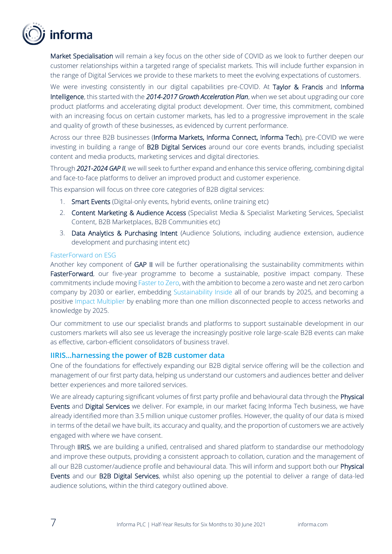

Market Specialisation will remain a key focus on the other side of COVID as we look to further deepen our customer relationships within a targeted range of specialist markets. This will include further expansion in the range of Digital Services we provide to these markets to meet the evolving expectations of customers.

We were investing consistently in our digital capabilities pre-COVID. At Taylor & Francis and Informa Intelligence, this started with the *2014-2017 Growth Acceleration Plan*, when we set about upgrading our core product platforms and accelerating digital product development. Over time, this commitment, combined with an increasing focus on certain customer markets, has led to a progressive improvement in the scale and quality of growth of these businesses, as evidenced by current performance.

Across our three B2B businesses (Informa Markets, Informa Connect, Informa Tech), pre-COVID we were investing in building a range of B2B Digital Services around our core events brands, including specialist content and media products, marketing services and digital directories.

Through *2021-2024 GAP II*, we will seek to further expand and enhance this service offering, combining digital and face-to-face platforms to deliver an improved product and customer experience.

This expansion will focus on three core categories of B2B digital services:

- 1. Smart Events (Digital-only events, hybrid events, online training etc)
- 2. Content Marketing & Audience Access (Specialist Media & Specialist Marketing Services, Specialist Content, B2B Marketplaces, B2B Communities etc)
- 3. Data Analytics & Purchasing Intent (Audience Solutions, including audience extension, audience development and purchasing intent etc)

#### FasterForward on ESG

Another key component of GAP II will be further operationalising the sustainability commitments within FasterForward, our five-year programme to become a sustainable, positive impact company. These commitments include moving Faster to Zero, with the ambition to become a zero waste and net zero carbon company by 2030 or earlier, embedding Sustainability Inside all of our brands by 2025, and becoming a positive Impact Multiplier by enabling more than one million disconnected people to access networks and knowledge by 2025.

Our commitment to use our specialist brands and platforms to support sustainable development in our customers markets will also see us leverage the increasingly positive role large-scale B2B events can make as effective, carbon-efficient consolidators of business travel.

#### **IIRIS…harnessing the power of B2B customer data**

One of the foundations for effectively expanding our B2B digital service offering will be the collection and management of our first party data, helping us understand our customers and audiences better and deliver better experiences and more tailored services.

We are already capturing significant volumes of first party profile and behavioural data through the Physical Events and Digital Services we deliver. For example, in our market facing Informa Tech business, we have already identified more than 3.5 million unique customer profiles. However, the quality of our data is mixed in terms of the detail we have built, its accuracy and quality, and the proportion of customers we are actively engaged with where we have consent.

Through IIRIS, we are building a unified, centralised and shared platform to standardise our methodology and improve these outputs, providing a consistent approach to collation, curation and the management of all our B2B customer/audience profile and behavioural data. This will inform and support both our **Physical** Events and our B2B Digital Services, whilst also opening up the potential to deliver a range of data-led audience solutions, within the third category outlined above.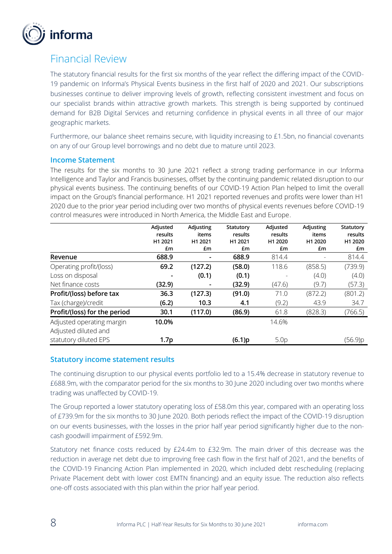

## Financial Review

The statutory financial results for the first six months of the year reflect the differing impact of the COVID-19 pandemic on Informa's Physical Events business in the first half of 2020 and 2021. Our subscriptions businesses continue to deliver improving levels of growth, reflecting consistent investment and focus on our specialist brands within attractive growth markets. This strength is being supported by continued demand for B2B Digital Services and returning confidence in physical events in all three of our major geographic markets.

Furthermore, our balance sheet remains secure, with liquidity increasing to £1.5bn, no financial covenants on any of our Group level borrowings and no debt due to mature until 2023.

### **Income Statement**

The results for the six months to 30 June 2021 reflect a strong trading performance in our Informa Intelligence and Taylor and Francis businesses, offset by the continuing pandemic related disruption to our physical events business. The continuing benefits of our COVID-19 Action Plan helped to limit the overall impact on the Group's financial performance. H1 2021 reported revenues and profits were lower than H1 2020 due to the prior year period including over two months of physical events revenues before COVID-19 control measures were introduced in North America, the Middle East and Europe.

|                              | Adjusted         | Adjusting | Statutory | Adjusted         | Adjusting | Statutory |
|------------------------------|------------------|-----------|-----------|------------------|-----------|-----------|
|                              | results          | items     | results   | results          | items     | results   |
|                              | H1 2021          | H1 2021   | H1 2021   | H1 2020          | H1 2020   | H1 2020   |
|                              | £m               | £m        | £m        | £m               | £m        | £m        |
| Revenue                      | 688.9            |           | 688.9     | 814.4            |           | 814.4     |
| Operating profit/(loss)      | 69.2             | (127.2)   | (58.0)    | 118.6            | (858.5)   | (739.9)   |
| Loss on disposal             |                  | (0.1)     | (0.1)     |                  | (4.0)     | (4.0)     |
| Net finance costs            | (32.9)           |           | (32.9)    | (47.6)           | (9.7)     | (57.3)    |
| Profit/(loss) before tax     | 36.3             | (127.3)   | (91.0)    | 71.0             | (872.2)   | (801.2)   |
| Tax (charge)/credit          | (6.2)            | 10.3      | 4.1       | (9.2)            | 43.9      | 34.7      |
| Profit/(loss) for the period | 30.1             | (117.0)   | (86.9)    | 61.8             | (828.3)   | (766.5)   |
| Adjusted operating margin    | 10.0%            |           |           | 14.6%            |           |           |
| Adjusted diluted and         |                  |           |           |                  |           |           |
| statutory diluted EPS        | 1.7 <sub>p</sub> |           | (6.1)p    | 5.0 <sub>p</sub> |           | (56.9)p   |

## **Statutory income statement results**

The continuing disruption to our physical events portfolio led to a 15.4% decrease in statutory revenue to £688.9m, with the comparator period for the six months to 30 June 2020 including over two months where trading was unaffected by COVID-19.

The Group reported a lower statutory operating loss of £58.0m this year, compared with an operating loss of £739.9m for the six months to 30 June 2020. Both periods reflect the impact of the COVID-19 disruption on our events businesses, with the losses in the prior half year period significantly higher due to the noncash goodwill impairment of £592.9m.

Statutory net finance costs reduced by £24.4m to £32.9m. The main driver of this decrease was the reduction in average net debt due to improving free cash flow in the first half of 2021, and the benefits of the COVID-19 Financing Action Plan implemented in 2020, which included debt rescheduling (replacing Private Placement debt with lower cost EMTN financing) and an equity issue. The reduction also reflects one-off costs associated with this plan within the prior half year period.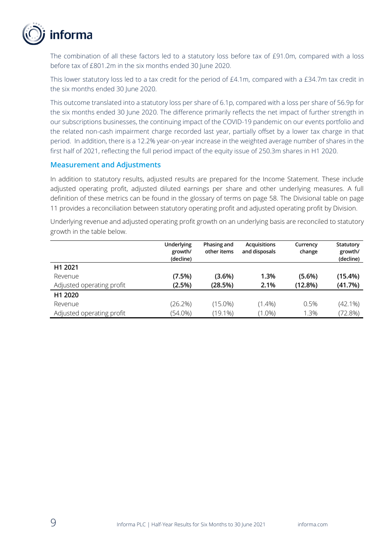

The combination of all these factors led to a statutory loss before tax of £91.0m, compared with a loss before tax of £801.2m in the six months ended 30 June 2020.

This lower statutory loss led to a tax credit for the period of £4.1m, compared with a £34.7m tax credit in the six months ended 30 June 2020.

This outcome translated into a statutory loss per share of 6.1p, compared with a loss per share of 56.9p for the six months ended 30 June 2020. The difference primarily reflects the net impact of further strength in our subscriptions businesses, the continuing impact of the COVID-19 pandemic on our events portfolio and the related non-cash impairment charge recorded last year, partially offset by a lower tax charge in that period. In addition, there is a 12.2% year-on-year increase in the weighted average number of shares in the first half of 2021, reflecting the full period impact of the equity issue of 250.3m shares in H1 2020.

### **Measurement and Adjustments**

In addition to statutory results, adjusted results are prepared for the Income Statement. These include adjusted operating profit, adjusted diluted earnings per share and other underlying measures. A full definition of these metrics can be found in the glossary of terms on page 58. The Divisional table on page 11 provides a reconciliation between statutory operating profit and adjusted operating profit by Division.

Underlying revenue and adjusted operating profit growth on an underlying basis are reconciled to statutory growth in the table below.

|                           | Underlying<br>growth/<br>(decline) | Phasing and<br>other items | <b>Acquisitions</b><br>and disposals | Currency<br>change | Statutory<br>growth/<br>(decline) |
|---------------------------|------------------------------------|----------------------------|--------------------------------------|--------------------|-----------------------------------|
| H1 2021                   |                                    |                            |                                      |                    |                                   |
| Revenue                   | (7.5%)                             | (3.6%)                     | 1.3%                                 | $(5.6\%)$          | (15.4%)                           |
| Adjusted operating profit | (2.5%)                             | (28.5%)                    | 2.1%                                 | (12.8%)            | (41.7%)                           |
| H1 2020                   |                                    |                            |                                      |                    |                                   |
| Revenue                   | (26.2%)                            | $(15.0\%)$                 | $(1.4\%)$                            | 0.5%               | $(42.1\%)$                        |
| Adjusted operating profit | $(54.0\%)$                         | $(19.1\%)$                 | $(1.0\%)$                            | 1.3%               | (72.8%)                           |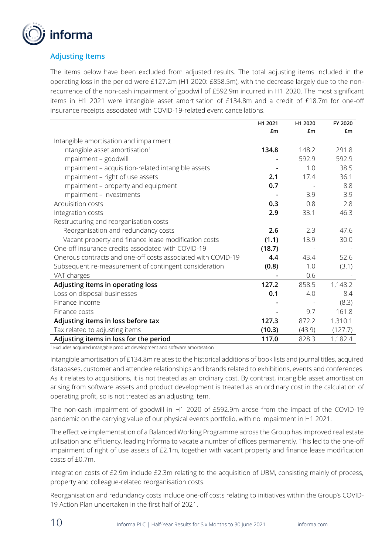

## **Adjusting Items**

The items below have been excluded from adjusted results. The total adjusting items included in the operating loss in the period were £127.2m (H1 2020: £858.5m), with the decrease largely due to the nonrecurrence of the non-cash impairment of goodwill of £592.9m incurred in H1 2020. The most significant items in H1 2021 were intangible asset amortisation of £134.8m and a credit of £18.7m for one-off insurance receipts associated with COVID-19-related event cancellations.

|                                                              | H1 2021 | H1 2020 | FY 2020 |
|--------------------------------------------------------------|---------|---------|---------|
|                                                              | £m      | £m      | £m      |
| Intangible amortisation and impairment                       |         |         |         |
| Intangible asset amortisation <sup>1</sup>                   | 134.8   | 148.2   | 291.8   |
| Impairment - goodwill                                        |         | 592.9   | 592.9   |
| Impairment - acquisition-related intangible assets           |         | 1.0     | 38.5    |
| Impairment - right of use assets                             | 2.1     | 17.4    | 36.1    |
| Impairment - property and equipment                          | 0.7     |         | 8.8     |
| Impairment - investments                                     |         | 3.9     | 3.9     |
| Acquisition costs                                            | 0.3     | 0.8     | 2.8     |
| Integration costs                                            | 2.9     | 33.1    | 46.3    |
| Restructuring and reorganisation costs                       |         |         |         |
| Reorganisation and redundancy costs                          | 2.6     | 2.3     | 47.6    |
| Vacant property and finance lease modification costs         | (1.1)   | 13.9    | 30.0    |
| One-off insurance credits associated with COVID-19           | (18.7)  |         |         |
| Onerous contracts and one-off costs associated with COVID-19 | 4.4     | 43.4    | 52.6    |
| Subsequent re-measurement of contingent consideration        | (0.8)   | 1.0     | (3.1)   |
| VAT charges                                                  |         | 0.6     |         |
| Adjusting items in operating loss                            | 127.2   | 858.5   | 1,148.2 |
| Loss on disposal businesses                                  | 0.1     | 4.0     | 8.4     |
| Finance income                                               |         |         | (8.3)   |
| Finance costs                                                |         | 9.7     | 161.8   |
| Adjusting items in loss before tax                           | 127.3   | 872.2   | 1,310.1 |
| Tax related to adjusting items                               | (10.3)  | (43.9)  | (127.7) |
| Adjusting items in loss for the period                       | 117.0   | 828.3   | 1,182.4 |

 $1$  Excludes acquired intangible product development and software amortisation

Intangible amortisation of £134.8m relates to the historical additions of book lists and journal titles, acquired databases, customer and attendee relationships and brands related to exhibitions, events and conferences. As it relates to acquisitions, it is not treated as an ordinary cost. By contrast, intangible asset amortisation arising from software assets and product development is treated as an ordinary cost in the calculation of operating profit, so is not treated as an adjusting item.

The non-cash impairment of goodwill in H1 2020 of £592.9m arose from the impact of the COVID-19 pandemic on the carrying value of our physical events portfolio, with no impairment in H1 2021.

The effective implementation of a Balanced Working Programme across the Group has improved real estate utilisation and efficiency, leading Informa to vacate a number of offices permanently. This led to the one-off impairment of right of use assets of £2.1m, together with vacant property and finance lease modification costs of £0.7m.

Integration costs of £2.9m include £2.3m relating to the acquisition of UBM, consisting mainly of process, property and colleague-related reorganisation costs.

Reorganisation and redundancy costs include one-off costs relating to initiatives within the Group's COVID-19 Action Plan undertaken in the first half of 2021.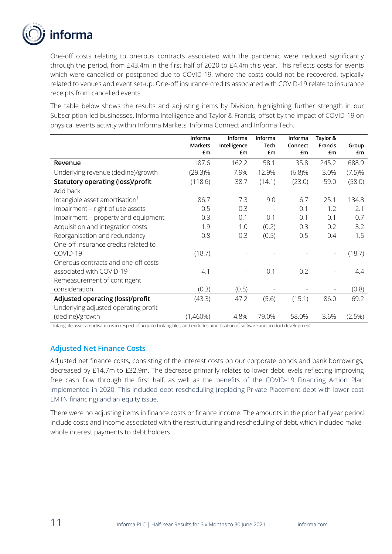

One-off costs relating to onerous contracts associated with the pandemic were reduced significantly through the period, from £43.4m in the first half of 2020 to £4.4m this year. This reflects costs for events which were cancelled or postponed due to COVID-19, where the costs could not be recovered, typically related to venues and event set-up. One-off insurance credits associated with COVID-19 relate to insurance receipts from cancelled events.

The table below shows the results and adjusting items by Division, highlighting further strength in our Subscription-led businesses, Informa Intelligence and Taylor & Francis, offset by the impact of COVID-19 on physical events activity within Informa Markets, Informa Connect and Informa Tech.

|                                            | Informa       | Informa            | Informa    | Informa       | Taylor &             |             |
|--------------------------------------------|---------------|--------------------|------------|---------------|----------------------|-------------|
|                                            | Markets<br>£m | Intelligence<br>£m | Tech<br>£m | Connect<br>£m | <b>Francis</b><br>£m | Group<br>£m |
| Revenue                                    | 187.6         | 162.2              | 58.1       | 35.8          | 245.2                | 688.9       |
| Underlying revenue (decline)/growth        | $(29.3)\%$    | 7.9%               | 12.9%      | (6.8)%        | 3.0%                 | $(7.5)\%$   |
| <b>Statutory operating (loss)/profit</b>   | (118.6)       | 38.7               | (14.1)     | (23.0)        | 59.0                 | (58.0)      |
| Add back:                                  |               |                    |            |               |                      |             |
| Intangible asset amortisation <sup>1</sup> | 86.7          | 7.3                | 9.0        | 6.7           | 25.1                 | 134.8       |
| Impairment - right of use assets           | 0.5           | 0.3                |            | 0.1           | 1.2                  | 2.1         |
| Impairment - property and equipment        | 0.3           | 0.1                | 0.1        | 0.1           | 0.1                  | 0.7         |
| Acquisition and integration costs          | 1.9           | 1.0                | (0.2)      | 0.3           | 0.2                  | 3.2         |
| Reorganisation and redundancy              | 0.8           | 0.3                | (0.5)      | 0.5           | 0.4                  | 1.5         |
| One-off insurance credits related to       |               |                    |            |               |                      |             |
| COVID-19                                   | (18.7)        |                    |            |               |                      | (18.7)      |
| Onerous contracts and one-off costs        |               |                    |            |               |                      |             |
| associated with COVID-19                   | 4.1           |                    | 0.1        | 0.2           |                      | 4.4         |
| Remeasurement of contingent                |               |                    |            |               |                      |             |
| consideration                              | (0.3)         | (0.5)              |            |               |                      | (0.8)       |
| Adjusted operating (loss)/profit           | (43.3)        | 47.2               | (5.6)      | (15.1)        | 86.0                 | 69.2        |
| Underlying adjusted operating profit       |               |                    |            |               |                      |             |
| (decline)/growth                           | (1,460%)      | 4.8%               | 79.0%      | 58.0%         | 3.6%                 | (2.5%)      |

1 Intangible asset amortisation is in respect of acquired intangibles, and excludes amortisation of software and product development

## **Adjusted Net Finance Costs**

Adjusted net finance costs, consisting of the interest costs on our corporate bonds and bank borrowings, decreased by £14.7m to £32.9m. The decrease primarily relates to lower debt levels reflecting improving free cash flow through the first half, as well as the benefits of the COVID-19 Financing Action Plan implemented in 2020. This included debt rescheduling (replacing Private Placement debt with lower cost EMTN financing) and an equity issue.

There were no adjusting items in finance costs or finance income. The amounts in the prior half year period include costs and income associated with the restructuring and rescheduling of debt, which included makewhole interest payments to debt holders.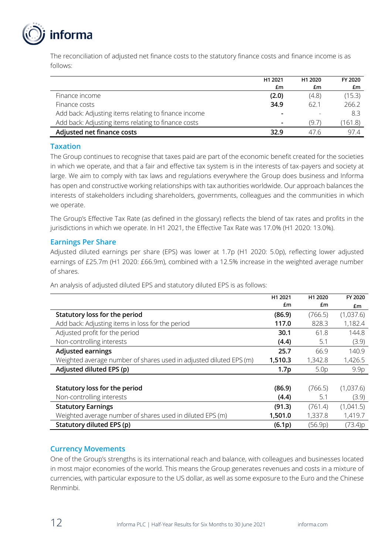

The reconciliation of adjusted net finance costs to the statutory finance costs and finance income is as follows:

|                                                      | H <sub>1</sub> 2021 | H <sub>1</sub> 2020 | FY 2020 |
|------------------------------------------------------|---------------------|---------------------|---------|
|                                                      | £m                  | £m                  | £m      |
| Finance income                                       | (2.0)               | (4.8)               | (15.3)  |
| Finance costs                                        | 34.9                | 62.1                | 266.2   |
| Add back: Adjusting items relating to finance income |                     |                     | 8.3     |
| Add back: Adjusting items relating to finance costs  |                     | (9.7)               | 161.8   |
| Adjusted net finance costs                           | 32.9                | 47 R                | 97.4    |

### **Taxation**

The Group continues to recognise that taxes paid are part of the economic benefit created for the societies in which we operate, and that a fair and effective tax system is in the interests of tax-payers and society at large. We aim to comply with tax laws and regulations everywhere the Group does business and Informa has open and constructive working relationships with tax authorities worldwide. Our approach balances the interests of stakeholders including shareholders, governments, colleagues and the communities in which we operate.

The Group's Effective Tax Rate (as defined in the glossary) reflects the blend of tax rates and profits in the jurisdictions in which we operate. In H1 2021, the Effective Tax Rate was 17.0% (H1 2020: 13.0%).

## **Earnings Per Share**

Adjusted diluted earnings per share (EPS) was lower at 1.7p (H1 2020: 5.0p), reflecting lower adjusted earnings of £25.7m (H1 2020: £66.9m), combined with a 12.5% increase in the weighted average number of shares.

An analysis of adjusted diluted EPS and statutory diluted EPS is as follows:

|                                                                    | H <sub>1</sub> 2021 | H <sub>1</sub> 2020 | FY 2020   |
|--------------------------------------------------------------------|---------------------|---------------------|-----------|
|                                                                    | £m                  | £m                  | £m        |
| Statutory loss for the period                                      | (86.9)              | (766.5)             | (1,037.6) |
| Add back: Adjusting items in loss for the period                   | 117.0               | 828.3               | 1,182.4   |
| Adjusted profit for the period                                     | 30.1                | 61.8                | 144.8     |
| Non-controlling interests                                          | (4.4)               | 5.1                 | (3.9)     |
| <b>Adjusted earnings</b>                                           | 25.7                | 66.9                | 140.9     |
| Weighted average number of shares used in adjusted diluted EPS (m) | 1,510.3             | 1,342.8             | 1,426.5   |
| Adjusted diluted EPS (p)                                           | 1.7 <sub>p</sub>    | 5.0 <sub>p</sub>    | 9.9p      |
|                                                                    |                     |                     |           |
| Statutory loss for the period                                      | (86.9)              | (766.5)             | (1,037.6) |
| Non-controlling interests                                          | (4.4)               | 5.1                 | (3.9)     |
| <b>Statutory Earnings</b>                                          | (91.3)              | (761.4)             | (1,041.5) |
| Weighted average number of shares used in diluted EPS (m)          | 1,501.0             | 1,337.8             | 1,419.7   |
| Statutory diluted EPS (p)                                          | (6.1p)              | (56.9p)             | (73.4)p   |

## **Currency Movements**

One of the Group's strengths is its international reach and balance, with colleagues and businesses located in most major economies of the world. This means the Group generates revenues and costs in a mixture of currencies, with particular exposure to the US dollar, as well as some exposure to the Euro and the Chinese Renminbi.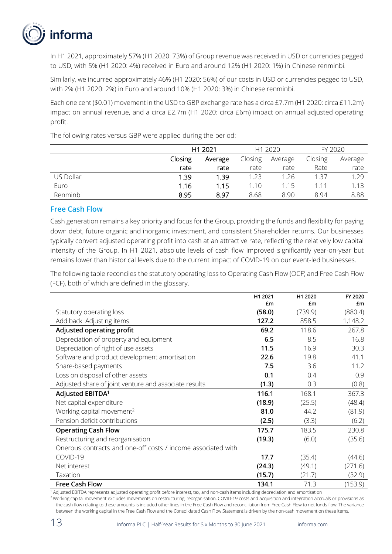

In H1 2021, approximately 57% (H1 2020: 73%) of Group revenue was received in USD or currencies pegged to USD, with 5% (H1 2020: 4%) received in Euro and around 12% (H1 2020: 1%) in Chinese renminbi.

Similarly, we incurred approximately 46% (H1 2020: 56%) of our costs in USD or currencies pegged to USD, with 2% (H1 2020: 2%) in Euro and around 10% (H1 2020: 3%) in Chinese renminbi.

Each one cent (\$0.01) movement in the USD to GBP exchange rate has a circa £7.7m (H1 2020: circa £11.2m) impact on annual revenue, and a circa £2.7m (H1 2020: circa £6m) impact on annual adjusted operating profit.

The following rates versus GBP were applied during the period:

|           |         | H1 2021 |      | H <sub>1</sub> 2020 |         | FY 2020 |
|-----------|---------|---------|------|---------------------|---------|---------|
|           | Closing | Average |      | Average             | Closing | Average |
|           | rate    | rate    | rate | rate                | Rate    | rate    |
| US Dollar | 1.39    | 1.39    | 1.23 | 1.26                | 1.37    | 1.29    |
| Euro      | 1.16    | 1.15    | 1.10 | 1.15                | 1.11    | 1.13    |
| Renminbi  | 8.95    | 8.97    | 8.68 | 8.90                | 8.94    | 8.88    |

### **Free Cash Flow**

Cash generation remains a key priority and focus for the Group, providing the funds and flexibility for paying down debt, future organic and inorganic investment, and consistent Shareholder returns. Our businesses typically convert adjusted operating profit into cash at an attractive rate, reflecting the relatively low capital intensity of the Group. In H1 2021, absolute levels of cash flow improved significantly year-on-year but remains lower than historical levels due to the current impact of COVID-19 on our event-led businesses.

The following table reconciles the statutory operating loss to Operating Cash Flow (OCF) and Free Cash Flow (FCF), both of which are defined in the glossary.

|                                                              | H1 2021 | H1 2020 | FY 2020 |
|--------------------------------------------------------------|---------|---------|---------|
|                                                              | £m      | £m      | £m      |
| Statutory operating loss                                     | (58.0)  | (739.9) | (880.4) |
| Add back: Adjusting items                                    | 127.2   | 858.5   | 1,148.2 |
| Adjusted operating profit                                    | 69.2    | 118.6   | 267.8   |
| Depreciation of property and equipment                       | 6.5     | 8.5     | 16.8    |
| Depreciation of right of use assets                          | 11.5    | 16.9    | 30.3    |
| Software and product development amortisation                | 22.6    | 19.8    | 41.1    |
| Share-based payments                                         | 7.5     | 3.6     | 11.2    |
| Loss on disposal of other assets                             | 0.1     | 0.4     | 0.9     |
| Adjusted share of joint venture and associate results        | (1.3)   | 0.3     | (0.8)   |
| Adjusted EBITDA <sup>1</sup>                                 | 116.1   | 168.1   | 367.3   |
| Net capital expenditure                                      | (18.9)  | (25.5)  | (48.4)  |
| Working capital movement <sup>2</sup>                        | 81.0    | 44.2    | (81.9)  |
| Pension deficit contributions                                | (2.5)   | (3.3)   | (6.2)   |
| <b>Operating Cash Flow</b>                                   | 175.7   | 183.5   | 230.8   |
| Restructuring and reorganisation                             | (19.3)  | (6.0)   | (35.6)  |
| Onerous contracts and one-off costs / income associated with |         |         |         |
| COVID-19                                                     | 17.7    | (35.4)  | (44.6)  |
| Net interest                                                 | (24.3)  | (49.1)  | (271.6) |
| Taxation                                                     | (15.7)  | (21.7)  | (32.9)  |
| <b>Free Cash Flow</b>                                        | 134.1   | 71.3    | (153.9) |

<sup>1</sup> Adjusted EBITDA represents adjusted operating profit before interest, tax, and non-cash items including depreciation and amortisation

<sup>2</sup> Working capital movement excludes movements on restructuring, reorganisation, COVID-19 costs and acquisition and integration accruals or provisions as the cash flow relating to these amounts is included other lines in the Free Cash Flow and reconciliation from Free Cash Flow to net funds flow. The variance between the working capital in the Free Cash Flow and the Consolidated Cash Flow Statement is driven by the non-cash movement on these items.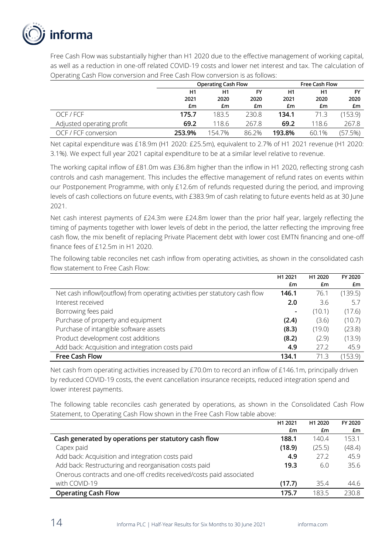

Free Cash Flow was substantially higher than H1 2020 due to the effective management of working capital, as well as a reduction in one-off related COVID-19 costs and lower net interest and tax. The calculation of Operating Cash Flow conversion and Free Cash Flow conversion is as follows:

|                           | <b>Operating Cash Flow</b> |        |       | <b>Free Cash Flow</b> |       |         |
|---------------------------|----------------------------|--------|-------|-----------------------|-------|---------|
|                           | H1                         | H1     | FY    | H1                    | H1    | FY      |
|                           | 2021                       | 2020   | 2020  | 2021                  | 2020  | 2020    |
|                           | £m                         | £m     | £m    | £m                    | £m    | £m      |
| OCF / FCF                 | 175.7                      | 183.5  | 230.8 | 134.1                 | 71.3  | (153.9) |
| Adjusted operating profit | 69.2                       | 118.6  | 267.8 | 69.2                  | 118.6 | 267.8   |
| OCF / FCF conversion      | 253.9%                     | 154.7% | 86.2% | 193.8%                | 60.1% | (57.5%) |

Net capital expenditure was £18.9m (H1 2020: £25.5m), equivalent to 2.7% of H1 2021 revenue (H1 2020: 3.1%). We expect full year 2021 capital expenditure to be at a similar level relative to revenue.

The working capital inflow of £81.0m was £36.8m higher than the inflow in H1 2020, reflecting strong cash controls and cash management. This includes the effective management of refund rates on events within our Postponement Programme, with only £12.6m of refunds requested during the period, and improving levels of cash collections on future events, with £383.9m of cash relating to future events held as at 30 June 2021.

Net cash interest payments of £24.3m were £24.8m lower than the prior half year, largely reflecting the timing of payments together with lower levels of debt in the period, the latter reflecting the improving free cash flow, the mix benefit of replacing Private Placement debt with lower cost EMTN financing and one-off finance fees of £12.5m in H1 2020.

The following table reconciles net cash inflow from operating activities, as shown in the consolidated cash flow statement to Free Cash Flow:

|                                                                             | H <sub>1</sub> 2021 | H1 2020 | FY 2020 |
|-----------------------------------------------------------------------------|---------------------|---------|---------|
|                                                                             | £m                  | £m      | £m      |
| Net cash inflow/(outflow) from operating activities per statutory cash flow | 146.1               | 76.1    | (139.5) |
| Interest received                                                           | 2.0                 | 3.6     | 5.7     |
| Borrowing fees paid                                                         | $\blacksquare$      | (10.1)  | (17.6)  |
| Purchase of property and equipment                                          | (2.4)               | (3.6)   | (10.7)  |
| Purchase of intangible software assets                                      | (8.3)               | (19.0)  | (23.8)  |
| Product development cost additions                                          | (8.2)               | (2.9)   | (13.9)  |
| Add back: Acquisition and integration costs paid                            | 4.9                 | 27.2    | 45.9    |
| <b>Free Cash Flow</b>                                                       | 134.1               | 71.3    | (153.9) |

Net cash from operating activities increased by £70.0m to record an inflow of £146.1m, principally driven by reduced COVID-19 costs, the event cancellation insurance receipts, reduced integration spend and lower interest payments.

The following table reconciles cash generated by operations, as shown in the Consolidated Cash Flow Statement, to Operating Cash Flow shown in the Free Cash Flow table above:

|                                                                      | H1 2021 | H <sub>1</sub> 2020 | FY 2020 |
|----------------------------------------------------------------------|---------|---------------------|---------|
|                                                                      | £m      | £m                  | £m      |
| Cash generated by operations per statutory cash flow                 | 188.1   | 140.4               | 153.1   |
| Capex paid                                                           | (18.9)  | (25.5)              | (48.4)  |
| Add back: Acquisition and integration costs paid                     | 4.9     | 27.2                | 45.9    |
| Add back: Restructuring and reorganisation costs paid                | 19.3    | 6.0                 | 35.6    |
| Onerous contracts and one-off credits received/costs paid associated |         |                     |         |
| with COVID-19                                                        | (17.7)  | 35.4                | 44.6    |
| <b>Operating Cash Flow</b>                                           | 175.7   | 183.5               | 2308    |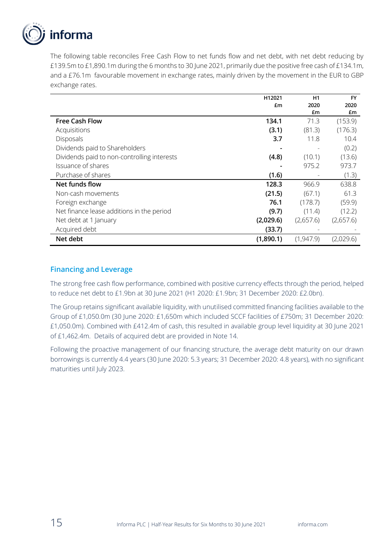

The following table reconciles Free Cash Flow to net funds flow and net debt, with net debt reducing by £139.5m to £1,890.1m during the 6 months to 30 June 2021, primarily due the positive free cash of £134.1m, and a £76.1m favourable movement in exchange rates, mainly driven by the movement in the EUR to GBP exchange rates.

|                                             | H12021    | H1        | <b>FY</b> |
|---------------------------------------------|-----------|-----------|-----------|
|                                             | £m        | 2020      | 2020      |
|                                             |           | £m        | £m        |
| <b>Free Cash Flow</b>                       | 134.1     | 71.3      | (153.9)   |
| Acquisitions                                | (3.1)     | (81.3)    | (176.3)   |
| Disposals                                   | 3.7       | 11.8      | 10.4      |
| Dividends paid to Shareholders              |           |           | (0.2)     |
| Dividends paid to non-controlling interests | (4.8)     | (10.1)    | (13.6)    |
| Issuance of shares                          |           | 975.2     | 973.7     |
| Purchase of shares                          | (1.6)     |           | (1.3)     |
| Net funds flow                              | 128.3     | 966.9     | 638.8     |
| Non-cash movements                          | (21.5)    | (67.1)    | 61.3      |
| Foreign exchange                            | 76.1      | (178.7)   | (59.9)    |
| Net finance lease additions in the period   | (9.7)     | (11.4)    | (12.2)    |
| Net debt at 1 January                       | (2,029.6) | (2,657.6) | (2,657.6) |
| Acquired debt                               | (33.7)    |           |           |
| Net debt                                    | (1,890.1) | (1.947.9) | (2,029.6) |

## **Financing and Leverage**

The strong free cash flow performance, combined with positive currency effects through the period, helped to reduce net debt to £1.9bn at 30 June 2021 (H1 2020: £1.9bn; 31 December 2020: £2.0bn).

The Group retains significant available liquidity, with unutilised committed financing facilities available to the Group of £1,050.0m (30 June 2020: £1,650m which included SCCF facilities of £750m; 31 December 2020: £1,050.0m). Combined with £412.4m of cash, this resulted in available group level liquidity at 30 June 2021 of £1,462.4m. Details of acquired debt are provided in Note 14.

Following the proactive management of our financing structure, the average debt maturity on our drawn borrowings is currently 4.4 years (30 June 2020: 5.3 years; 31 December 2020: 4.8 years), with no significant maturities until July 2023.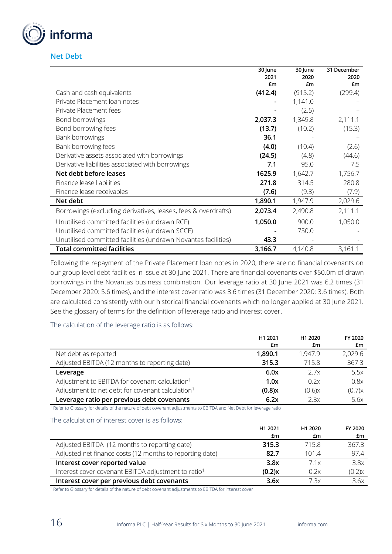

**Net Debt**

|                                                               | 30 June<br>2021 | 30 June<br>2020 | 31 December<br>2020 |
|---------------------------------------------------------------|-----------------|-----------------|---------------------|
|                                                               | £m              | £m              | £m                  |
| Cash and cash equivalents                                     | (412.4)         | (915.2)         | (299.4)             |
| Private Placement loan notes                                  |                 | 1,141.0         |                     |
| Private Placement fees                                        |                 | (2.5)           |                     |
| Bond borrowings                                               | 2,037.3         | 1,349.8         | 2,111.1             |
| Bond borrowing fees                                           | (13.7)          | (10.2)          | (15.3)              |
| Bank borrowings                                               | 36.1            |                 |                     |
| Bank borrowing fees                                           | (4.0)           | (10.4)          | (2.6)               |
| Derivative assets associated with borrowings                  | (24.5)          | (4.8)           | (44.6)              |
| Derivative liabilities associated with borrowings             | 7.1             | 95.0            | 7.5                 |
| Net debt before leases                                        | 1625.9          | 1,642.7         | 1,756.7             |
| Finance lease liabilities                                     | 271.8           | 314.5           | 280.8               |
| Finance lease receivables                                     | (7.6)           | (9.3)           | (7.9)               |
| Net debt                                                      | 1,890.1         | 1,947.9         | 2,029.6             |
| Borrowings (excluding derivatives, leases, fees & overdrafts) | 2,073.4         | 2,490.8         | 2,111.1             |
| Unutilised committed facilities (undrawn RCF)                 | 1,050.0         | 900.0           | 1,050.0             |
| Unutilised committed facilities (undrawn SCCF)                |                 | 750.0           |                     |
| Unutilised committed facilities (undrawn Novantas facilities) | 43.3            |                 |                     |
| <b>Total committed facilities</b>                             | 3,166.7         | 4,140.8         | 3,161.1             |

Following the repayment of the Private Placement loan notes in 2020, there are no financial covenants on our group level debt facilities in issue at 30 June 2021. There are financial covenants over \$50.0m of drawn borrowings in the Novantas business combination. Our leverage ratio at 30 June 2021 was 6.2 times (31 December 2020: 5.6 times), and the interest cover ratio was 3.6 times (31 December 2020: 3.6 times). Both are calculated consistently with our historical financial covenants which no longer applied at 30 June 2021. See the glossary of terms for the definition of leverage ratio and interest cover.

The calculation of the leverage ratio is as follows:

|                                                              | H1 2021   | H1 2020 | FY 2020 |
|--------------------------------------------------------------|-----------|---------|---------|
|                                                              | £m        | £m      | £m      |
| Net debt as reported                                         | 1,890.1   | 1.947.9 | 2,029.6 |
| Adjusted EBITDA (12 months to reporting date)                | 315.3     | 715.8   | 367.3   |
| Leverage                                                     | 6.0x      | 2.7x    | 5.5x    |
| Adjustment to EBITDA for covenant calculation <sup>1</sup>   | 1.0x      | 0.2x    | 0.8x    |
| Adjustment to net debt for covenant calculation <sup>1</sup> | $(0.8)$ x | (0.6)x  | (0.7)x  |
| Leverage ratio per previous debt covenants                   | 6.2x      | 2.3x    | 5.6x    |

<sup>1</sup> Refer to Glossary for details of the nature of debt covenant adjustments to EBITDA and Net Debt for leverage ratio

The calculation of interest cover is as follows:

|                                                                 | H1 2021   | H1 2020 | FY 2020 |
|-----------------------------------------------------------------|-----------|---------|---------|
|                                                                 | £m        | £m      | £m      |
| Adjusted EBITDA (12 months to reporting date)                   | 315.3     | 715.8   | 367.3   |
| Adjusted net finance costs (12 months to reporting date)        | 82.7      | 101.4   | 97.4    |
| Interest cover reported value                                   | 3.8x      | 7.1x    | 3.8x    |
| Interest cover covenant EBITDA adjustment to ratio <sup>1</sup> | $(0.2)$ x | 0.2x    | (0.2)x  |
| Interest cover per previous debt covenants                      | 3.6x      | 7 3x    | 3.6x    |

<sup>1</sup> Refer to Glossary for details of the nature of debt covenant adjustments to EBITDA for interest cover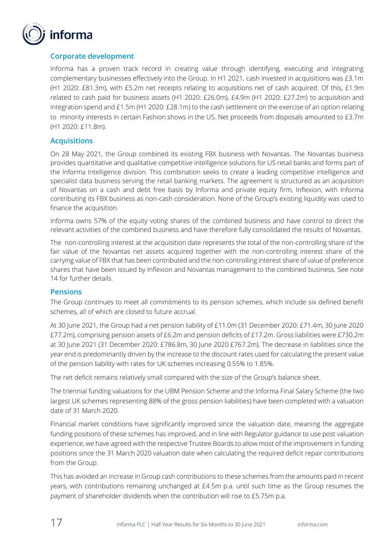

## **Corporate development**

Informa has a proven track record in creating value through identifying, executing and integrating complementary businesses effectively into the Group. In H1 2021, cash invested in acquisitions was £3.1m (H1 2020: £81.3m), with £5.2m net receipts relating to acquisitions net of cash acquired. Of this, £1.9m related to cash paid for business assets (H1 2020: £26.0m), £4.9m (H1 2020: £27.2m) to acquisition and integration spend and £1.5m (H1 2020: £28.1m) to the cash settlement on the exercise of an option relating to minority interests in certain Fashion shows in the US. Net proceeds from disposals amounted to £3.7m (H1 2020: £11.8m).

## **Acquisitions**

On 28 May 2021, the Group combined its existing FBX business with Novantas. The Novantas business provides quantitative and qualitative competitive intelligence solutions for US retail banks and forms part of the Informa Intelligence division. This combination seeks to create a leading competitive intelligence and specialist data business serving the retail banking markets. The agreement is structured as an acquisition of Novantas on a cash and debt free basis by Informa and private equity firm, Inflexion, with Informa contributing its FBX business as non-cash consideration. None of the Group's existing liquidity was used to finance the acquisition.

Informa owns 57% of the equity voting shares of the combined business and have control to direct the relevant activities of the combined business and have therefore fully consolidated the results of Novantas.

The non-controlling interest at the acquisition date represents the total of the non-controlling share of the fair value of the Novantas net assets acquired together with the non-controlling interest share of the carrying value of FBX that has been contributed and the non-controlling interest share of value of preference shares that have been issued by Inflexion and Novantas management to the combined business. See note 14 for further details.

### **Pensions**

The Group continues to meet all commitments to its pension schemes, which include six defined benefit schemes, all of which are closed to future accrual.

At 30 June 2021, the Group had a net pension liability of £11.0m (31 December 2020: £71.4m, 30 June 2020 £77.2m), comprising pension assets of £6.2m and pension deficits of £17.2m. Gross liabilities were £730.2m at 30 June 2021 (31 December 2020: £786.8m, 30 June 2020 £767.2m). The decrease in liabilities since the year end is predominantly driven by the increase to the discount rates used for calculating the present value of the pension liability with rates for UK schemes increasing 0.55% to 1.85%.

The net deficit remains relatively small compared with the size of the Group's balance sheet.

The triennial funding valuations for the UBM Pension Scheme and the Informa Final Salary Scheme (the two largest UK schemes representing 88% of the gross pension liabilities) have been completed with a valuation date of 31 March 2020.

Financial market conditions have significantly improved since the valuation date, meaning the aggregate funding positions of these schemes has improved, and in line with Regulator guidance to use post valuation experience, we have agreed with the respective Trustee Boards to allow most of the improvement in funding positions since the 31 March 2020 valuation date when calculating the required deficit repair contributions from the Group.

This has avoided an increase in Group cash contributions to these schemes from the amounts paid in recent years, with contributions remaining unchanged at £4.5m p.a. until such time as the Group resumes the payment of shareholder dividends when the contribution will rise to £5.75m p.a.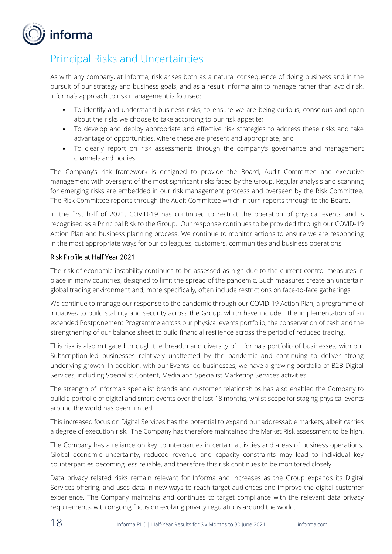

## Principal Risks and Uncertainties

As with any company, at Informa, risk arises both as a natural consequence of doing business and in the pursuit of our strategy and business goals, and as a result Informa aim to manage rather than avoid risk. Informa's approach to risk management is focused:

- To identify and understand business risks, to ensure we are being curious, conscious and open about the risks we choose to take according to our risk appetite;
- To develop and deploy appropriate and effective risk strategies to address these risks and take advantage of opportunities, where these are present and appropriate; and
- To clearly report on risk assessments through the company's governance and management channels and bodies.

The Company's risk framework is designed to provide the Board, Audit Committee and executive management with oversight of the most significant risks faced by the Group. Regular analysis and scanning for emerging risks are embedded in our risk management process and overseen by the Risk Committee. The Risk Committee reports through the Audit Committee which in turn reports through to the Board.

In the first half of 2021, COVID-19 has continued to restrict the operation of physical events and is recognised as a Principal Risk to the Group. Our response continues to be provided through our COVID-19 Action Plan and business planning process. We continue to monitor actions to ensure we are responding in the most appropriate ways for our colleagues, customers, communities and business operations.

## Risk Profile at Half Year 2021

The risk of economic instability continues to be assessed as high due to the current control measures in place in many countries, designed to limit the spread of the pandemic. Such measures create an uncertain global trading environment and, more specifically, often include restrictions on face-to-face gatherings.

We continue to manage our response to the pandemic through our COVID-19 Action Plan, a programme of initiatives to build stability and security across the Group, which have included the implementation of an extended Postponement Programme across our physical events portfolio, the conservation of cash and the strengthening of our balance sheet to build financial resilience across the period of reduced trading.

This risk is also mitigated through the breadth and diversity of Informa's portfolio of businesses, with our Subscription-led businesses relatively unaffected by the pandemic and continuing to deliver strong underlying growth. In addition, with our Events-led businesses, we have a growing portfolio of B2B Digital Services, including Specialist Content, Media and Specialist Marketing Services activities.

The strength of Informa's specialist brands and customer relationships has also enabled the Company to build a portfolio of digital and smart events over the last 18 months, whilst scope for staging physical events around the world has been limited.

This increased focus on Digital Services has the potential to expand our addressable markets, albeit carries a degree of execution risk. The Company has therefore maintained the Market Risk assessment to be high.

The Company has a reliance on key counterparties in certain activities and areas of business operations. Global economic uncertainty, reduced revenue and capacity constraints may lead to individual key counterparties becoming less reliable, and therefore this risk continues to be monitored closely.

Data privacy related risks remain relevant for Informa and increases as the Group expands its Digital Services offering, and uses data in new ways to reach target audiences and improve the digital customer experience. The Company maintains and continues to target compliance with the relevant data privacy requirements, with ongoing focus on evolving privacy regulations around the world.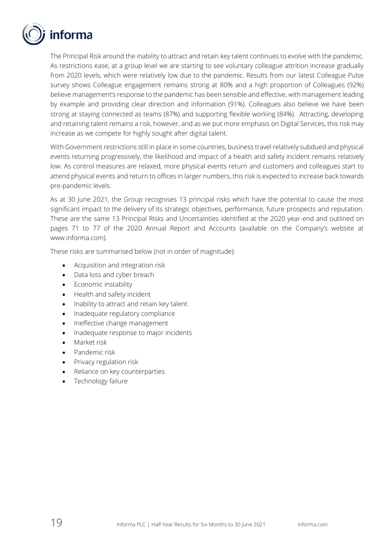

The Principal Risk around the inability to attract and retain key talent continues to evolve with the pandemic. As restrictions ease, at a group level we are starting to see voluntary colleague attrition increase gradually from 2020 levels, which were relatively low due to the pandemic. Results from our latest Colleague Pulse survey shows Colleague engagement remains strong at 80% and a high proportion of Colleagues (92%) believe management's response to the pandemic has been sensible and effective, with management leading by example and providing clear direction and information (91%). Colleagues also believe we have been strong at staying connected as teams (87%) and supporting flexible working (84%). Attracting, developing and retaining talent remains a risk, however, and as we put more emphasis on Digital Services, this risk may increase as we compete for highly sought after digital talent.

With Government restrictions still in place in some countries, business travel relatively subdued and physical events returning progressively, the likelihood and impact of a health and safety incident remains relatively low. As control measures are relaxed, more physical events return and customers and colleagues start to attend physical events and return to offices in larger numbers, this risk is expected to increase back towards pre-pandemic levels.

As at 30 June 2021, the Group recognises 13 principal risks which have the potential to cause the most significant impact to the delivery of its strategic objectives, performance, future prospects and reputation. These are the same 13 Principal Risks and Uncertainties identified at the 2020 year-end and outlined on pages 71 to 77 of the 2020 Annual Report and Accounts (available on the Company's website at www.informa.com).

These risks are summarised below (not in order of magnitude):

- Acquisition and integration risk
- Data loss and cyber breach
- Economic instability
- Health and safety incident
- Inability to attract and retain key talent
- Inadequate regulatory compliance
- Ineffective change management
- Inadequate response to major incidents
- Market risk
- Pandemic risk
- Privacy regulation risk
- Reliance on key counterparties
- Technology failure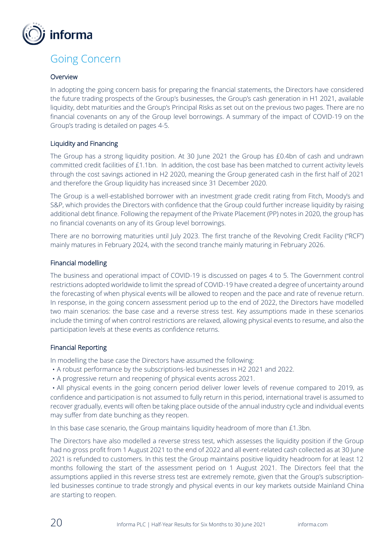

## Going Concern

### Overview

In adopting the going concern basis for preparing the financial statements, the Directors have considered the future trading prospects of the Group's businesses, the Group's cash generation in H1 2021, available liquidity, debt maturities and the Group's Principal Risks as set out on the previous two pages. There are no financial covenants on any of the Group level borrowings. A summary of the impact of COVID-19 on the Group's trading is detailed on pages 4-5.

### Liquidity and Financing

The Group has a strong liquidity position. At 30 June 2021 the Group has £0.4bn of cash and undrawn committed credit facilities of £1.1bn. In addition, the cost base has been matched to current activity levels through the cost savings actioned in H2 2020, meaning the Group generated cash in the first half of 2021 and therefore the Group liquidity has increased since 31 December 2020.

The Group is a well-established borrower with an investment grade credit rating from Fitch, Moody's and S&P, which provides the Directors with confidence that the Group could further increase liquidity by raising additional debt finance. Following the repayment of the Private Placement (PP) notes in 2020, the group has no financial covenants on any of its Group level borrowings.

There are no borrowing maturities until July 2023. The first tranche of the Revolving Credit Facility ("RCF") mainly matures in February 2024, with the second tranche mainly maturing in February 2026.

#### Financial modelling

The business and operational impact of COVID-19 is discussed on pages 4 to 5. The Government control restrictions adopted worldwide to limit the spread of COVID-19 have created a degree of uncertainty around the forecasting of when physical events will be allowed to reopen and the pace and rate of revenue return. In response, in the going concern assessment period up to the end of 2022, the Directors have modelled two main scenarios: the base case and a reverse stress test. Key assumptions made in these scenarios include the timing of when control restrictions are relaxed, allowing physical events to resume, and also the participation levels at these events as confidence returns.

### Financial Reporting

In modelling the base case the Directors have assumed the following:

- •A robust performance by the subscriptions-led businesses in H2 2021 and 2022.
- •A progressive return and reopening of physical events across 2021.

•All physical events in the going concern period deliver lower levels of revenue compared to 2019, as confidence and participation is not assumed to fully return in this period, international travel is assumed to recover gradually, events will often be taking place outside of the annual industry cycle and individual events may suffer from date bunching as they reopen.

In this base case scenario, the Group maintains liquidity headroom of more than £1.3bn.

The Directors have also modelled a reverse stress test, which assesses the liquidity position if the Group had no gross profit from 1 August 2021 to the end of 2022 and all event-related cash collected as at 30 June 2021 is refunded to customers. In this test the Group maintains positive liquidity headroom for at least 12 months following the start of the assessment period on 1 August 2021. The Directors feel that the assumptions applied in this reverse stress test are extremely remote, given that the Group's subscriptionled businesses continue to trade strongly and physical events in our key markets outside Mainland China are starting to reopen.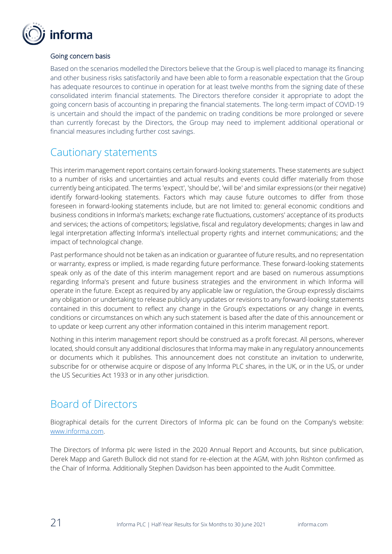

## Going concern basis

Based on the scenarios modelled the Directors believe that the Group is well placed to manage its financing and other business risks satisfactorily and have been able to form a reasonable expectation that the Group has adequate resources to continue in operation for at least twelve months from the signing date of these consolidated interim financial statements. The Directors therefore consider it appropriate to adopt the going concern basis of accounting in preparing the financial statements. The long-term impact of COVID-19 is uncertain and should the impact of the pandemic on trading conditions be more prolonged or severe than currently forecast by the Directors, the Group may need to implement additional operational or financial measures including further cost savings.

## Cautionary statements

This interim management report contains certain forward-looking statements. These statements are subject to a number of risks and uncertainties and actual results and events could differ materially from those currently being anticipated. The terms 'expect', 'should be', 'will be' and similar expressions (or their negative) identify forward-looking statements. Factors which may cause future outcomes to differ from those foreseen in forward-looking statements include, but are not limited to: general economic conditions and business conditions in Informa's markets; exchange rate fluctuations, customers' acceptance of its products and services; the actions of competitors; legislative, fiscal and regulatory developments; changes in law and legal interpretation affecting Informa's intellectual property rights and internet communications; and the impact of technological change.

Past performance should not be taken as an indication or guarantee of future results, and no representation or warranty, express or implied, is made regarding future performance. These forward-looking statements speak only as of the date of this interim management report and are based on numerous assumptions regarding Informa's present and future business strategies and the environment in which Informa will operate in the future. Except as required by any applicable law or regulation, the Group expressly disclaims any obligation or undertaking to release publicly any updates or revisions to any forward-looking statements contained in this document to reflect any change in the Group's expectations or any change in events, conditions or circumstances on which any such statement is based after the date of this announcement or to update or keep current any other information contained in this interim management report.

Nothing in this interim management report should be construed as a profit forecast. All persons, wherever located, should consult any additional disclosures that Informa may make in any regulatory announcements or documents which it publishes. This announcement does not constitute an invitation to underwrite, subscribe for or otherwise acquire or dispose of any Informa PLC shares, in the UK, or in the US, or under the US Securities Act 1933 or in any other jurisdiction.

## Board of Directors

Biographical details for the current Directors of Informa plc can be found on the Company's website: [www.informa.com.](http://www.informa.com/) 

The Directors of Informa plc were listed in the 2020 Annual Report and Accounts, but since publication, Derek Mapp and Gareth Bullock did not stand for re-election at the AGM, with John Rishton confirmed as the Chair of Informa. Additionally Stephen Davidson has been appointed to the Audit Committee.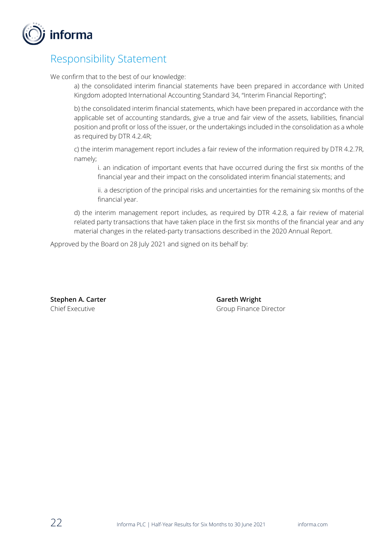

## Responsibility Statement

We confirm that to the best of our knowledge:

a) the consolidated interim financial statements have been prepared in accordance with United Kingdom adopted International Accounting Standard 34, "Interim Financial Reporting";

b) the consolidated interim financial statements, which have been prepared in accordance with the applicable set of accounting standards, give a true and fair view of the assets, liabilities, financial position and profit or loss of the issuer, or the undertakings included in the consolidation as a whole as required by DTR 4.2.4R;

c) the interim management report includes a fair review of the information required by DTR 4.2.7R, namely;

i. an indication of important events that have occurred during the first six months of the financial year and their impact on the consolidated interim financial statements; and

ii. a description of the principal risks and uncertainties for the remaining six months of the financial year.

d) the interim management report includes, as required by DTR 4.2.8, a fair review of material related party transactions that have taken place in the first six months of the financial year and any material changes in the related-party transactions described in the 2020 Annual Report.

Approved by the Board on 28 July 2021 and signed on its behalf by:

**Stephen A. Carter Carter Carter A. Carter A. Carter A. Carter A. Careth Wright** 

Chief Executive Group Finance Director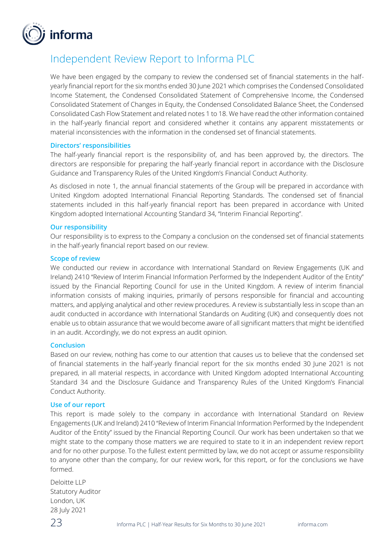

## Independent Review Report to Informa PLC

We have been engaged by the company to review the condensed set of financial statements in the halfyearly financial report for the six months ended 30 June 2021 which comprises the Condensed Consolidated Income Statement, the Condensed Consolidated Statement of Comprehensive Income, the Condensed Consolidated Statement of Changes in Equity, the Condensed Consolidated Balance Sheet, the Condensed Consolidated Cash Flow Statement and related notes 1 to 18. We have read the other information contained in the half-yearly financial report and considered whether it contains any apparent misstatements or material inconsistencies with the information in the condensed set of financial statements.

#### **Directors' responsibilities**

The half-yearly financial report is the responsibility of, and has been approved by, the directors. The directors are responsible for preparing the half-yearly financial report in accordance with the Disclosure Guidance and Transparency Rules of the United Kingdom's Financial Conduct Authority.

As disclosed in note 1, the annual financial statements of the Group will be prepared in accordance with United Kingdom adopted International Financial Reporting Standards. The condensed set of financial statements included in this half-yearly financial report has been prepared in accordance with United Kingdom adopted International Accounting Standard 34, "Interim Financial Reporting".

#### **Our responsibility**

Our responsibility is to express to the Company a conclusion on the condensed set of financial statements in the half-yearly financial report based on our review.

#### **Scope of review**

We conducted our review in accordance with International Standard on Review Engagements (UK and Ireland) 2410 "Review of Interim Financial Information Performed by the Independent Auditor of the Entity" issued by the Financial Reporting Council for use in the United Kingdom. A review of interim financial information consists of making inquiries, primarily of persons responsible for financial and accounting matters, and applying analytical and other review procedures. A review is substantially less in scope than an audit conducted in accordance with International Standards on Auditing (UK) and consequently does not enable us to obtain assurance that we would become aware of all significant matters that might be identified in an audit. Accordingly, we do not express an audit opinion.

#### **Conclusion**

Based on our review, nothing has come to our attention that causes us to believe that the condensed set of financial statements in the half-yearly financial report for the six months ended 30 June 2021 is not prepared, in all material respects, in accordance with United Kingdom adopted International Accounting Standard 34 and the Disclosure Guidance and Transparency Rules of the United Kingdom's Financial Conduct Authority.

#### **Use of our report**

This report is made solely to the company in accordance with International Standard on Review Engagements (UK and Ireland) 2410 "Review of Interim Financial Information Performed by the Independent Auditor of the Entity" issued by the Financial Reporting Council. Our work has been undertaken so that we might state to the company those matters we are required to state to it in an independent review report and for no other purpose. To the fullest extent permitted by law, we do not accept or assume responsibility to anyone other than the company, for our review work, for this report, or for the conclusions we have formed.

Deloitte LLP Statutory Auditor London, UK 28 July 2021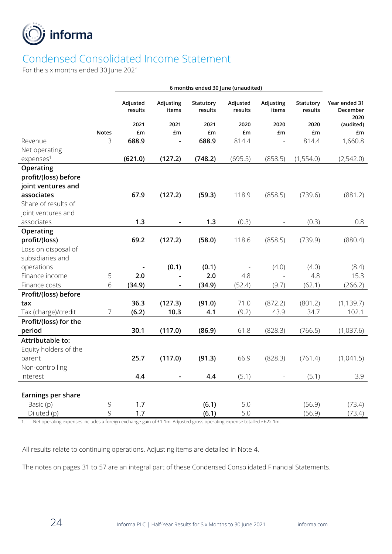

# Condensed Consolidated Income Statement

For the six months ended 30 June 2021

|                         |              | Adjusted<br>results | Adjusting<br>items | Statutory<br>results | Adjusted<br>results | Adjusting<br>items       | Statutory<br>results | Year ended 31<br>December<br>2020 |
|-------------------------|--------------|---------------------|--------------------|----------------------|---------------------|--------------------------|----------------------|-----------------------------------|
|                         |              | 2021                | 2021               | 2021                 | 2020                | 2020                     | 2020                 | (audited)                         |
|                         | <b>Notes</b> | £m                  | £m                 | £m                   | £m                  | £m                       | £m                   | £m                                |
| Revenue                 | 3            | 688.9               |                    | 688.9                | 814.4               | $\overline{\phantom{a}}$ | 814.4                | 1,660.8                           |
| Net operating           |              |                     |                    |                      |                     |                          |                      |                                   |
| expenses <sup>1</sup>   |              | (621.0)             | (127.2)            | (748.2)              | (695.5)             | (858.5)                  | (1,554.0)            | (2,542.0)                         |
| Operating               |              |                     |                    |                      |                     |                          |                      |                                   |
| profit/(loss) before    |              |                     |                    |                      |                     |                          |                      |                                   |
| joint ventures and      |              |                     |                    |                      |                     |                          |                      |                                   |
| associates              |              | 67.9                | (127.2)            | (59.3)               | 118.9               | (858.5)                  | (739.6)              | (881.2)                           |
| Share of results of     |              |                     |                    |                      |                     |                          |                      |                                   |
| joint ventures and      |              |                     |                    |                      |                     |                          |                      |                                   |
| associates              |              | 1.3                 |                    | 1.3                  | (0.3)               |                          | (0.3)                | 0.8                               |
| Operating               |              |                     |                    |                      |                     |                          |                      |                                   |
| profit/(loss)           |              | 69.2                | (127.2)            | (58.0)               | 118.6               | (858.5)                  | (739.9)              | (880.4)                           |
| Loss on disposal of     |              |                     |                    |                      |                     |                          |                      |                                   |
| subsidiaries and        |              |                     |                    |                      |                     |                          |                      |                                   |
| operations              |              |                     | (0.1)              | (0.1)                |                     | (4.0)                    | (4.0)                | (8.4)                             |
| Finance income          | 5            | 2.0                 |                    | 2.0                  | 4.8                 |                          | 4.8                  | 15.3                              |
| Finance costs           | 6            | (34.9)              |                    | (34.9)               | (52.4)              | (9.7)                    | (62.1)               | (266.2)                           |
| Profit/(loss) before    |              |                     |                    |                      |                     |                          |                      |                                   |
| tax                     |              | 36.3                | (127.3)            | (91.0)               | 71.0                | (872.2)                  | (801.2)              | (1, 139.7)                        |
| Tax (charge)/credit     | 7            | (6.2)               | 10.3               | 4.1                  | (9.2)               | 43.9                     | 34.7                 | 102.1                             |
| Profit/(loss) for the   |              |                     |                    |                      |                     |                          |                      |                                   |
| period                  |              | 30.1                | (117.0)            | (86.9)               | 61.8                | (828.3)                  | (766.5)              | (1,037.6)                         |
| <b>Attributable to:</b> |              |                     |                    |                      |                     |                          |                      |                                   |
| Equity holders of the   |              |                     |                    |                      |                     |                          |                      |                                   |
| parent                  |              | 25.7                | (117.0)            | (91.3)               | 66.9                | (828.3)                  | (761.4)              | (1,041.5)                         |
| Non-controlling         |              |                     |                    |                      |                     |                          |                      |                                   |
| interest                |              | 4.4                 |                    | 4.4                  | (5.1)               |                          | (5.1)                | 3.9                               |
|                         |              |                     |                    |                      |                     |                          |                      |                                   |
| Earnings per share      |              |                     |                    |                      |                     |                          |                      |                                   |
| Basic (p)               | 9            | 1.7                 |                    | (6.1)                | 5.0                 |                          | (56.9)               | (73.4)                            |
| Diluted (p)             | 9            | 1.7                 |                    | (6.1)                | 5.0                 |                          | (56.9)               | (73.4)                            |

1. Net operating expenses includes a foreign exchange gain of £1.1m. Adjusted gross operating expense totalled £622.1m.

All results relate to continuing operations. Adjusting items are detailed in Note 4.

The notes on pages 31 to 57 are an integral part of these Condensed Consolidated Financial Statements.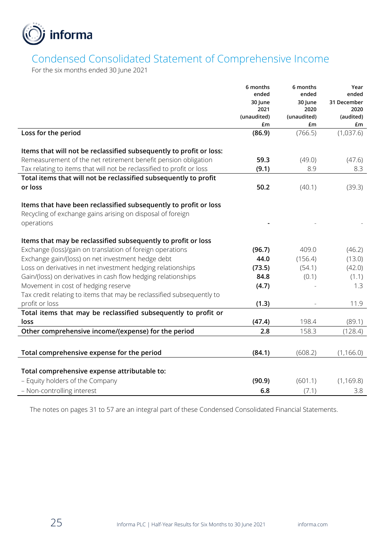

## Condensed Consolidated Statement of Comprehensive Income

For the six months ended 30 June 2021

|                                                                       | 6 months        | 6 months        | Year                 |
|-----------------------------------------------------------------------|-----------------|-----------------|----------------------|
|                                                                       | ended           | ended           | ended<br>31 December |
|                                                                       | 30 June<br>2021 | 30 June<br>2020 | 2020                 |
|                                                                       | (unaudited)     | (unaudited)     | (audited)            |
|                                                                       | £m              | £m              | £m                   |
| Loss for the period                                                   | (86.9)          | (766.5)         | (1,037.6)            |
|                                                                       |                 |                 |                      |
| Items that will not be reclassified subsequently to profit or loss:   |                 |                 |                      |
| Remeasurement of the net retirement benefit pension obligation        | 59.3            | (49.0)          | (47.6)               |
| Tax relating to items that will not be reclassified to profit or loss | (9.1)           | 8.9             | 8.3                  |
| Total items that will not be reclassified subsequently to profit      |                 |                 |                      |
| or loss                                                               | 50.2            | (40.1)          | (39.3)               |
| Items that have been reclassified subsequently to profit or loss      |                 |                 |                      |
| Recycling of exchange gains arising on disposal of foreign            |                 |                 |                      |
| operations                                                            |                 |                 |                      |
|                                                                       |                 |                 |                      |
| Items that may be reclassified subsequently to profit or loss         |                 |                 |                      |
| Exchange (loss)/gain on translation of foreign operations             | (96.7)          | 409.0           | (46.2)               |
| Exchange gain/(loss) on net investment hedge debt                     | 44.0            | (156.4)         | (13.0)               |
| Loss on derivatives in net investment hedging relationships           | (73.5)          | (54.1)          | (42.0)               |
| Gain/(loss) on derivatives in cash flow hedging relationships         | 84.8            | (0.1)           | (1.1)                |
| Movement in cost of hedging reserve                                   | (4.7)           |                 | 1.3                  |
| Tax credit relating to items that may be reclassified subsequently to |                 |                 |                      |
| profit or loss                                                        | (1.3)           |                 | 11.9                 |
| Total items that may be reclassified subsequently to profit or        |                 |                 |                      |
| loss                                                                  | (47.4)          | 198.4           | (89.1)               |
| Other comprehensive income/(expense) for the period                   | 2.8             | 158.3           | (128.4)              |
|                                                                       |                 |                 |                      |
| Total comprehensive expense for the period                            | (84.1)          | (608.2)         | (1, 166.0)           |
| Total comprehensive expense attributable to:                          |                 |                 |                      |
| - Equity holders of the Company                                       | (90.9)          | (601.1)         | (1, 169.8)           |
| - Non-controlling interest                                            | 6.8             |                 | 3.8                  |
|                                                                       |                 | (7.1)           |                      |

The notes on pages 31 to 57 are an integral part of these Condensed Consolidated Financial Statements.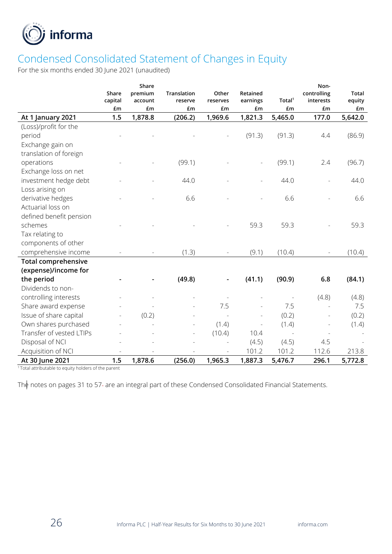

# Condensed Consolidated Statement of Changes in Equity

For the six months ended 30 June 2021 (unaudited)

|                            |                  | Share              |                               |                   |                      |                    | Non-                     |                        |
|----------------------------|------------------|--------------------|-------------------------------|-------------------|----------------------|--------------------|--------------------------|------------------------|
|                            | Share<br>capital | premium<br>account | <b>Translation</b><br>reserve | Other<br>reserves | Retained<br>earnings | Total <sup>1</sup> | controlling<br>interests | <b>Total</b><br>equity |
|                            | £m               | £m                 | £m                            | £m                | £m                   | £m                 | £m                       | £m                     |
| At 1 January 2021          | 1.5              | 1,878.8            | (206.2)                       | 1,969.6           | 1,821.3              | 5,465.0            | 177.0                    | 5,642.0                |
| (Loss)/profit for the      |                  |                    |                               |                   |                      |                    |                          |                        |
| period                     |                  |                    |                               |                   | (91.3)               | (91.3)             | 4.4                      | (86.9)                 |
| Exchange gain on           |                  |                    |                               |                   |                      |                    |                          |                        |
| translation of foreign     |                  |                    |                               |                   |                      |                    |                          |                        |
| operations                 |                  |                    | (99.1)                        |                   |                      | (99.1)             | 2.4                      | (96.7)                 |
| Exchange loss on net       |                  |                    |                               |                   |                      |                    |                          |                        |
| investment hedge debt      |                  |                    | 44.0                          |                   |                      | 44.0               |                          | 44.0                   |
| Loss arising on            |                  |                    |                               |                   |                      |                    |                          |                        |
| derivative hedges          |                  |                    | 6.6                           |                   |                      | 6.6                |                          | 6.6                    |
| Actuarial loss on          |                  |                    |                               |                   |                      |                    |                          |                        |
| defined benefit pension    |                  |                    |                               |                   |                      |                    |                          |                        |
| schemes                    |                  |                    |                               |                   | 59.3                 | 59.3               |                          | 59.3                   |
| Tax relating to            |                  |                    |                               |                   |                      |                    |                          |                        |
| components of other        |                  |                    |                               |                   |                      |                    |                          |                        |
| comprehensive income       |                  |                    | (1.3)                         |                   | (9.1)                | (10.4)             |                          | (10.4)                 |
| <b>Total comprehensive</b> |                  |                    |                               |                   |                      |                    |                          |                        |
| (expense)/income for       |                  |                    |                               |                   |                      |                    |                          |                        |
| the period                 |                  |                    | (49.8)                        |                   | (41.1)               | (90.9)             | 6.8                      | (84.1)                 |
| Dividends to non-          |                  |                    |                               |                   |                      |                    |                          |                        |
| controlling interests      |                  |                    |                               |                   |                      |                    | (4.8)                    | (4.8)                  |
| Share award expense        |                  |                    |                               | 7.5               |                      | 7.5                |                          | 7.5                    |
| Issue of share capital     |                  | (0.2)              |                               |                   |                      | (0.2)              |                          | (0.2)                  |
| Own shares purchased       |                  |                    |                               | (1.4)             |                      | (1.4)              |                          | (1.4)                  |
| Transfer of vested LTIPs   |                  |                    |                               | (10.4)            | 10.4                 | $\sim$             |                          |                        |
| Disposal of NCI            |                  |                    |                               |                   | (4.5)                | (4.5)              | 4.5                      |                        |
| Acquisition of NCI         |                  |                    |                               |                   | 101.2                | 101.2              | 112.6                    | 213.8                  |
| At 30 June 2021            | 1.5              | 1,878.6            | (256.0)                       | 1,965.3           | 1,887.3              | 5,476.7            | 296.1                    | 5,772.8                |

<sup>1</sup>Total attributable to equity holders of the parent

The notes on pages 31 to 57- are an integral part of these Condensed Consolidated Financial Statements.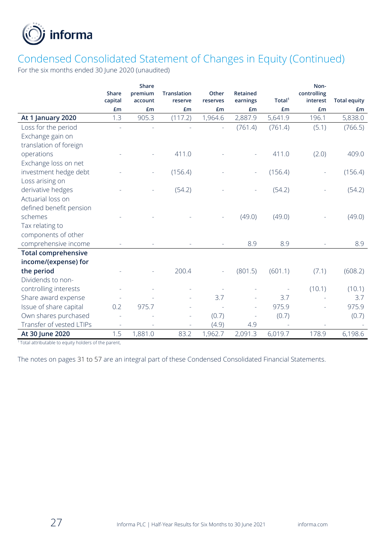

## Condensed Consolidated Statement of Changes in Equity (Continued)

For the six months ended 30 June 2020 (unaudited)

|                            | Share   | Share              | <b>Translation</b> | Other    | <b>Retained</b> |                    | Non-<br>controlling |                     |
|----------------------------|---------|--------------------|--------------------|----------|-----------------|--------------------|---------------------|---------------------|
|                            | capital | premium<br>account | reserve            | reserves | earnings        | Total <sup>1</sup> | interest            | <b>Total equity</b> |
|                            | £m      | £m                 | £m                 | £m       | £m              | £m                 | £m                  | £ <sub>m</sub>      |
| At 1 January 2020          | 1.3     | 905.3              | (117.2)            | 1,964.6  | 2,887.9         | 5,641.9            | 196.1               | 5,838.0             |
| Loss for the period        |         |                    |                    |          | (761.4)         | (761.4)            | (5.1)               | (766.5)             |
| Exchange gain on           |         |                    |                    |          |                 |                    |                     |                     |
| translation of foreign     |         |                    |                    |          |                 |                    |                     |                     |
| operations                 |         |                    | 411.0              |          |                 | 411.0              | (2.0)               | 409.0               |
| Exchange loss on net       |         |                    |                    |          |                 |                    |                     |                     |
| investment hedge debt      |         |                    | (156.4)            |          |                 | (156.4)            |                     | (156.4)             |
| Loss arising on            |         |                    |                    |          |                 |                    |                     |                     |
| derivative hedges          |         |                    | (54.2)             |          |                 | (54.2)             |                     | (54.2)              |
| Actuarial loss on          |         |                    |                    |          |                 |                    |                     |                     |
| defined benefit pension    |         |                    |                    |          |                 |                    |                     |                     |
| schemes                    |         |                    |                    |          | (49.0)          | (49.0)             |                     | (49.0)              |
| Tax relating to            |         |                    |                    |          |                 |                    |                     |                     |
| components of other        |         |                    |                    |          |                 |                    |                     |                     |
| comprehensive income       |         |                    |                    |          | 8.9             | 8.9                |                     | 8.9                 |
| <b>Total comprehensive</b> |         |                    |                    |          |                 |                    |                     |                     |
| income/(expense) for       |         |                    |                    |          |                 |                    |                     |                     |
| the period                 |         |                    | 200.4              |          | (801.5)         | (601.1)            | (7.1)               | (608.2)             |
| Dividends to non-          |         |                    |                    |          |                 |                    |                     |                     |
| controlling interests      |         |                    |                    |          |                 |                    | (10.1)              | (10.1)              |
| Share award expense        |         |                    |                    | 3.7      |                 | 3.7                |                     | 3.7                 |
| Issue of share capital     | 0.2     | 975.7              |                    |          |                 | 975.9              |                     | 975.9               |
| Own shares purchased       |         |                    |                    | (0.7)    |                 | (0.7)              |                     | (0.7)               |
| Transfer of vested LTIPs   |         |                    |                    | (4.9)    | 4.9             |                    |                     |                     |
| At 30 June 2020            | 1.5     | 1,881.0            | 83.2               | 1,962.7  | 2,091.3         | 6,019.7            | 178.9               | 6,198.6             |

<sup>1</sup>Total attributable to equity holders of the parent,

The notes on pages 31 to 57 are an integral part of these Condensed Consolidated Financial Statements.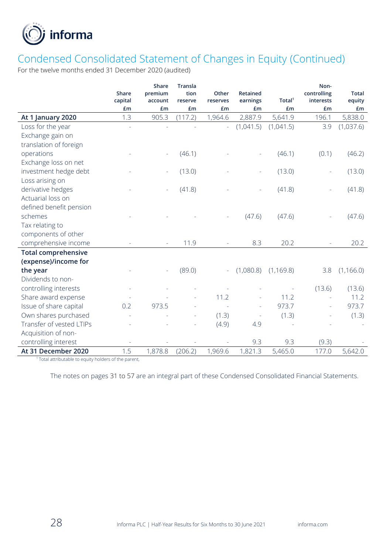

## Condensed Consolidated Statement of Changes in Equity (Continued)

For the twelve months ended 31 December 2020 (audited)

|                            |              | Share   | <b>Transla</b> |          |                 |                    | Non-        |              |
|----------------------------|--------------|---------|----------------|----------|-----------------|--------------------|-------------|--------------|
|                            | <b>Share</b> | premium | tion           | Other    | <b>Retained</b> |                    | controlling | <b>Total</b> |
|                            | capital      | account | reserve        | reserves | earnings        | Total <sup>1</sup> | interests   | equity       |
|                            | £m           | £m      | £m             | £m       | £m              | £m                 | £m          | £m           |
| At 1 January 2020          | 1.3          | 905.3   | (117.2)        | 1,964.6  | 2,887.9         | 5,641.9            | 196.1       | 5,838.0      |
| Loss for the year          |              |         |                |          | (1,041.5)       | (1,041.5)          | 3.9         | (1,037.6)    |
| Exchange gain on           |              |         |                |          |                 |                    |             |              |
| translation of foreign     |              |         |                |          |                 |                    |             |              |
| operations                 |              |         | (46.1)         |          |                 | (46.1)             | (0.1)       | (46.2)       |
| Exchange loss on net       |              |         |                |          |                 |                    |             |              |
| investment hedge debt      |              |         | (13.0)         |          |                 | (13.0)             |             | (13.0)       |
| Loss arising on            |              |         |                |          |                 |                    |             |              |
| derivative hedges          |              |         | (41.8)         |          |                 | (41.8)             |             | (41.8)       |
| Actuarial loss on          |              |         |                |          |                 |                    |             |              |
| defined benefit pension    |              |         |                |          |                 |                    |             |              |
| schemes                    |              |         |                |          | (47.6)          | (47.6)             |             | (47.6)       |
| Tax relating to            |              |         |                |          |                 |                    |             |              |
| components of other        |              |         |                |          |                 |                    |             |              |
| comprehensive income       |              |         | 11.9           |          | 8.3             | 20.2               |             | 20.2         |
| <b>Total comprehensive</b> |              |         |                |          |                 |                    |             |              |
| (expense)/income for       |              |         |                |          |                 |                    |             |              |
| the year                   |              |         | (89.0)         | $\equiv$ | (1,080.8)       | (1, 169.8)         | 3.8         | (1, 166.0)   |
| Dividends to non-          |              |         |                |          |                 |                    |             |              |
| controlling interests      |              |         |                |          |                 |                    | (13.6)      | (13.6)       |
| Share award expense        |              |         |                | 11.2     |                 | 11.2               |             | 11.2         |
| Issue of share capital     | 0.2          | 973.5   |                |          |                 | 973.7              |             | 973.7        |
| Own shares purchased       |              |         |                | (1.3)    |                 | (1.3)              |             | (1.3)        |
| Transfer of vested LTIPs   |              |         |                | (4.9)    | 4.9             |                    |             |              |
| Acquisition of non-        |              |         |                |          |                 |                    |             |              |
| controlling interest       |              |         |                |          | 9.3             | 9.3                | (9.3)       |              |
| At 31 December 2020        | 1.5          | 1,878.8 | (206.2)        | 1,969.6  | 1,821.3         | 5,465.0            | 177.0       | 5,642.0      |

<sup>1</sup>Total attributable to equity holders of the parent,

The notes on pages 31 to 57 are an integral part of these Condensed Consolidated Financial Statements.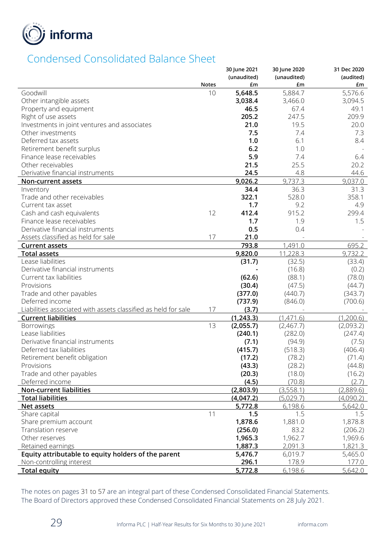

## Condensed Consolidated Balance Sheet

|                                                                |              | 30 June 2021 | 30 June 2020 | 31 Dec 2020 |
|----------------------------------------------------------------|--------------|--------------|--------------|-------------|
|                                                                |              | (unaudited)  | (unaudited)  | (audited)   |
|                                                                | <b>Notes</b> | £m           | £m           | £m          |
| Goodwill                                                       | 10           | 5,648.5      | 5,884.7      | 5,576.6     |
| Other intangible assets                                        |              | 3,038.4      | 3,466.0      | 3,094.5     |
| Property and equipment                                         |              | 46.5         | 67.4         | 49.1        |
| Right of use assets                                            |              | 205.2        | 247.5        | 209.9       |
| Investments in joint ventures and associates                   |              | 21.0         | 19.5         | 20.0        |
| Other investments                                              |              | 7.5          | 7.4          | 7.3         |
| Deferred tax assets                                            |              | 1.0          | 6.1          | 8.4         |
| Retirement benefit surplus                                     |              | 6.2          | 1.0          |             |
| Finance lease receivables                                      |              | 5.9          | 7.4          | 6.4         |
| Other receivables                                              |              | 21.5         | 25.5         | 20.2        |
| Derivative financial instruments                               |              | 24.5         | 4.8          | 44.6        |
| Non-current assets                                             |              | 9,026.2      | 9,737.3      | 9,037.0     |
| Inventory                                                      |              | 34.4         | 36.3         | 31.3        |
| Trade and other receivables                                    |              | 322.1        | 528.0        | 358.1       |
| Current tax asset                                              |              | 1.7          | 9.2          | 4.9         |
| Cash and cash equivalents                                      | 12           | 412.4        | 915.2        | 299.4       |
| Finance lease receivables                                      |              | 1.7          | 1.9          | 1.5         |
| Derivative financial instruments                               |              | 0.5          | 0.4          |             |
| Assets classified as held for sale                             | 17           | 21.0         |              |             |
| <b>Current assets</b>                                          |              | 793.8        | 1,491.0      | 695.2       |
| <b>Total assets</b>                                            |              | 9,820.0      | 11,228.3     | 9,732.2     |
| Lease liabilities                                              |              | (31.7)       | (32.5)       | (33.4)      |
| Derivative financial instruments                               |              |              | (16.8)       | (0.2)       |
| Current tax liabilities                                        |              | (62.6)       | (88.1)       | (78.0)      |
| Provisions                                                     |              | (30.4)       | (47.5)       | (44.7)      |
| Trade and other payables                                       |              | (377.0)      | (440.7)      | (343.7)     |
| Deferred income                                                |              | (737.9)      | (846.0)      | (700.6)     |
| Liabilities associated with assets classified as held for sale | 17           | (3.7)        |              |             |
| <b>Current liabilities</b>                                     |              | (1,243.3)    | (1,471.6)    | (1,200.6)   |
| <b>Borrowings</b>                                              | 13           | (2,055.7)    | (2,467.7)    | (2,093.2)   |
| Lease liabilities                                              |              | (240.1)      | (282.0)      | (247.4)     |
| Derivative financial instruments                               |              | (7.1)        | (94.9)       | (7.5)       |
| Deferred tax liabilities                                       |              | (415.7)      | (518.3)      | (406.4)     |
| Retirement benefit obligation                                  |              | (17.2)       | (78.2)       | (71.4)      |
| Provisions                                                     |              | (43.3)       | (28.2)       | (44.8)      |
| Trade and other payables                                       |              | (20.3)       | (18.0)       | (16.2)      |
| Deferred income                                                |              | (4.5)        | (70.8)       | (2.7)       |
| <b>Non-current liabilities</b>                                 |              | (2,803.9)    | (3,558.1)    | (2,889.6)   |
| <b>Total liabilities</b>                                       |              | (4,047.2)    | (5,029.7)    | (4,090.2)   |
| Net assets                                                     |              | 5,772.8      | 6,198.6      | 5,642.0     |
| Share capital                                                  | 11           | 1.5          | 1.5          | 1.5         |
| Share premium account                                          |              | 1,878.6      | 1,881.0      | 1,878.8     |
| Translation reserve                                            |              | (256.0)      | 83.2         | (206.2)     |
| Other reserves                                                 |              | 1,965.3      | 1,962.7      | 1,969.6     |
| Retained earnings                                              |              | 1,887.3      | 2,091.3      | 1,821.3     |
| Equity attributable to equity holders of the parent            |              | 5,476.7      | 6,019.7      | 5,465.0     |
| Non-controlling interest                                       |              | 296.1        | 178.9        | 177.0       |
| <b>Total equity</b>                                            |              | 5,772.8      | 6,198.6      | 5,642.0     |

The notes on pages 31 to 57 are an integral part of these Condensed Consolidated Financial Statements. The Board of Directors approved these Condensed Consolidated Financial Statements on 28 July 2021.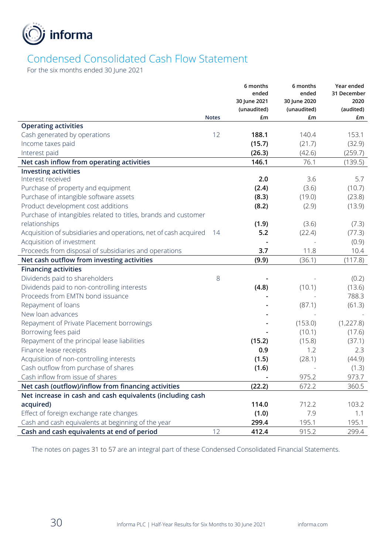

# Condensed Consolidated Cash Flow Statement

For the six months ended 30 June 2021

|                                                                  |              | 6 months              | 6 months              | Year ended          |
|------------------------------------------------------------------|--------------|-----------------------|-----------------------|---------------------|
|                                                                  |              | ended<br>30 June 2021 | ended<br>30 June 2020 | 31 December<br>2020 |
|                                                                  |              | (unaudited)           | (unaudited)           | (audited)           |
|                                                                  | <b>Notes</b> | £m                    | £m                    | £m                  |
| <b>Operating activities</b>                                      |              |                       |                       |                     |
| Cash generated by operations                                     | 12           | 188.1                 | 140.4                 | 153.1               |
| Income taxes paid                                                |              | (15.7)                | (21.7)                | (32.9)              |
| Interest paid                                                    |              | (26.3)                | (42.6)                | (259.7)             |
| Net cash inflow from operating activities                        |              | 146.1                 | 76.1                  | (139.5)             |
| <b>Investing activities</b>                                      |              |                       |                       |                     |
| Interest received                                                |              | 2.0                   | 3.6                   | 5.7                 |
| Purchase of property and equipment                               |              | (2.4)                 | (3.6)                 | (10.7)              |
| Purchase of intangible software assets                           |              | (8.3)                 | (19.0)                | (23.8)              |
| Product development cost additions                               |              | (8.2)                 | (2.9)                 | (13.9)              |
| Purchase of intangibles related to titles, brands and customer   |              |                       |                       |                     |
| relationships                                                    |              | (1.9)                 | (3.6)                 | (7.3)               |
| Acquisition of subsidiaries and operations, net of cash acquired | - 14         | 5.2                   | (22.4)                | (77.3)              |
| Acquisition of investment                                        |              |                       |                       | (0.9)               |
| Proceeds from disposal of subsidiaries and operations            |              | 3.7                   | 11.8                  | 10.4                |
| Net cash outflow from investing activities                       |              | (9.9)                 | (36.1)                | (117.8)             |
| <b>Financing activities</b>                                      |              |                       |                       |                     |
| Dividends paid to shareholders                                   | 8            |                       |                       | (0.2)               |
| Dividends paid to non-controlling interests                      |              | (4.8)                 | (10.1)                | (13.6)              |
| Proceeds from EMTN bond issuance                                 |              |                       |                       | 788.3               |
| Repayment of loans                                               |              |                       | (87.1)                | (61.3)              |
| New loan advances                                                |              |                       |                       |                     |
| Repayment of Private Placement borrowings                        |              |                       | (153.0)               | (1, 227.8)          |
| Borrowing fees paid                                              |              |                       | (10.1)                | (17.6)              |
| Repayment of the principal lease liabilities                     |              | (15.2)                | (15.8)                | (37.1)              |
| Finance lease receipts                                           |              | 0.9                   | 1.2                   | 2.3                 |
| Acquisition of non-controlling interests                         |              | (1.5)                 | (28.1)                | (44.9)              |
| Cash outflow from purchase of shares                             |              | (1.6)                 |                       | (1.3)               |
| Cash inflow from issue of shares                                 |              |                       | 975.2                 | 973.7               |
| Net cash (outflow)/inflow from financing activities              |              | (22.2)                | 672.2                 | 360.5               |
| Net increase in cash and cash equivalents (including cash        |              |                       |                       |                     |
| acquired)                                                        |              | 114.0                 | 712.2                 | 103.2               |
| Effect of foreign exchange rate changes                          |              | (1.0)                 | 7.9                   | 1.1                 |
| Cash and cash equivalents at beginning of the year               |              | 299.4                 | 195.1                 | 195.1               |
| Cash and cash equivalents at end of period                       | 12           | 412.4                 | 915.2                 | 299.4               |

The notes on pages 31 to 57 are an integral part of these Condensed Consolidated Financial Statements.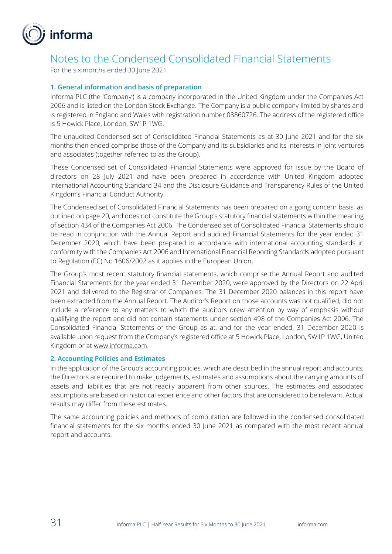

## Notes to the Condensed Consolidated Financial Statements

For the six months ended 30 June 2021

### **1. General information and basis of preparation**

Informa PLC (the 'Company') is a company incorporated in the United Kingdom under the Companies Act 2006 and is listed on the London Stock Exchange. The Company is a public company limited by shares and is registered in England and Wales with registration number 08860726. The address of the registered office is 5 Howick Place, London, SW1P 1WG.

The unaudited Condensed set of Consolidated Financial Statements as at 30 June 2021 and for the six months then ended comprise those of the Company and its subsidiaries and its interests in joint ventures and associates (together referred to as the Group).

These Condensed set of Consolidated Financial Statements were approved for issue by the Board of directors on 28 July 2021 and have been prepared in accordance with United Kingdom adopted International Accounting Standard 34 and the Disclosure Guidance and Transparency Rules of the United Kingdom's Financial Conduct Authority.

The Condensed set of Consolidated Financial Statements has been prepared on a going concern basis, as outlined on page 20, and does not constitute the Group's statutory financial statements within the meaning of section 434 of the Companies Act 2006. The Condensed set of Consolidated Financial Statements should be read in conjunction with the Annual Report and audited Financial Statements for the year ended 31 December 2020, which have been prepared in accordance with international accounting standards in conformity with the Companies Act 2006 and International Financial Reporting Standards adopted pursuant to Regulation (EC) No 1606/2002 as it applies in the European Union.

The Group's most recent statutory financial statements, which comprise the Annual Report and audited Financial Statements for the year ended 31 December 2020, were approved by the Directors on 22 April 2021 and delivered to the Registrar of Companies. The 31 December 2020 balances in this report have been extracted from the Annual Report. The Auditor's Report on those accounts was not qualified, did not include a reference to any matters to which the auditors drew attention by way of emphasis without qualifying the report and did not contain statements under section 498 of the Companies Act 2006. The Consolidated Financial Statements of the Group as at, and for the year ended, 31 December 2020 is available upon request from the Company's registered office at 5 Howick Place, London, SW1P 1WG, United Kingdom or at [www.informa.com.](http://www.informa.com/)

#### **2. Accounting Policies and Estimates**

In the application of the Group's accounting policies, which are described in the annual report and accounts, the Directors are required to make judgements, estimates and assumptions about the carrying amounts of assets and liabilities that are not readily apparent from other sources. The estimates and associated assumptions are based on historical experience and other factors that are considered to be relevant. Actual results may differ from these estimates.

The same accounting policies and methods of computation are followed in the condensed consolidated financial statements for the six months ended 30 June 2021 as compared with the most recent annual report and accounts.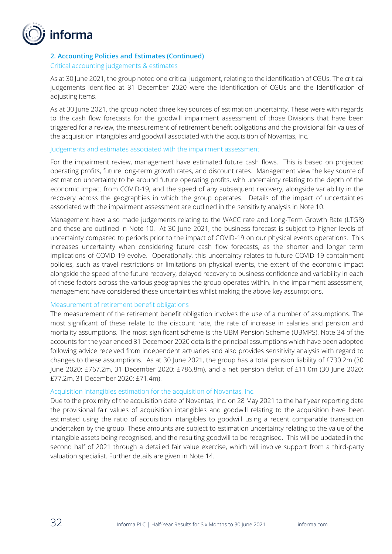

### **2. Accounting Policies and Estimates (Continued)**

#### Critical accounting judgements & estimates

As at 30 June 2021, the group noted one critical judgement, relating to the identification of CGUs. The critical judgements identified at 31 December 2020 were the identification of CGUs and the Identification of adjusting items.

As at 30 June 2021, the group noted three key sources of estimation uncertainty. These were with regards to the cash flow forecasts for the goodwill impairment assessment of those Divisions that have been triggered for a review, the measurement of retirement benefit obligations and the provisional fair values of the acquisition intangibles and goodwill associated with the acquisition of Novantas, Inc.

#### Judgements and estimates associated with the impairment assessment

For the impairment review, management have estimated future cash flows. This is based on projected operating profits, future long-term growth rates, and discount rates. Management view the key source of estimation uncertainty to be around future operating profits, with uncertainty relating to the depth of the economic impact from COVID-19, and the speed of any subsequent recovery, alongside variability in the recovery across the geographies in which the group operates. Details of the impact of uncertainties associated with the impairment assessment are outlined in the sensitivity analysis in Note 10.

Management have also made judgements relating to the WACC rate and Long-Term Growth Rate (LTGR) and these are outlined in Note 10. At 30 June 2021, the business forecast is subject to higher levels of uncertainty compared to periods prior to the impact of COVID-19 on our physical events operations. This increases uncertainty when considering future cash flow forecasts, as the shorter and longer term implications of COVID-19 evolve. Operationally, this uncertainty relates to future COVID-19 containment policies, such as travel restrictions or limitations on physical events, the extent of the economic impact alongside the speed of the future recovery, delayed recovery to business confidence and variability in each of these factors across the various geographies the group operates within. In the impairment assessment, management have considered these uncertainties whilst making the above key assumptions.

#### Measurement of retirement benefit obligations

The measurement of the retirement benefit obligation involves the use of a number of assumptions. The most significant of these relate to the discount rate, the rate of increase in salaries and pension and mortality assumptions. The most significant scheme is the UBM Pension Scheme (UBMPS). Note 34 of the accounts for the year ended 31 December 2020 details the principal assumptions which have been adopted following advice received from independent actuaries and also provides sensitivity analysis with regard to changes to these assumptions. As at 30 June 2021, the group has a total pension liability of £730.2m (30 June 2020: £767.2m, 31 December 2020: £786.8m), and a net pension deficit of £11.0m (30 June 2020: £77.2m, 31 December 2020: £71.4m).

#### Acquisition Intangibles estimation for the acquisition of Novantas, Inc.

Due to the proximity of the acquisition date of Novantas, Inc. on 28 May 2021 to the half year reporting date the provisional fair values of acquisition intangibles and goodwill relating to the acquisition have been estimated using the ratio of acquisition intangibles to goodwill using a recent comparable transaction undertaken by the group. These amounts are subject to estimation uncertainty relating to the value of the intangible assets being recognised, and the resulting goodwill to be recognised. This will be updated in the second half of 2021 through a detailed fair value exercise, which will involve support from a third-party valuation specialist. Further details are given in Note 14.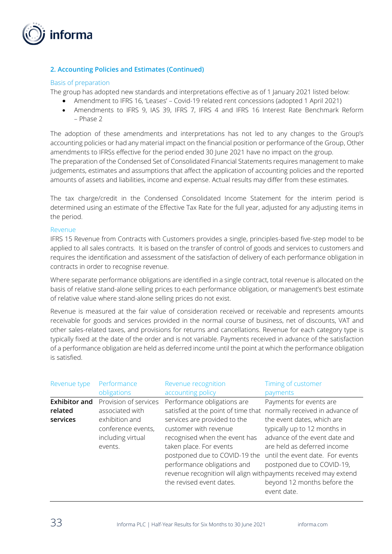

### **2. Accounting Policies and Estimates (Continued)**

#### Basis of preparation

The group has adopted new standards and interpretations effective as of 1 January 2021 listed below:

- Amendment to IFRS 16, 'Leases' Covid-19 related rent concessions (adopted 1 April 2021)
- Amendments to IFRS 9, IAS 39, IFRS 7, IFRS 4 and IFRS 16 Interest Rate Benchmark Reform – Phase 2

The adoption of these amendments and interpretations has not led to any changes to the Group's accounting policies or had any material impact on the financial position or performance of the Group. Other amendments to IFRSs effective for the period ended 30 June 2021 have no impact on the group. The preparation of the Condensed Set of Consolidated Financial Statements requires management to make judgements, estimates and assumptions that affect the application of accounting policies and the reported amounts of assets and liabilities, income and expense. Actual results may differ from these estimates.

The tax charge/credit in the Condensed Consolidated Income Statement for the interim period is determined using an estimate of the Effective Tax Rate for the full year, adjusted for any adjusting items in the period.

#### Revenue

IFRS 15 Revenue from Contracts with Customers provides a single, principles-based five-step model to be applied to all sales contracts. It is based on the transfer of control of goods and services to customers and requires the identification and assessment of the satisfaction of delivery of each performance obligation in contracts in order to recognise revenue.

Where separate performance obligations are identified in a single contract, total revenue is allocated on the basis of relative stand-alone selling prices to each performance obligation, or management's best estimate of relative value where stand-alone selling prices do not exist.

Revenue is measured at the fair value of consideration received or receivable and represents amounts receivable for goods and services provided in the normal course of business, net of discounts, VAT and other sales-related taxes, and provisions for returns and cancellations. Revenue for each category type is typically fixed at the date of the order and is not variable. Payments received in advance of the satisfaction of a performance obligation are held as deferred income until the point at which the performance obligation is satisfied.

| Revenue type                                | Performance                                                                                                      | Revenue recognition                                                                                                                                                                                                                                                                                                                                     | Timing of customer                                                                                                                                                                                                                                                                                       |
|---------------------------------------------|------------------------------------------------------------------------------------------------------------------|---------------------------------------------------------------------------------------------------------------------------------------------------------------------------------------------------------------------------------------------------------------------------------------------------------------------------------------------------------|----------------------------------------------------------------------------------------------------------------------------------------------------------------------------------------------------------------------------------------------------------------------------------------------------------|
|                                             | obligations                                                                                                      | accounting policy                                                                                                                                                                                                                                                                                                                                       | payments                                                                                                                                                                                                                                                                                                 |
| <b>Exhibitor and</b><br>related<br>services | Provision of services<br>associated with<br>exhibition and<br>conference events,<br>including virtual<br>events. | Performance obligations are<br>satisfied at the point of time that<br>services are provided to the<br>customer with revenue<br>recognised when the event has<br>taken place. For events<br>postponed due to COVID-19 the<br>performance obligations and<br>revenue recognition will align with payments received may extend<br>the revised event dates. | Payments for events are<br>normally received in advance of<br>the event dates, which are<br>typically up to 12 months in<br>advance of the event date and<br>are held as deferred income<br>until the event date. For events<br>postponed due to COVID-19,<br>beyond 12 months before the<br>event date. |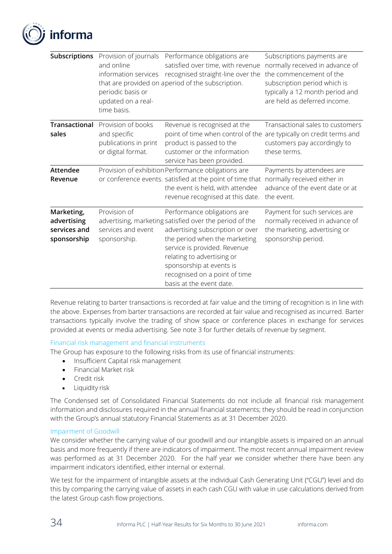

| <b>Subscriptions</b>                                     | Provision of journals<br>and online<br>information services<br>periodic basis or<br>updated on a real-<br>time basis. | Performance obligations are<br>satisfied over time, with revenue<br>recognised straight-line over the<br>that are provided on aperiod of the subscription.                                                                                                                                                         | Subscriptions payments are<br>normally received in advance of<br>the commencement of the<br>subscription period which is<br>typically a 12 month period and<br>are held as deferred income. |
|----------------------------------------------------------|-----------------------------------------------------------------------------------------------------------------------|--------------------------------------------------------------------------------------------------------------------------------------------------------------------------------------------------------------------------------------------------------------------------------------------------------------------|---------------------------------------------------------------------------------------------------------------------------------------------------------------------------------------------|
| Transactional<br>sales                                   | Provision of books<br>and specific<br>publications in print<br>or digital format.                                     | Revenue is recognised at the<br>point of time when control of the are typically on credit terms and<br>product is passed to the<br>customer or the information<br>service has been provided.                                                                                                                       | Transactional sales to customers<br>customers pay accordingly to<br>these terms.                                                                                                            |
| Attendee<br>Revenue                                      |                                                                                                                       | Provision of exhibition Performance obligations are<br>or conference events. satisfied at the point of time that<br>the event is held, with attendee<br>revenue recognised at this date.                                                                                                                           | Payments by attendees are<br>normally received either in<br>advance of the event date or at<br>the event.                                                                                   |
| Marketing,<br>advertising<br>services and<br>sponsorship | Provision of<br>services and event<br>sponsorship.                                                                    | Performance obligations are<br>advertising, marketing satisfied over the period of the<br>advertising subscription or over<br>the period when the marketing<br>service is provided. Revenue<br>relating to advertising or<br>sponsorship at events is<br>recognised on a point of time<br>basis at the event date. | Payment for such services are<br>normally received in advance of<br>the marketing, advertising or<br>sponsorship period.                                                                    |

Revenue relating to barter transactions is recorded at fair value and the timing of recognition is in line with the above. Expenses from barter transactions are recorded at fair value and recognised as incurred. Barter transactions typically involve the trading of show space or conference places in exchange for services provided at events or media advertising. See note 3 for further details of revenue by segment.

### Financial risk management and financial instruments

The Group has exposure to the following risks from its use of financial instruments:

- Insufficient Capital risk management
- Financial Market risk
- Credit risk
- Liquidity risk

The Condensed set of Consolidated Financial Statements do not include all financial risk management information and disclosures required in the annual financial statements; they should be read in conjunction with the Group's annual statutory Financial Statements as at 31 December 2020.

#### Impairment of Goodwill

We consider whether the carrying value of our goodwill and our intangible assets is impaired on an annual basis and more frequently if there are indicators of impairment. The most recent annual impairment review was performed as at 31 December 2020. For the half year we consider whether there have been any impairment indicators identified, either internal or external.

We test for the impairment of intangible assets at the individual Cash Generating Unit ("CGU") level and do this by comparing the carrying value of assets in each cash CGU with value in use calculations derived from the latest Group cash flow projections.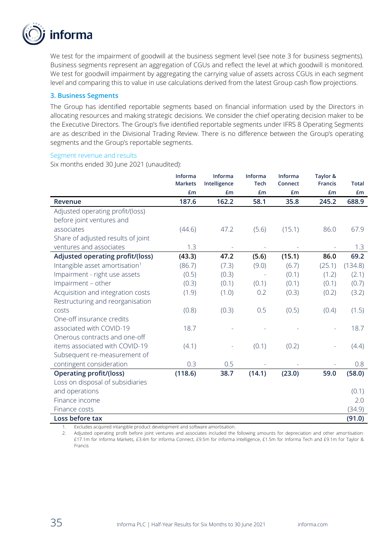

We test for the impairment of goodwill at the business segment level (see note 3 for business segments). Business segments represent an aggregation of CGUs and reflect the level at which goodwill is monitored. We test for goodwill impairment by aggregating the carrying value of assets across CGUs in each segment level and comparing this to value in use calculations derived from the latest Group cash flow projections.

#### **3. Business Segments**

The Group has identified reportable segments based on financial information used by the Directors in allocating resources and making strategic decisions. We consider the chief operating decision maker to be the Executive Directors. The Group's five identified reportable segments under IFRS 8 Operating Segments are as described in the Divisional Trading Review. There is no difference between the Group's operating segments and the Group's reportable segments.

#### Segment revenue and results

Six months ended 30 June 2021 (unaudited):

|                                            | Informa<br><b>Markets</b> | Informa<br>Intelligence | Informa<br><b>Tech</b> | Informa<br>Connect | Taylor &<br><b>Francis</b> | <b>Total</b> |
|--------------------------------------------|---------------------------|-------------------------|------------------------|--------------------|----------------------------|--------------|
|                                            | £m                        | £m                      | £m                     | £m                 | £m                         | £m           |
| Revenue                                    | 187.6                     | 162.2                   | 58.1                   | 35.8               | 245.2                      | 688.9        |
| Adjusted operating profit/(loss)           |                           |                         |                        |                    |                            |              |
| before joint ventures and                  |                           |                         |                        |                    |                            |              |
| associates                                 | (44.6)                    | 47.2                    | (5.6)                  | (15.1)             | 86.0                       | 67.9         |
| Share of adjusted results of joint         |                           |                         |                        |                    |                            |              |
| ventures and associates                    | 1.3                       |                         |                        |                    |                            | 1.3          |
| Adjusted operating profit/(loss)           | (43.3)                    | 47.2                    | (5.6)                  | (15.1)             | 86.0                       | 69.2         |
| Intangible asset amortisation <sup>1</sup> | (86.7)                    | (7.3)                   | (9.0)                  | (6.7)              | (25.1)                     | (134.8)      |
| Impairment - right use assets              | (0.5)                     | (0.3)                   |                        | (0.1)              | (1.2)                      | (2.1)        |
| Impairment - other                         | (0.3)                     | (0.1)                   | (0.1)                  | (0.1)              | (0.1)                      | (0.7)        |
| Acquisition and integration costs          | (1.9)                     | (1.0)                   | 0.2                    | (0.3)              | (0.2)                      | (3.2)        |
| Restructuring and reorganisation           |                           |                         |                        |                    |                            |              |
| costs                                      | (0.8)                     | (0.3)                   | 0.5                    | (0.5)              | (0.4)                      | (1.5)        |
| One-off insurance credits                  |                           |                         |                        |                    |                            |              |
| associated with COVID-19                   | 18.7                      |                         |                        |                    |                            | 18.7         |
| Onerous contracts and one-off              |                           |                         |                        |                    |                            |              |
| items associated with COVID-19             | (4.1)                     |                         | (0.1)                  | (0.2)              |                            | (4.4)        |
| Subsequent re-measurement of               |                           |                         |                        |                    |                            |              |
| contingent consideration                   | 0.3                       | 0.5                     |                        |                    |                            | 0.8          |
| <b>Operating profit/(loss)</b>             | (118.6)                   | 38.7                    | (14.1)                 | (23.0)             | 59.0                       | (58.0)       |
| Loss on disposal of subsidiaries           |                           |                         |                        |                    |                            |              |
| and operations                             |                           |                         |                        |                    |                            | (0.1)        |
| Finance income                             |                           |                         |                        |                    |                            | 2.0          |
| Finance costs                              |                           |                         |                        |                    |                            | (34.9)       |
| Loss before tax                            |                           |                         |                        |                    |                            | (91.0)       |

Excludes acquired intangible product development and software amortisation.

2. Adjusted operating profit before joint ventures and associates included the following amounts for depreciation and other amortisation: £17.1m for Informa Markets, £3.4m for Informa Connect, £9.5m for Informa Intelligence, £1.5m for Informa Tech and £9.1m for Taylor & Francis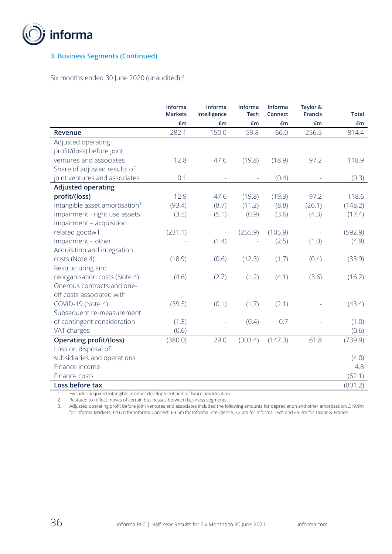

## **3. Business Segments (Continued)**

Six months ended 30 June 2020 (unaudited):<sup>2</sup>

|                                            | Informa<br><b>Markets</b> | Informa<br>Intelligence | Informa<br><b>Tech</b> | Informa<br>Connect | Taylor &<br><b>Francis</b> | <b>Total</b> |
|--------------------------------------------|---------------------------|-------------------------|------------------------|--------------------|----------------------------|--------------|
|                                            | £m                        | £m                      | £m                     | £m                 | £m                         | £m           |
| Revenue                                    | 282.1                     | 150.0                   | 59.8                   | 66.0               | 256.5                      | 814.4        |
| Adjusted operating                         |                           |                         |                        |                    |                            |              |
| profit/(loss) before joint                 |                           |                         |                        |                    |                            |              |
| ventures and associates                    | 12.8                      | 47.6                    | (19.8)                 | (18.9)             | 97.2                       | 118.9        |
| Share of adjusted results of               |                           |                         |                        |                    |                            |              |
| joint ventures and associates              | 0.1                       |                         |                        | (0.4)              |                            | (0.3)        |
| <b>Adjusted operating</b>                  |                           |                         |                        |                    |                            |              |
| profit/(loss)                              | 12.9                      | 47.6                    | (19.8)                 | (19.3)             | 97.2                       | 118.6        |
| Intangible asset amortisation <sup>1</sup> | (93.4)                    | (8.7)                   | (11.2)                 | (8.8)              | (26.1)                     | (148.2)      |
| Impairment - right use assets              | (3.5)                     | (5.1)                   | (0.9)                  | (3.6)              | (4.3)                      | (17.4)       |
| Impairment - acquisition                   |                           |                         |                        |                    |                            |              |
| related goodwill                           | (231.1)                   |                         | (255.9)                | (105.9)            |                            | (592.9)      |
| Impairment - other                         |                           | (1.4)                   |                        | (2.5)              | (1.0)                      | (4.9)        |
| Acquisition and integration                |                           |                         |                        |                    |                            |              |
| costs (Note 4)                             | (18.9)                    | (0.6)                   | (12.3)                 | (1.7)              | (0.4)                      | (33.9)       |
| Restructuring and                          |                           |                         |                        |                    |                            |              |
| reorganisation costs (Note 4)              | (4.6)                     | (2.7)                   | (1.2)                  | (4.1)              | (3.6)                      | (16.2)       |
| Onerous contracts and one-                 |                           |                         |                        |                    |                            |              |
| off costs associated with                  |                           |                         |                        |                    |                            |              |
| COVID-19 (Note 4)                          | (39.5)                    | (0.1)                   | (1.7)                  | (2.1)              |                            | (43.4)       |
| Subsequent re-measurement                  |                           |                         |                        |                    |                            |              |
| of contingent consideration                | (1.3)                     |                         | (0.4)                  | 0.7                |                            | (1.0)        |
| VAT charges                                | (0.6)                     |                         |                        |                    |                            | (0.6)        |
| <b>Operating profit/(loss)</b>             | (380.0)                   | 29.0                    | (303.4)                | (147.3)            | 61.8                       | (739.9)      |
| Loss on disposal of                        |                           |                         |                        |                    |                            |              |
| subsidiaries and operations                |                           |                         |                        |                    |                            | (4.0)        |
| Finance income                             |                           |                         |                        |                    |                            | 4.8          |
| Finance costs                              |                           |                         |                        |                    |                            | (62.1)       |
| Loss before tax                            |                           |                         |                        |                    |                            | (801.2)      |

1. Excludes acquired intangible product development and software amortisation.

2. Restated to reflect moves of certain businesses between business segments

3. Adjusted operating profit before joint ventures and associates included the following amounts for depreciation and other amortisation: £19.9m for Informa Markets, £4.6m for Informa Connect, £9.5m for Informa Intelligence, £2.0m for Informa Tech and £9.2m for Taylor & Francis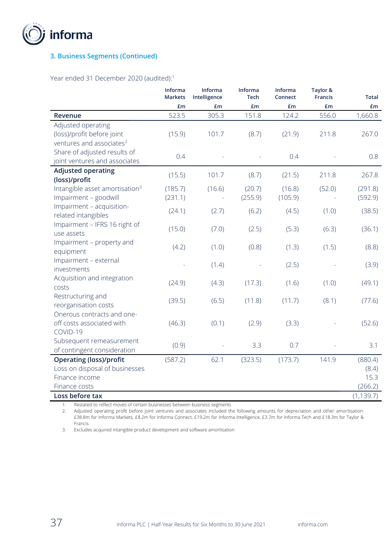

## **3. Business Segments (Continued)**

Year ended 31 December 2020 (audited):<sup>1</sup>

|                                                                                          | Informa<br><b>Markets</b> | Informa<br>Intelligence | Informa<br><b>Tech</b> | Informa<br>Connect | Taylor &<br>Francis | <b>Total</b>          |
|------------------------------------------------------------------------------------------|---------------------------|-------------------------|------------------------|--------------------|---------------------|-----------------------|
|                                                                                          | £m                        | £m                      | £m                     | £m                 | £m                  | £m                    |
| <b>Revenue</b>                                                                           | 523.5                     | 305.3                   | 151.8                  | 124.2              | 556.0               | 1,660.8               |
| Adjusted operating<br>(loss)/profit before joint<br>ventures and associates <sup>2</sup> | (15.9)                    | 101.7                   | (8.7)                  | (21.9)             | 211.8               | 267.0                 |
| Share of adjusted results of<br>joint ventures and associates                            | 0.4                       |                         |                        | 0.4                |                     | 0.8                   |
| <b>Adjusted operating</b>                                                                | (15.5)                    | 101.7                   | (8.7)                  | (21.5)             | 211.8               | 267.8                 |
| (loss)/profit<br>Intangible asset amortisation <sup>3</sup><br>Impairment - goodwill     | (185.7)<br>(231.1)        | (16.6)                  | (20.7)<br>(255.9)      | (16.8)<br>(105.9)  | (52.0)              | (291.8)<br>(592.9)    |
| Impairment - acquisition-<br>related intangibles                                         | (24.1)                    | (2.7)                   | (6.2)                  | (4.5)              | (1.0)               | (38.5)                |
| Impairment - IFRS 16 right of<br>use assets                                              | (15.0)                    | (7.0)                   | (2.5)                  | (5.3)              | (6.3)               | (36.1)                |
| Impairment - property and<br>equipment                                                   | (4.2)                     | (1.0)                   | (0.8)                  | (1.3)              | (1.5)               | (8.8)                 |
| Impairment - external<br>investments                                                     |                           | (1.4)                   |                        | (2.5)              |                     | (3.9)                 |
| Acquisition and integration<br>costs                                                     | (24.9)                    | (4.3)                   | (17.3)                 | (1.6)              | (1.0)               | (49.1)                |
| Restructuring and<br>reorganisation costs                                                | (39.5)                    | (6.5)                   | (11.8)                 | (11.7)             | (8.1)               | (77.6)                |
| Onerous contracts and one-<br>off costs associated with<br>COVID-19                      | (46.3)                    | (0.1)                   | (2.9)                  | (3.3)              |                     | (52.6)                |
| Subsequent remeasurement<br>of contingent consideration                                  | (0.9)                     |                         | 3.3                    | 0.7                |                     | 3.1                   |
| <b>Operating (loss)/profit</b>                                                           | (587.2)                   | 62.1                    | (323.5)                | (173.7)            | 141.9               | (880.4)               |
| Loss on disposal of businesses                                                           |                           |                         |                        |                    |                     | (8.4)                 |
| Finance income                                                                           |                           |                         |                        |                    |                     | 15.3                  |
| Finance costs<br>Loss before tax                                                         |                           |                         |                        |                    |                     | (266.2)<br>(1, 139.7) |
|                                                                                          |                           |                         |                        |                    |                     |                       |

1. Restated to reflect moves of certain businesses between business segments

2. Adjusted operating profit before joint ventures and associates included the following amounts for depreciation and other amortisation: £38.8m for Informa Markets, £8.2m for Informa Connect, £19.2m for Informa Intelligence, £3.7m for Informa Tech and £18.3m for Taylor & Francis

3. Excludes acquired intangible product development and software amortisation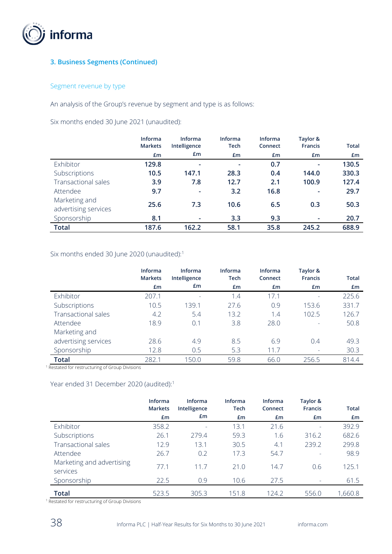

## **3. Business Segments (Continued)**

## Segment revenue by type

An analysis of the Group's revenue by segment and type is as follows:

Six months ended 30 June 2021 (unaudited):

|                                       | <b>Informa</b><br><b>Markets</b> | Informa<br>Intelligence  | Informa<br><b>Tech</b> | <b>Informa</b><br>Connect | Taylor &<br><b>Francis</b> | <b>Total</b> |
|---------------------------------------|----------------------------------|--------------------------|------------------------|---------------------------|----------------------------|--------------|
|                                       | £m                               | £m                       | £m                     | £m                        | £m                         | £m           |
| Exhibitor                             | 129.8                            | $\overline{\phantom{a}}$ | ۰                      | 0.7                       | ٠                          | 130.5        |
| Subscriptions                         | 10.5                             | 147.1                    | 28.3                   | 0.4                       | 144.0                      | 330.3        |
| <b>Transactional sales</b>            | 3.9                              | 7.8                      | 12.7                   | 2.1                       | 100.9                      | 127.4        |
| Attendee                              | 9.7                              |                          | 3.2                    | 16.8                      |                            | 29.7         |
| Marketing and<br>advertising services | 25.6                             | 7.3                      | 10.6                   | 6.5                       | 0.3                        | 50.3         |
| Sponsorship                           | 8.1                              |                          | 3.3                    | 9.3                       |                            | 20.7         |
| <b>Total</b>                          | 187.6                            | 162.2                    | 58.1                   | 35.8                      | 245.2                      | 688.9        |

## Six months ended 30 June 2020 (unaudited):<sup>1</sup>

|                            | Informa<br><b>Markets</b> | <b>Informa</b><br>Intelligence | Informa<br><b>Tech</b> | <b>Informa</b><br>Connect | Taylor &<br><b>Francis</b> | <b>Total</b> |
|----------------------------|---------------------------|--------------------------------|------------------------|---------------------------|----------------------------|--------------|
|                            | £m                        | £m                             | £m                     | Em                        | £m                         | £m           |
| Exhibitor                  | 207.1                     |                                | 1.4                    | 17.1                      | $\overline{\phantom{a}}$   | 225.6        |
| Subscriptions              | 10.5                      | 139.1                          | 27.6                   | 0.9                       | 153.6                      | 331.7        |
| <b>Transactional sales</b> | 4.2                       | 5.4                            | 13.2                   | 1.4                       | 102.5                      | 126.7        |
| Attendee                   | 18.9                      | 0.1                            | 3.8                    | 28.0                      | $\overline{\phantom{a}}$   | 50.8         |
| Marketing and              |                           |                                |                        |                           |                            |              |
| advertising services       | 28.6                      | 4.9                            | 8.5                    | 6.9                       | 0.4                        | 49.3         |
| Sponsorship                | 12.8                      | 0.5                            | 5.3                    | 11.7                      | $\overline{\phantom{a}}$   | 30.3         |
| <b>Total</b>               | 282.1                     | 150.0                          | 59.8                   | 66.0                      | 256.5                      | 814.4        |

<sup>1</sup> Restated for restructuring of Group Divisions

#### Year ended 31 December 2020 (audited): 1

|                                       | Informa<br><b>Markets</b> | <b>Informa</b><br>Intelligence | Informa<br><b>Tech</b> | <b>Informa</b><br>Connect | Taylor &<br><b>Francis</b> | <b>Total</b> |
|---------------------------------------|---------------------------|--------------------------------|------------------------|---------------------------|----------------------------|--------------|
|                                       | £m                        | £m                             | £m                     | £m                        | £m                         | £m           |
| Exhibitor                             | 358.2                     | $\overline{\phantom{a}}$       | 13.1                   | 21.6                      |                            | 392.9        |
| Subscriptions                         | 26.1                      | 279.4                          | 59.3                   | 1.6                       | 316.2                      | 682.6        |
| <b>Transactional sales</b>            | 12.9                      | 13.1                           | 30.5                   | 4.1                       | 239.2                      | 299.8        |
| Attendee                              | 26.7                      | 0.2                            | 17.3                   | 54.7                      | ٠                          | 98.9         |
| Marketing and advertising<br>services | 77.1                      | 11.7                           | 21.0                   | 14.7                      | 0.6                        | 125.1        |
| Sponsorship                           | 22.5                      | 0.9                            | 10.6                   | 27.5                      | -                          | 61.5         |
| <b>Total</b>                          | 523.5                     | 305.3                          | 151.8                  | 124.2                     | 556.0                      | 1,660.8      |

<sup>1</sup> Restated for restructuring of Group Divisions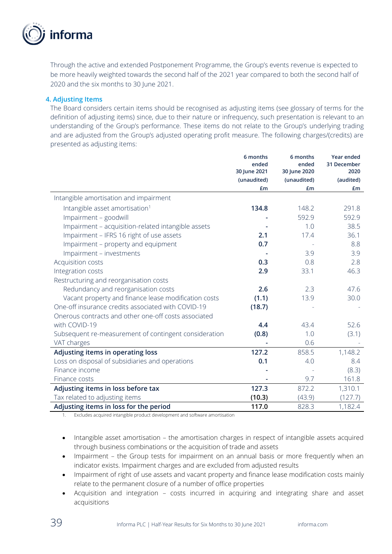

Through the active and extended Postponement Programme, the Group's events revenue is expected to be more heavily weighted towards the second half of the 2021 year compared to both the second half of 2020 and the six months to 30 June 2021.

### **4. Adjusting Items**

The Board considers certain items should be recognised as adjusting items (see glossary of terms for the definition of adjusting items) since, due to their nature or infrequency, such presentation is relevant to an understanding of the Group's performance. These items do not relate to the Group's underlying trading and are adjusted from the Group's adjusted operating profit measure. The following charges/(credits) are presented as adjusting items:

|                                                       | 6 months<br>ended           | 6 months<br>ended           | Year ended<br>31 December |
|-------------------------------------------------------|-----------------------------|-----------------------------|---------------------------|
|                                                       | 30 June 2021<br>(unaudited) | 30 June 2020<br>(unaudited) | 2020<br>(audited)         |
|                                                       | £m                          | £m                          | <b>£m</b>                 |
| Intangible amortisation and impairment                |                             |                             |                           |
| Intangible asset amortisation <sup>1</sup>            | 134.8                       | 148.2                       | 291.8                     |
| Impairment - goodwill                                 |                             | 592.9                       | 592.9                     |
| Impairment - acquisition-related intangible assets    |                             | 1.0                         | 38.5                      |
| Impairment - IFRS 16 right of use assets              | 2.1                         | 17.4                        | 36.1                      |
| Impairment - property and equipment                   | 0.7                         |                             | 8.8                       |
| Impairment - investments                              |                             | 3.9                         | 3.9                       |
| Acquisition costs                                     | 0.3                         | 0.8                         | 2.8                       |
| Integration costs                                     | 2.9                         | 33.1                        | 46.3                      |
| Restructuring and reorganisation costs                |                             |                             |                           |
| Redundancy and reorganisation costs                   | 2.6                         | 2.3                         | 47.6                      |
| Vacant property and finance lease modification costs  | (1.1)                       | 13.9                        | 30.0                      |
| One-off insurance credits associated with COVID-19    | (18.7)                      |                             |                           |
| Onerous contracts and other one-off costs associated  |                             |                             |                           |
| with COVID-19                                         | 4.4                         | 43.4                        | 52.6                      |
| Subsequent re-measurement of contingent consideration | (0.8)                       | 1.0                         | (3.1)                     |
| VAT charges                                           |                             | 0.6                         |                           |
| Adjusting items in operating loss                     | 127.2                       | 858.5                       | 1,148.2                   |
| Loss on disposal of subsidiaries and operations       | 0.1                         | 4.0                         | 8.4                       |
| Finance income                                        |                             |                             | (8.3)                     |
| Finance costs                                         |                             | 9.7                         | 161.8                     |
| Adjusting items in loss before tax                    | 127.3                       | 872.2                       | 1,310.1                   |
| Tax related to adjusting items                        | (10.3)                      | (43.9)                      | (127.7)                   |
| Adjusting items in loss for the period                | 117.0                       | 828.3                       | 1,182.4                   |

1. Excludes acquired intangible product development and software amortisation

- Intangible asset amortisation the amortisation charges in respect of intangible assets acquired through business combinations or the acquisition of trade and assets
- Impairment the Group tests for impairment on an annual basis or more frequently when an indicator exists. Impairment charges and are excluded from adjusted results
- Impairment of right of use assets and vacant property and finance lease modification costs mainly relate to the permanent closure of a number of office properties
- Acquisition and integration costs incurred in acquiring and integrating share and asset acquisitions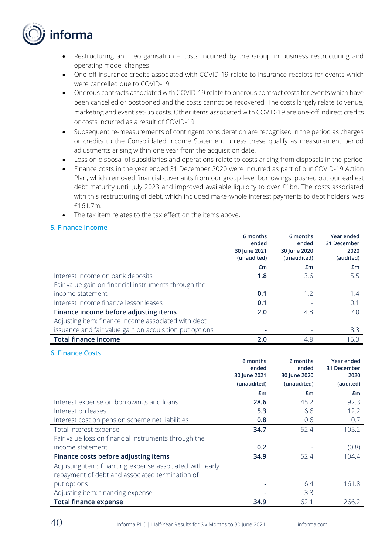

- Restructuring and reorganisation costs incurred by the Group in business restructuring and operating model changes
- One-off insurance credits associated with COVID-19 relate to insurance receipts for events which were cancelled due to COVID-19
- Onerous contracts associated with COVID-19 relate to onerous contract costs for events which have been cancelled or postponed and the costs cannot be recovered. The costs largely relate to venue, marketing and event set-up costs. Other items associated with COVID-19 are one-off indirect credits or costs incurred as a result of COVID-19.
- Subsequent re-measurements of contingent consideration are recognised in the period as charges or credits to the Consolidated Income Statement unless these qualify as measurement period adjustments arising within one year from the acquisition date.
- Loss on disposal of subsidiaries and operations relate to costs arising from disposals in the period
- Finance costs in the year ended 31 December 2020 were incurred as part of our COVID-19 Action Plan, which removed financial covenants from our group level borrowings, pushed out our earliest debt maturity until July 2023 and improved available liquidity to over £1bn. The costs associated with this restructuring of debt, which included make-whole interest payments to debt holders, was £161.7m.
- The tax item relates to the tax effect on the items above.

#### **5. Finance Income**

|                                                         | 6 months<br>ended           | 6 months<br>ended           | Year ended<br>31 December |
|---------------------------------------------------------|-----------------------------|-----------------------------|---------------------------|
|                                                         | 30 June 2021<br>(unaudited) | 30 June 2020<br>(unaudited) | 2020<br>(audited)         |
|                                                         | £m                          | £m                          | £m                        |
| Interest income on bank deposits                        | 1.8                         | 3.6                         | 5.5                       |
| Fair value gain on financial instruments through the    |                             |                             |                           |
| income statement                                        | 0.1                         | 1.2                         | 1.4                       |
| Interest income finance lessor leases                   | 0.1                         |                             | 0.1                       |
| Finance income before adjusting items                   | 2.0                         | 4.8                         | 7.0                       |
| Adjusting item: finance income associated with debt     |                             |                             |                           |
| issuance and fair value gain on acquisition put options | $\overline{\phantom{0}}$    |                             | 8.3                       |
| <b>Total finance income</b>                             | 2.0                         | 4.8                         | 15.3                      |

**6. Finance Costs**

|                                                         | 6 months<br>ended | 6 months<br>ended | Year ended<br>31 December |
|---------------------------------------------------------|-------------------|-------------------|---------------------------|
|                                                         | 30 June 2021      | 30 June 2020      | 2020                      |
|                                                         | (unaudited)       | (unaudited)       | (audited)                 |
|                                                         | £m                | £m                | £m                        |
| Interest expense on borrowings and loans                | 28.6              | 45.2              | 92.3                      |
| Interest on leases                                      | 5.3               | 6.6               | 12.2                      |
| Interest cost on pension scheme net liabilities         | 0.8               | 0.6               | 0.7                       |
| Total interest expense                                  | 34.7              | 52.4              | 105.2                     |
| Fair value loss on financial instruments through the    |                   |                   |                           |
| income statement                                        | 0.2               |                   | (0.8)                     |
| Finance costs before adjusting items                    | 34.9              | 52.4              | 104.4                     |
| Adjusting item: financing expense associated with early |                   |                   |                           |
| repayment of debt and associated termination of         |                   |                   |                           |
| put options                                             |                   | 6.4               | 161.8                     |
| Adjusting item: financing expense                       |                   | 3.3               |                           |
| <b>Total finance expense</b>                            | 34.9              | 62.1              | 266.2                     |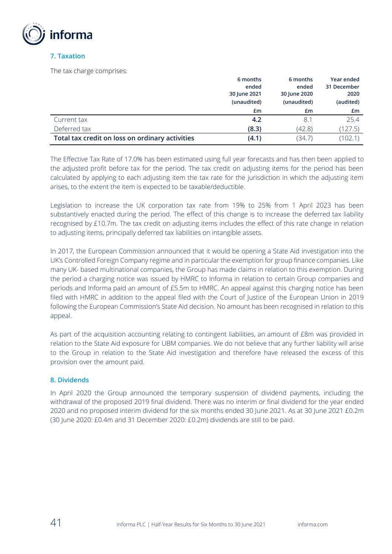

### **7. Taxation**

The tax charge comprises:

|                                                 | 6 months     | 6 months     | Year ended  |
|-------------------------------------------------|--------------|--------------|-------------|
|                                                 | ended        | ended        | 31 December |
|                                                 | 30 June 2021 | 30 June 2020 | 2020        |
|                                                 | (unaudited)  | (unaudited)  | (audited)   |
|                                                 | £m           | £m           | £m          |
| Current tax                                     | 4.2          | 8.1          | 25.4        |
| Deferred tax                                    | (8.3)        | (42.8)       | (127.5)     |
| Total tax credit on loss on ordinary activities | (4.1)        | (34.7)       | (102.1)     |

The Effective Tax Rate of 17.0% has been estimated using full year forecasts and has then been applied to the adjusted profit before tax for the period. The tax credit on adjusting items for the period has been calculated by applying to each adjusting item the tax rate for the jurisdiction in which the adjusting item arises, to the extent the item is expected to be taxable/deductible.

Legislation to increase the UK corporation tax rate from 19% to 25% from 1 April 2023 has been substantively enacted during the period. The effect of this change is to increase the deferred tax liability recognised by £10.7m. The tax credit on adjusting items includes the effect of this rate change in relation to adjusting items, principally deferred tax liabilities on intangible assets.

In 2017, the European Commission announced that it would be opening a State Aid investigation into the UK's Controlled Foreign Company regime and in particular the exemption for group finance companies. Like many UK- based multinational companies, the Group has made claims in relation to this exemption. During the period a charging notice was issued by HMRC to Informa in relation to certain Group companies and periods and Informa paid an amount of £5.5m to HMRC. An appeal against this charging notice has been filed with HMRC in addition to the appeal filed with the Court of Justice of the European Union in 2019 following the European Commission's State Aid decision. No amount has been recognised in relation to this appeal.

As part of the acquisition accounting relating to contingent liabilities, an amount of £8m was provided in relation to the State Aid exposure for UBM companies. We do not believe that any further liability will arise to the Group in relation to the State Aid investigation and therefore have released the excess of this provision over the amount paid.

### **8. Dividends**

In April 2020 the Group announced the temporary suspension of dividend payments, including the withdrawal of the proposed 2019 final dividend. There was no interim or final dividend for the year ended 2020 and no proposed interim dividend for the six months ended 30 June 2021. As at 30 June 2021 £0.2m (30 June 2020: £0.4m and 31 December 2020: £0.2m) dividends are still to be paid.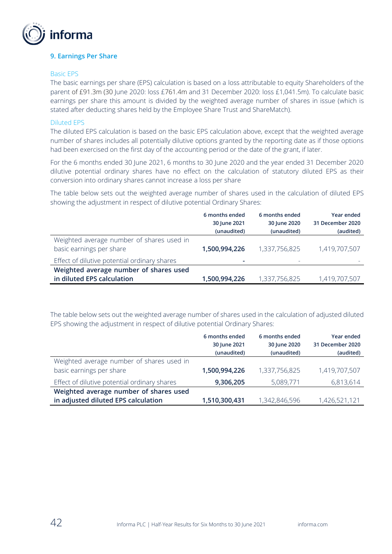

#### **9. Earnings Per Share**

#### Basic EPS

The basic earnings per share (EPS) calculation is based on a loss attributable to equity Shareholders of the parent of £91.3m (30 June 2020: loss £761.4m and 31 December 2020: loss £1,041.5m). To calculate basic earnings per share this amount is divided by the weighted average number of shares in issue (which is stated after deducting shares held by the Employee Share Trust and ShareMatch).

#### Diluted EPS

The diluted EPS calculation is based on the basic EPS calculation above, except that the weighted average number of shares includes all potentially dilutive options granted by the reporting date as if those options had been exercised on the first day of the accounting period or the date of the grant, if later.

For the 6 months ended 30 June 2021, 6 months to 30 June 2020 and the year ended 31 December 2020 dilutive potential ordinary shares have no effect on the calculation of statutory diluted EPS as their conversion into ordinary shares cannot increase a loss per share

The table below sets out the weighted average number of shares used in the calculation of diluted EPS showing the adjustment in respect of dilutive potential Ordinary Shares:

|                                                                                                                       | 6 months ended<br>30 June 2021<br>(unaudited) | 6 months ended<br>30 June 2020<br>(unaudited) | Year ended<br>31 December 2020<br>(audited) |
|-----------------------------------------------------------------------------------------------------------------------|-----------------------------------------------|-----------------------------------------------|---------------------------------------------|
| Weighted average number of shares used in<br>basic earnings per share<br>Effect of dilutive potential ordinary shares | 1,500,994,226                                 | 1,337,756,825                                 | 1,419,707,507                               |
| Weighted average number of shares used<br>in diluted EPS calculation                                                  | 1,500,994,226                                 | 1,337,756,825                                 | 1,419,707,507                               |

The table below sets out the weighted average number of shares used in the calculation of adjusted diluted EPS showing the adjustment in respect of dilutive potential Ordinary Shares:

|                                              | 6 months ended | 6 months ended | Year ended       |
|----------------------------------------------|----------------|----------------|------------------|
|                                              | 30 June 2021   | 30 June 2020   | 31 December 2020 |
|                                              | (unaudited)    | (unaudited)    | (audited)        |
| Weighted average number of shares used in    |                |                |                  |
| basic earnings per share                     | 1,500,994,226  | 1,337,756,825  | 1,419,707,507    |
| Effect of dilutive potential ordinary shares | 9,306,205      | 5,089,771      | 6,813,614        |
| Weighted average number of shares used       |                |                |                  |
| in adjusted diluted EPS calculation          | 1,510,300,431  | 1,342,846,596  | 1,426,521,121    |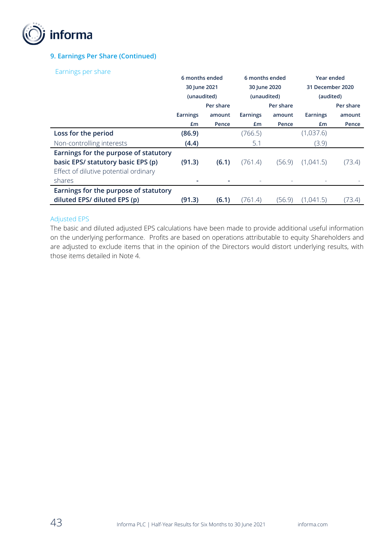

## **9. Earnings Per Share (Continued)**

Earnings per share

| 30 June 2021                          |           | 30 June 2020                  |           | 31 December 2020              |            |
|---------------------------------------|-----------|-------------------------------|-----------|-------------------------------|------------|
|                                       |           |                               |           | (audited)                     |            |
|                                       | Per share |                               | Per share |                               | Per share  |
| Earnings                              | amount    | <b>Earnings</b>               | amount    | <b>Earnings</b>               | amount     |
| £m                                    | Pence     | £m                            | Pence     | £m                            | Pence      |
| (86.9)                                |           | (766.5)                       |           | (1,037.6)                     |            |
| (4.4)                                 |           | 5.1                           |           | (3.9)                         |            |
| Earnings for the purpose of statutory |           |                               |           |                               |            |
| (91.3)                                | (6.1)     | (761.4)                       | (56.9)    | (1,041.5)                     | (73.4)     |
|                                       |           |                               |           |                               |            |
|                                       |           |                               |           |                               |            |
| Earnings for the purpose of statutory |           |                               |           |                               |            |
| (91.3)                                | (6.1)     | (761.4)                       | (56.9)    | (1,041.5)                     | (73.4)     |
|                                       |           | 6 months ended<br>(unaudited) |           | 6 months ended<br>(unaudited) | Year ended |

#### Adjusted EPS

The basic and diluted adjusted EPS calculations have been made to provide additional useful information on the underlying performance. Profits are based on operations attributable to equity Shareholders and are adjusted to exclude items that in the opinion of the Directors would distort underlying results, with those items detailed in Note 4.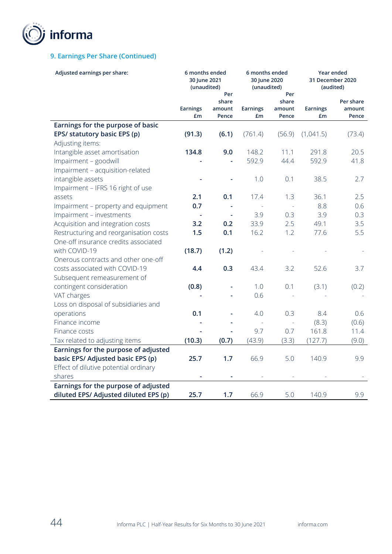

## **9. Earnings Per Share (Continued)**

| Adjusted earnings per share:                          | 6 months ended<br>30 June 2021<br>(unaudited) |                                 | 6 months ended<br>30 June 2020<br>(unaudited) |                                 | Year ended<br>31 December 2020<br>(audited) |                              |
|-------------------------------------------------------|-----------------------------------------------|---------------------------------|-----------------------------------------------|---------------------------------|---------------------------------------------|------------------------------|
|                                                       | Earnings<br>£m                                | Per<br>share<br>amount<br>Pence | <b>Earnings</b><br>£m                         | Per<br>share<br>amount<br>Pence | <b>Earnings</b><br>£m                       | Per share<br>amount<br>Pence |
| Earnings for the purpose of basic                     |                                               |                                 |                                               |                                 |                                             |                              |
| EPS/ statutory basic EPS (p)                          | (91.3)                                        | (6.1)                           | (761.4)                                       | (56.9)                          | (1,041.5)                                   | (73.4)                       |
| Adjusting items:                                      |                                               |                                 |                                               |                                 |                                             |                              |
| Intangible asset amortisation                         | 134.8                                         | 9.0                             | 148.2                                         | 11.1                            | 291.8                                       | 20.5                         |
| Impairment - goodwill                                 |                                               |                                 | 592.9                                         | 44.4                            | 592.9                                       | 41.8                         |
| Impairment - acquisition-related                      |                                               |                                 |                                               |                                 |                                             |                              |
| intangible assets                                     |                                               |                                 | 1.0                                           | 0.1                             | 38.5                                        | 2.7                          |
| Impairment - IFRS 16 right of use                     |                                               |                                 |                                               |                                 |                                             |                              |
| assets                                                | 2.1                                           | 0.1                             | 17.4                                          | 1.3                             | 36.1                                        | 2.5                          |
| Impairment - property and equipment                   | 0.7                                           | ÷,                              |                                               | $\sim$                          | 8.8                                         | 0.6                          |
| Impairment - investments                              |                                               | ÷,                              | 3.9                                           | 0.3                             | 3.9                                         | 0.3                          |
| Acquisition and integration costs                     | 3.2                                           | 0.2                             | 33.9                                          | 2.5                             | 49.1                                        | 3.5                          |
| Restructuring and reorganisation costs                | 1.5                                           | 0.1                             | 16.2                                          | 1.2                             | 77.6                                        | 5.5                          |
| One-off insurance credits associated<br>with COVID-19 |                                               |                                 |                                               |                                 |                                             |                              |
| Onerous contracts and other one-off                   | (18.7)                                        | (1.2)                           |                                               |                                 |                                             |                              |
| costs associated with COVID-19                        | 4.4                                           | 0.3                             | 43.4                                          | 3.2                             | 52.6                                        | 3.7                          |
| Subsequent remeasurement of                           |                                               |                                 |                                               |                                 |                                             |                              |
| contingent consideration                              | (0.8)                                         |                                 | 1.0                                           | 0.1                             | (3.1)                                       | (0.2)                        |
| VAT charges                                           |                                               |                                 | 0.6                                           |                                 |                                             |                              |
| Loss on disposal of subsidiaries and                  |                                               |                                 |                                               |                                 |                                             |                              |
| operations                                            | 0.1                                           |                                 | 4.0                                           | 0.3                             | 8.4                                         | 0.6                          |
| Finance income                                        |                                               |                                 |                                               | $\omega$                        | (8.3)                                       | (0.6)                        |
| Finance costs                                         |                                               |                                 | 9.7                                           | 0.7                             | 161.8                                       | 11.4                         |
| Tax related to adjusting items                        | (10.3)                                        | (0.7)                           | (43.9)                                        | (3.3)                           | (127.7)                                     | (9.0)                        |
| Earnings for the purpose of adjusted                  |                                               |                                 |                                               |                                 |                                             |                              |
| basic EPS/ Adjusted basic EPS (p)                     | 25.7                                          | 1.7                             | 66.9                                          | 5.0                             | 140.9                                       | 9.9                          |
| Effect of dilutive potential ordinary                 |                                               |                                 |                                               |                                 |                                             |                              |
| shares                                                |                                               |                                 |                                               |                                 |                                             |                              |
| Earnings for the purpose of adjusted                  |                                               |                                 |                                               |                                 |                                             |                              |
| diluted EPS/ Adjusted diluted EPS (p)                 | 25.7                                          | 1.7                             | 66.9                                          | 5.0                             | 140.9                                       | 9.9                          |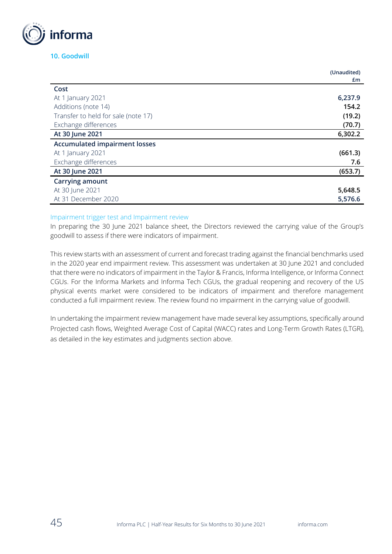

### **10. Goodwill**

|                                      | (Unaudited) |
|--------------------------------------|-------------|
|                                      | £m          |
| Cost                                 |             |
| At 1 January 2021                    | 6,237.9     |
| Additions (note 14)                  | 154.2       |
| Transfer to held for sale (note 17)  | (19.2)      |
| Exchange differences                 | (70.7)      |
| At 30 June 2021                      | 6,302.2     |
| <b>Accumulated impairment losses</b> |             |
| At 1 January 2021                    | (661.3)     |
| Exchange differences                 | 7.6         |
| At 30 June 2021                      | (653.7)     |
| <b>Carrying amount</b>               |             |
| At 30 June 2021                      | 5,648.5     |
| At 31 December 2020                  | 5,576.6     |

#### Impairment trigger test and Impairment review

In preparing the 30 June 2021 balance sheet, the Directors reviewed the carrying value of the Group's goodwill to assess if there were indicators of impairment.

This review starts with an assessment of current and forecast trading against the financial benchmarks used in the 2020 year end impairment review. This assessment was undertaken at 30 June 2021 and concluded that there were no indicators of impairment in the Taylor & Francis, Informa Intelligence, or Informa Connect CGUs. For the Informa Markets and Informa Tech CGUs, the gradual reopening and recovery of the US physical events market were considered to be indicators of impairment and therefore management conducted a full impairment review. The review found no impairment in the carrying value of goodwill.

In undertaking the impairment review management have made several key assumptions, specifically around Projected cash flows, Weighted Average Cost of Capital (WACC) rates and Long-Term Growth Rates (LTGR), as detailed in the key estimates and judgments section above.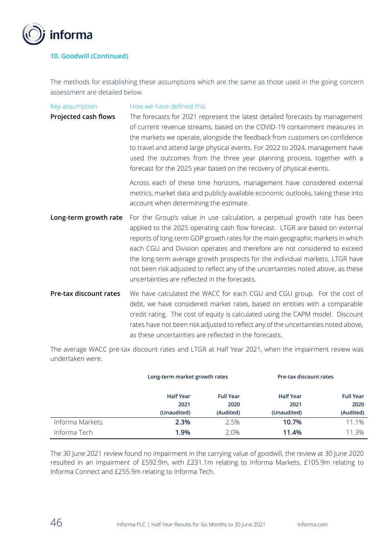

## **10. Goodwill (Continued)**

The methods for establishing these assumptions which are the same as those used in the going concern assessment are detailed below.

| Key assumption<br>Projected cash flows | How we have defined this<br>The forecasts for 2021 represent the latest detailed forecasts by management<br>of current revenue streams, based on the COVID-19 containment measures in<br>the markets we operate, alongside the feedback from customers on confidence<br>to travel and attend large physical events. For 2022 to 2024, management have<br>used the outcomes from the three year planning process, together with a<br>forecast for the 2025 year based on the recovery of physical events.                                       |
|----------------------------------------|------------------------------------------------------------------------------------------------------------------------------------------------------------------------------------------------------------------------------------------------------------------------------------------------------------------------------------------------------------------------------------------------------------------------------------------------------------------------------------------------------------------------------------------------|
|                                        | Across each of these time horizons, management have considered external<br>metrics, market data and publicly available economic outlooks, taking these into<br>account when determining the estimate.                                                                                                                                                                                                                                                                                                                                          |
| Long-term growth rate                  | For the Group's value in use calculation, a perpetual growth rate has been<br>applied to the 2025 operating cash flow forecast. LTGR are based on external<br>reports of long-term GDP growth rates for the main geographic markets in which<br>each CGU and Division operates and therefore are not considered to exceed<br>the long-term average growth prospects for the individual markets. LTGR have<br>not been risk adjusted to reflect any of the uncertainties noted above, as these<br>uncertainties are reflected in the forecasts. |
| Pre-tax discount rates                 | We have calculated the WACC for each CGU and CGU group. For the cost of<br>debt, we have considered market rates, based on entities with a comparable<br>credit rating. The cost of equity is calculated using the CAPM model. Discount<br>rates have not been risk adjusted to reflect any of the uncertainties noted above,<br>as these uncertainties are reflected in the forecasts.                                                                                                                                                        |

The average WACC pre-tax discount rates and LTGR at Half Year 2021, when the impairment review was undertaken were:

|                 |                  | Long-term market growth rates |                  | Pre-tax discount rates |
|-----------------|------------------|-------------------------------|------------------|------------------------|
|                 | <b>Half Year</b> | <b>Full Year</b>              | <b>Half Year</b> | <b>Full Year</b>       |
|                 | 2021             | 2020                          | 2021             | 2020                   |
|                 | (Unaudited)      | (Audited)                     | (Unaudited)      | (Audited)              |
| Informa Markets | 2.3%             | 2.5%                          | 10.7%            | 11.1%                  |
| Informa Tech    | 1.9%             | 2.0%                          | 11.4%            | 11.3%                  |

The 30 June 2021 review found no impairment in the carrying value of goodwill, the review at 30 June 2020 resulted in an impairment of £592.9m, with £231.1m relating to Informa Markets, £105.9m relating to Informa Connect and £255.9m relating to Informa Tech.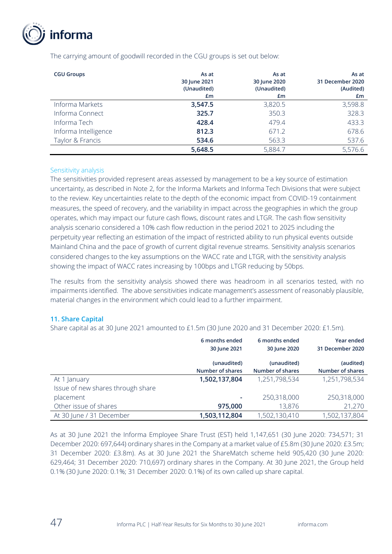

| <b>CGU Groups</b>    | As at<br>30 June 2021<br>(Unaudited)<br>£m | As at<br>30 June 2020<br>(Unaudited)<br>£m | As at<br>31 December 2020<br>(Audited)<br>£m |
|----------------------|--------------------------------------------|--------------------------------------------|----------------------------------------------|
| Informa Markets      | 3,547.5                                    | 3,820.5                                    | 3,598.8                                      |
| Informa Connect      | 325.7                                      | 350.3                                      | 328.3                                        |
| Informa Tech         | 428.4                                      | 479.4                                      | 433.3                                        |
| Informa Intelligence | 812.3                                      | 671.2                                      | 678.6                                        |
| Taylor & Francis     | 534.6                                      | 563.3                                      | 537.6                                        |
|                      | 5,648.5                                    | 5,884.7                                    | 5,576.6                                      |

The carrying amount of goodwill recorded in the CGU groups is set out below:

#### Sensitivity analysis

The sensitivities provided represent areas assessed by management to be a key source of estimation uncertainty, as described in Note 2, for the Informa Markets and Informa Tech Divisions that were subject to the review. Key uncertainties relate to the depth of the economic impact from COVID-19 containment measures, the speed of recovery, and the variability in impact across the geographies in which the group operates, which may impact our future cash flows, discount rates and LTGR. The cash flow sensitivity analysis scenario considered a 10% cash flow reduction in the period 2021 to 2025 including the perpetuity year reflecting an estimation of the impact of restricted ability to run physical events outside Mainland China and the pace of growth of current digital revenue streams. Sensitivity analysis scenarios considered changes to the key assumptions on the WACC rate and LTGR, with the sensitivity analysis showing the impact of WACC rates increasing by 100bps and LTGR reducing by 50bps.

The results from the sensitivity analysis showed there was headroom in all scenarios tested, with no impairments identified. The above sensitivities indicate management's assessment of reasonably plausible, material changes in the environment which could lead to a further impairment.

### **11. Share Capital**

Share capital as at 30 June 2021 amounted to £1.5m (30 June 2020 and 31 December 2020: £1.5m).

|                                   | 6 months ended   | 6 months ended   | Year ended       |
|-----------------------------------|------------------|------------------|------------------|
|                                   | 30 June 2021     | 30 June 2020     | 31 December 2020 |
|                                   | (unaudited)      | (unaudited)      | (audited)        |
|                                   | Number of shares | Number of shares | Number of shares |
| At 1 January                      | 1,502,137,804    | 1,251,798,534    | 1,251,798,534    |
| Issue of new shares through share |                  |                  |                  |
| placement                         |                  | 250,318,000      | 250,318,000      |
| Other issue of shares             | 975,000          | 13,876           | 21,270           |
| At 30 June / 31 December          | 1,503,112,804    | 1,502,130,410    | 1,502,137,804    |

As at 30 June 2021 the Informa Employee Share Trust (EST) held 1,147,651 (30 June 2020: 734,571; 31 December 2020: 697,644) ordinary shares in the Company at a market value of £5.8m (30 June 2020: £3.5m; 31 December 2020: £3.8m). As at 30 June 2021 the ShareMatch scheme held 905,420 (30 June 2020: 629,464; 31 December 2020: 710,697) ordinary shares in the Company. At 30 June 2021, the Group held 0.1% (30 June 2020: 0.1%; 31 December 2020: 0.1%) of its own called up share capital.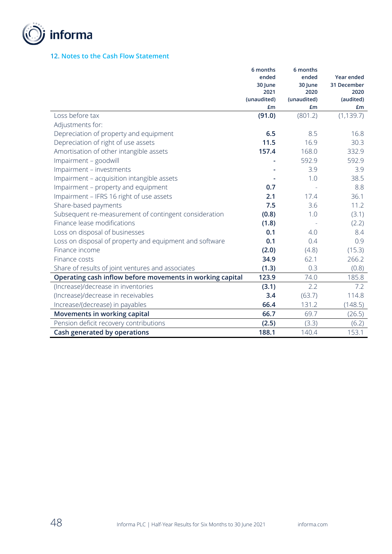

## **12. Notes to the Cash Flow Statement**

|                                                           | 6 months<br>ended | 6 months<br>ended | Year ended  |
|-----------------------------------------------------------|-------------------|-------------------|-------------|
|                                                           | 30 June           | 30 June           | 31 December |
|                                                           | 2021              | 2020              | 2020        |
|                                                           | (unaudited)       | (unaudited)       | (audited)   |
|                                                           | £m                | £m                | £m          |
| Loss before tax                                           | (91.0)            | (801.2)           | (1, 139.7)  |
| Adjustments for:                                          |                   |                   |             |
| Depreciation of property and equipment                    | 6.5               | 8.5               | 16.8        |
| Depreciation of right of use assets                       | 11.5              | 16.9              | 30.3        |
| Amortisation of other intangible assets                   | 157.4             | 168.0             | 332.9       |
| Impairment - goodwill                                     |                   | 592.9             | 592.9       |
| Impairment - investments                                  |                   | 3.9               | 3.9         |
| Impairment - acquisition intangible assets                |                   | 1.0               | 38.5        |
| Impairment - property and equipment                       | 0.7               |                   | 8.8         |
| Impairment - IFRS 16 right of use assets                  | 2.1               | 17.4              | 36.1        |
| Share-based payments                                      | 7.5               | 3.6               | 11.2        |
| Subsequent re-measurement of contingent consideration     | (0.8)             | 1.0               | (3.1)       |
| Finance lease modifications                               | (1.8)             |                   | (2.2)       |
| Loss on disposal of businesses                            | 0.1               | 4.0               | 8.4         |
| Loss on disposal of property and equipment and software   | 0.1               | 0.4               | 0.9         |
| Finance income                                            | (2.0)             | (4.8)             | (15.3)      |
| Finance costs                                             | 34.9              | 62.1              | 266.2       |
| Share of results of joint ventures and associates         | (1.3)             | 0.3               | (0.8)       |
| Operating cash inflow before movements in working capital | 123.9             | 74.0              | 185.8       |
| (Increase)/decrease in inventories                        | (3.1)             | 2.2               | 7.2         |
| (Increase)/decrease in receivables                        | 3.4               | (63.7)            | 114.8       |
| Increase/(decrease) in payables                           | 66.4              | 131.2             | (148.5)     |
| Movements in working capital                              | 66.7              | 69.7              | (26.5)      |
| Pension deficit recovery contributions                    | (2.5)             | (3.3)             | (6.2)       |
| Cash generated by operations                              | 188.1             | 140.4             | 153.1       |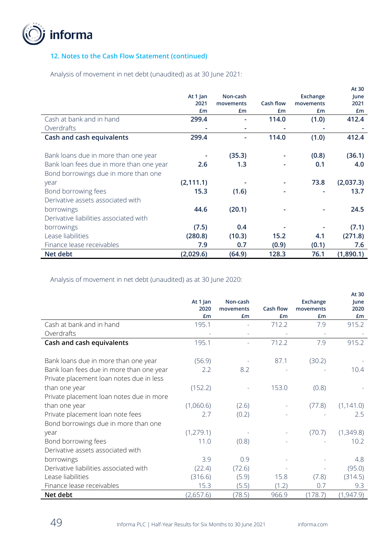

## **12. Notes to the Cash Flow Statement (continued)**

Analysis of movement in net debt (unaudited) as at 30 June 2021:

|                                          |            |           |           |           | At 30     |
|------------------------------------------|------------|-----------|-----------|-----------|-----------|
|                                          | At 1 Jan   | Non-cash  |           | Exchange  | June      |
|                                          | 2021       | movements | Cash flow | movements | 2021      |
|                                          | £m         | £m        | £m        | £m        | £m        |
| Cash at bank and in hand                 | 299.4      |           | 114.0     | (1.0)     | 412.4     |
| Overdrafts                               |            |           |           |           |           |
| Cash and cash equivalents                | 299.4      |           | 114.0     | (1.0)     | 412.4     |
|                                          |            |           |           |           |           |
| Bank loans due in more than one year     |            | (35.3)    |           | (0.8)     | (36.1)    |
| Bank loan fees due in more than one year | 2.6        | 1.3       |           | 0.1       | 4.0       |
| Bond borrowings due in more than one     |            |           |           |           |           |
| year                                     | (2, 111.1) |           |           | 73.8      | (2,037.3) |
| Bond borrowing fees                      | 15.3       | (1.6)     |           |           | 13.7      |
| Derivative assets associated with        |            |           |           |           |           |
| borrowings                               | 44.6       | (20.1)    |           |           | 24.5      |
| Derivative liabilities associated with   |            |           |           |           |           |
| borrowings                               | (7.5)      | 0.4       |           |           | (7.1)     |
| Lease liabilities                        | (280.8)    | (10.3)    | 15.2      | 4.1       | (271.8)   |
| Finance lease receivables                | 7.9        | 0.7       | (0.9)     | (0.1)     | 7.6       |
| Net debt                                 | (2,029.6)  | (64.9)    | 128.3     | 76.1      | (1,890.1) |

Analysis of movement in net debt (unaudited) as at 30 June 2020:

|                                          |                  |                       |                  |                       | At 30        |
|------------------------------------------|------------------|-----------------------|------------------|-----------------------|--------------|
|                                          | At 1 Jan<br>2020 | Non-cash<br>movements | <b>Cash flow</b> | Exchange<br>movements | June<br>2020 |
|                                          | £m               | £m                    | £m               | £m                    | £m           |
| Cash at bank and in hand                 | 195.1            |                       | 712.2            | 7.9                   | 915.2        |
| Overdrafts                               |                  |                       |                  |                       |              |
| Cash and cash equivalents                | 195.1            |                       | 712.2            | 7.9                   | 915.2        |
|                                          |                  |                       |                  |                       |              |
| Bank loans due in more than one year     | (56.9)           |                       | 87.1             | (30.2)                |              |
| Bank loan fees due in more than one year | 2.2              | 8.2                   |                  |                       | 10.4         |
| Private placement loan notes due in less |                  |                       |                  |                       |              |
| than one year                            | (152.2)          |                       | 153.0            | (0.8)                 |              |
| Private placement loan notes due in more |                  |                       |                  |                       |              |
| than one year                            | (1,060.6)        | (2.6)                 |                  | (77.8)                | (1, 141.0)   |
| Private placement loan note fees         | 2.7              | (0.2)                 |                  |                       | 2.5          |
| Bond borrowings due in more than one     |                  |                       |                  |                       |              |
| year                                     | (1, 279.1)       |                       |                  | (70.7)                | (1,349.8)    |
| Bond borrowing fees                      | 11.0             | (0.8)                 |                  |                       | 10.2         |
| Derivative assets associated with        |                  |                       |                  |                       |              |
| borrowings                               | 3.9              | 0.9                   |                  |                       | 4.8          |
| Derivative liabilities associated with   | (22.4)           | (72.6)                |                  |                       | (95.0)       |
| Lease liabilities                        | (316.6)          | (5.9)                 | 15.8             | (7.8)                 | (314.5)      |
| Finance lease receivables                | 15.3             | (5.5)                 | (1.2)            | 0.7                   | 9.3          |
| Net debt                                 | (2,657.6)        | (78.5)                | 966.9            | (178.7)               | (1, 947.9)   |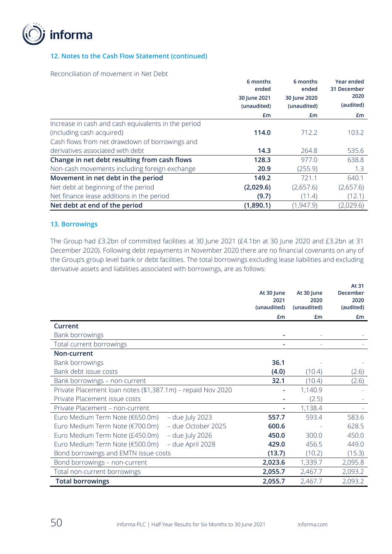

### **12. Notes to the Cash Flow Statement (continued)**

Reconciliation of movement in Net Debt

|                                                     | 6 months<br>ended | 6 months<br>ended | Year ended<br>31 December |
|-----------------------------------------------------|-------------------|-------------------|---------------------------|
|                                                     | 30 June 2021      | 30 June 2020      | 2020                      |
|                                                     | (unaudited)       | (unaudited)       | (audited)                 |
|                                                     | £m                | £m                | £m                        |
| Increase in cash and cash equivalents in the period |                   |                   |                           |
| (including cash acquired)                           | 114.0             | 712.2             | 103.2                     |
| Cash flows from net drawdown of borrowings and      |                   |                   |                           |
| derivatives associated with debt                    | 14.3              | 264.8             | 535.6                     |
| Change in net debt resulting from cash flows        | 128.3             | 977.0             | 638.8                     |
| Non-cash movements including foreign exchange       | 20.9              | (255.9)           | 1.3                       |
| Movement in net debt in the period                  | 149.2             | 721.1             | 640.1                     |
| Net debt at beginning of the period                 | (2,029.6)         | (2,657.6)         | (2,657.6)                 |
| Net finance lease additions in the period           | (9.7)             | (11.4)            | (12.1)                    |
| Net debt at end of the period                       | (1,890.1)         | (1, 947.9)        | (2,029.6)                 |

#### **13. Borrowings**

The Group had £3.2bn of committed facilities at 30 June 2021 (£4.1bn at 30 June 2020 and £3.2bn at 31 December 2020). Following debt repayments in November 2020 there are no financial covenants on any of the Group's group level bank or debt facilities. The total borrowings excluding lease liabilities and excluding derivative assets and liabilities associated with borrowings, are as follows:

|                                                             | At 30 June<br>2021<br>(unaudited) | At 30 June<br>2020<br>(unaudited) | At 31<br>December<br>2020<br>(audited) |
|-------------------------------------------------------------|-----------------------------------|-----------------------------------|----------------------------------------|
|                                                             | £m                                | Em                                | £m                                     |
| Current                                                     |                                   |                                   |                                        |
| Bank borrowings                                             |                                   |                                   |                                        |
| Total current borrowings                                    |                                   |                                   |                                        |
| Non-current                                                 |                                   |                                   |                                        |
| Bank borrowings                                             | 36.1                              |                                   |                                        |
| Bank debt issue costs                                       | (4.0)                             | (10.4)                            | (2.6)                                  |
| Bank borrowings - non-current                               | 32.1                              | (10.4)                            | (2.6)                                  |
| Private Placement loan notes (\$1,387.1m) - repaid Nov 2020 |                                   | 1,140.9                           |                                        |
| Private Placement issue costs                               |                                   | (2.5)                             |                                        |
| Private Placement - non-current                             |                                   | 1,138.4                           |                                        |
| Euro Medium Term Note (€650.0m)<br>- due July 2023          | 557.7                             | 593.4                             | 583.6                                  |
| - due October 2025<br>Euro Medium Term Note (€700.0m)       | 600.6                             |                                   | 628.5                                  |
| Euro Medium Term Note (£450.0m)<br>$-$ due July 2026        | 450.0                             | 300.0                             | 450.0                                  |
| - due April 2028<br>Euro Medium Term Note (€500.0m)         | 429.0                             | 456.5                             | 449.0                                  |
| Bond borrowings and EMTN issue costs                        | (13.7)                            | (10.2)                            | (15.3)                                 |
| Bond borrowings - non-current                               | 2,023.6                           | 1,339.7                           | 2,095.8                                |
| Total non-current borrowings                                | 2,055.7                           | 2,467.7                           | 2,093.2                                |
| <b>Total borrowings</b>                                     | 2,055.7                           | 2,467.7                           | 2,093.2                                |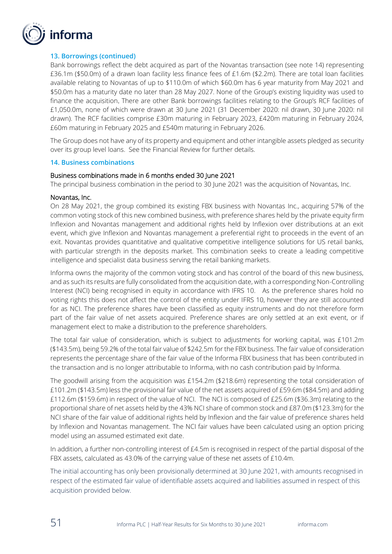

### **13. Borrowings (continued)**

Bank borrowings reflect the debt acquired as part of the Novantas transaction (see note 14) representing £36.1m (\$50.0m) of a drawn loan facility less finance fees of £1.6m (\$2.2m). There are total loan facilities available relating to Novantas of up to \$110.0m of which \$60.0m has 6 year maturity from May 2021 and \$50.0m has a maturity date no later than 28 May 2027. None of the Group's existing liquidity was used to finance the acquisition. There are other Bank borrowings facilities relating to the Group's RCF facilities of £1,050.0m, none of which were drawn at 30 June 2021 (31 December 2020: nil drawn, 30 June 2020: nil drawn). The RCF facilities comprise £30m maturing in February 2023, £420m maturing in February 2024, £60m maturing in February 2025 and £540m maturing in February 2026.

The Group does not have any of its property and equipment and other intangible assets pledged as security over its group level loans. See the Financial Review for further details.

#### **14. Business combinations**

#### Business combinations made in 6 months ended 30 June 2021

The principal business combination in the period to 30 June 2021 was the acquisition of Novantas, Inc.

#### Novantas, Inc.

On 28 May 2021, the group combined its existing FBX business with Novantas Inc., acquiring 57% of the common voting stock of this new combined business, with preference shares held by the private equity firm Inflexion and Novantas management and additional rights held by Inflexion over distributions at an exit event, which give Inflexion and Novantas management a preferential right to proceeds in the event of an exit. Novantas provides quantitative and qualitative competitive intelligence solutions for US retail banks, with particular strength in the deposits market. This combination seeks to create a leading competitive intelligence and specialist data business serving the retail banking markets.

Informa owns the majority of the common voting stock and has control of the board of this new business, and as such its results are fully consolidated from the acquisition date, with a corresponding Non-Controlling Interest (NCI) being recognised in equity in accordance with IFRS 10. As the preference shares hold no voting rights this does not affect the control of the entity under IFRS 10, however they are still accounted for as NCI. The preference shares have been classified as equity instruments and do not therefore form part of the fair value of net assets acquired. Preference shares are only settled at an exit event, or if management elect to make a distribution to the preference shareholders.

The total fair value of consideration, which is subject to adjustments for working capital, was £101.2m (\$143.5m), being 59.2% of the total fair value of \$242.5m for the FBX business. The fair value of consideration represents the percentage share of the fair value of the Informa FBX business that has been contributed in the transaction and is no longer attributable to Informa, with no cash contribution paid by Informa.

The goodwill arising from the acquisition was £154.2m (\$218.6m) representing the total consideration of £101.2m (\$143.5m) less the provisional fair value of the net assets acquired of £59.6m (\$84.5m) and adding £112.6m (\$159.6m) in respect of the value of NCI. The NCI is composed of £25.6m (\$36.3m) relating to the proportional share of net assets held by the 43% NCI share of common stock and £87.0m (\$123.3m) for the NCI share of the fair value of additional rights held by Inflexion and the fair value of preference shares held by Inflexion and Novantas management. The NCI fair values have been calculated using an option pricing model using an assumed estimated exit date.

In addition, a further non-controlling interest of £4.5m is recognised in respect of the partial disposal of the FBX assets, calculated as 43.0% of the carrying value of these net assets of £10.4m.

The initial accounting has only been provisionally determined at 30 June 2021, with amounts recognised in respect of the estimated fair value of identifiable assets acquired and liabilities assumed in respect of this acquisition provided below.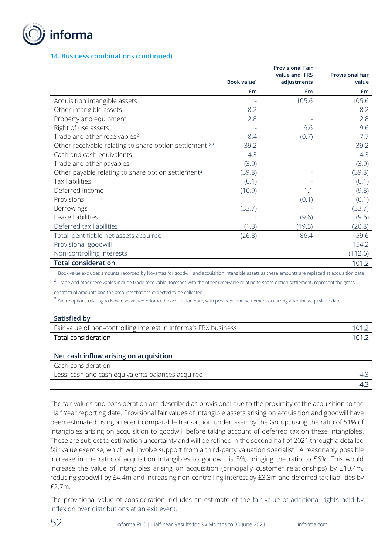

### **14. Business combinations (continued)**

|                                                                |                         | <b>Provisional Fair</b><br>value and <b>IFRS</b> | <b>Provisional fair</b> |
|----------------------------------------------------------------|-------------------------|--------------------------------------------------|-------------------------|
|                                                                | Book value <sup>1</sup> | adjustments                                      | value                   |
|                                                                | £m                      | £m                                               | £m                      |
| Acquisition intangible assets                                  |                         | 105.6                                            | 105.6                   |
| Other intangible assets                                        | 8.2                     |                                                  | 8.2                     |
| Property and equipment                                         | 2.8                     |                                                  | 2.8                     |
| Right of use assets                                            |                         | 9.6                                              | 9.6                     |
| Trade and other receivables <sup>2</sup>                       | 8.4                     | (0.7)                                            | 7.7                     |
| Other receivable relating to share option settlement 2,3       | 39.2                    |                                                  | 39.2                    |
| Cash and cash equivalents                                      | 4.3                     |                                                  | 4.3                     |
| Trade and other payables                                       | (3.9)                   |                                                  | (3.9)                   |
| Other payable relating to share option settlement <sup>3</sup> | (39.8)                  |                                                  | (39.8)                  |
| Tax liabilities                                                | (0.1)                   |                                                  | (0.1)                   |
| Deferred income                                                | (10.9)                  | 1.1                                              | (9.8)                   |
| Provisions                                                     |                         | (0.1)                                            | (0.1)                   |
| <b>Borrowings</b>                                              | (33.7)                  |                                                  | (33.7)                  |
| Lease liabilities                                              |                         | (9.6)                                            | (9.6)                   |
| Deferred tax liabilities                                       | (1.3)                   | (19.5)                                           | (20.8)                  |
| Total identifiable net assets acquired                         | (26.8)                  | 86.4                                             | 59.6                    |
| Provisional goodwill                                           |                         |                                                  | 154.2                   |
| Non-controlling interests                                      |                         |                                                  | (112.6)                 |
| <b>Total consideration</b>                                     |                         |                                                  | 101.2                   |

 $^{\rm 1}$  Book value excludes amounts recorded by Novantas for goodwill and acquisition intangible assets as these amounts are replaced at acquisition date

 $^2$  Trade and other receivables include trade receivable, together with the other receivable relating to share option settlement, represent the gross contractual amounts and the amounts that are expected to be collected.

<sup>3</sup> Share options relating to Novantas vested prior to the acquisition date, with proceeds and settlement occurring after the acquisition date

#### **Satisfied by**

| Fair value of non-controlling interest in Informa's FBX business | 101.2 |
|------------------------------------------------------------------|-------|
| Total consideration                                              | 101.2 |
|                                                                  |       |
| Net cash inflow arising on acquisition                           |       |

| Cash consideration                                |  |
|---------------------------------------------------|--|
| Less: cash and cash equivalents balances acquired |  |
|                                                   |  |

The fair values and consideration are described as provisional due to the proximity of the acquisition to the Half Year reporting date. Provisional fair values of intangible assets arising on acquisition and goodwill have been estimated using a recent comparable transaction undertaken by the Group, using the ratio of 51% of intangibles arising on acquisition to goodwill before taking account of deferred tax on these intangibles. These are subject to estimation uncertainty and will be refined in the second half of 2021 through a detailed fair value exercise, which will involve support from a third-party valuation specialist. A reasonably possible increase in the ratio of acquisition intangibles to goodwill is 5%, bringing the ratio to 56%. This would increase the value of intangibles arising on acquisition (principally customer relationships) by £10.4m, reducing goodwill by £4.4m and increasing non-controlling interest by £3.3m and deferred tax liabilities by £2.7m.

The provisional value of consideration includes an estimate of the fair value of additional rights held by Inflexion over distributions at an exit event.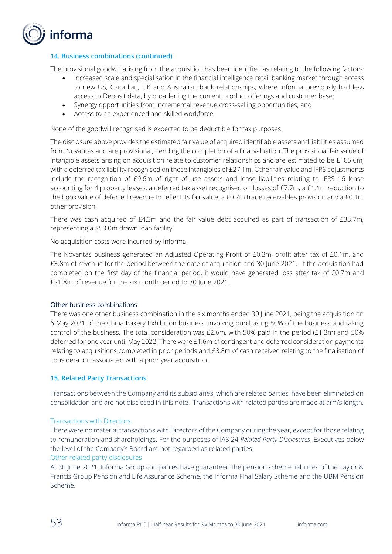

## **14. Business combinations (continued)**

The provisional goodwill arising from the acquisition has been identified as relating to the following factors:

- Increased scale and specialisation in the financial intelligence retail banking market through access to new US, Canadian, UK and Australian bank relationships, where Informa previously had less access to Deposit data, by broadening the current product offerings and customer base;
- Synergy opportunities from incremental revenue cross-selling opportunities; and
- Access to an experienced and skilled workforce.

None of the goodwill recognised is expected to be deductible for tax purposes.

The disclosure above provides the estimated fair value of acquired identifiable assets and liabilities assumed from Novantas and are provisional, pending the completion of a final valuation. The provisional fair value of intangible assets arising on acquisition relate to customer relationships and are estimated to be £105.6m, with a deferred tax liability recognised on these intangibles of £27.1m. Other fair value and IFRS adjustments include the recognition of £9.6m of right of use assets and lease liabilities relating to IFRS 16 lease accounting for 4 property leases, a deferred tax asset recognised on losses of £7.7m, a £1.1m reduction to the book value of deferred revenue to reflect its fair value, a £0.7m trade receivables provision and a £0.1m other provision.

There was cash acquired of £4.3m and the fair value debt acquired as part of transaction of £33.7m, representing a \$50.0m drawn loan facility.

No acquisition costs were incurred by Informa.

The Novantas business generated an Adjusted Operating Profit of £0.3m, profit after tax of £0.1m, and £3.8m of revenue for the period between the date of acquisition and 30 June 2021. If the acquisition had completed on the first day of the financial period, it would have generated loss after tax of £0.7m and £21.8m of revenue for the six month period to 30 June 2021.

#### Other business combinations

There was one other business combination in the six months ended 30 June 2021, being the acquisition on 6 May 2021 of the China Bakery Exhibition business, involving purchasing 50% of the business and taking control of the business. The total consideration was £2.6m, with 50% paid in the period (£1.3m) and 50% deferred for one year until May 2022. There were £1.6m of contingent and deferred consideration payments relating to acquisitions completed in prior periods and £3.8m of cash received relating to the finalisation of consideration associated with a prior year acquisition.

#### **15. Related Party Transactions**

Transactions between the Company and its subsidiaries, which are related parties, have been eliminated on consolidation and are not disclosed in this note. Transactions with related parties are made at arm's length.

#### Transactions with Directors

There were no material transactions with Directors of the Company during the year, except for those relating to remuneration and shareholdings. For the purposes of IAS 24 *Related Party Disclosures*, Executives below the level of the Company's Board are not regarded as related parties.

### Other related party disclosures

At 30 June 2021, Informa Group companies have guaranteed the pension scheme liabilities of the Taylor & Francis Group Pension and Life Assurance Scheme, the Informa Final Salary Scheme and the UBM Pension Scheme.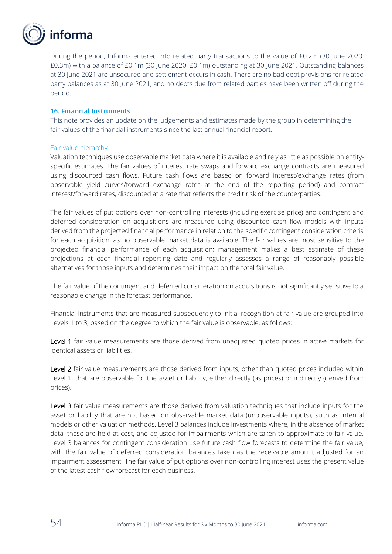

During the period, Informa entered into related party transactions to the value of £0.2m (30 June 2020: £0.3m) with a balance of £0.1m (30 June 2020: £0.1m) outstanding at 30 June 2021. Outstanding balances at 30 June 2021 are unsecured and settlement occurs in cash. There are no bad debt provisions for related party balances as at 30 June 2021, and no debts due from related parties have been written off during the period.

#### **16. Financial Instruments**

This note provides an update on the judgements and estimates made by the group in determining the fair values of the financial instruments since the last annual financial report.

#### Fair value hierarchy

Valuation techniques use observable market data where it is available and rely as little as possible on entityspecific estimates. The fair values of interest rate swaps and forward exchange contracts are measured using discounted cash flows. Future cash flows are based on forward interest/exchange rates (from observable yield curves/forward exchange rates at the end of the reporting period) and contract interest/forward rates, discounted at a rate that reflects the credit risk of the counterparties.

The fair values of put options over non-controlling interests (including exercise price) and contingent and deferred consideration on acquisitions are measured using discounted cash flow models with inputs derived from the projected financial performance in relation to the specific contingent consideration criteria for each acquisition, as no observable market data is available. The fair values are most sensitive to the projected financial performance of each acquisition; management makes a best estimate of these projections at each financial reporting date and regularly assesses a range of reasonably possible alternatives for those inputs and determines their impact on the total fair value.

The fair value of the contingent and deferred consideration on acquisitions is not significantly sensitive to a reasonable change in the forecast performance.

Financial instruments that are measured subsequently to initial recognition at fair value are grouped into Levels 1 to 3, based on the degree to which the fair value is observable, as follows:

Level 1 fair value measurements are those derived from unadjusted quoted prices in active markets for identical assets or liabilities.

Level 2 fair value measurements are those derived from inputs, other than quoted prices included within Level 1, that are observable for the asset or liability, either directly (as prices) or indirectly (derived from prices).

Level 3 fair value measurements are those derived from valuation techniques that include inputs for the asset or liability that are not based on observable market data (unobservable inputs), such as internal models or other valuation methods. Level 3 balances include investments where, in the absence of market data, these are held at cost, and adjusted for impairments which are taken to approximate to fair value. Level 3 balances for contingent consideration use future cash flow forecasts to determine the fair value, with the fair value of deferred consideration balances taken as the receivable amount adjusted for an impairment assessment. The fair value of put options over non-controlling interest uses the present value of the latest cash flow forecast for each business.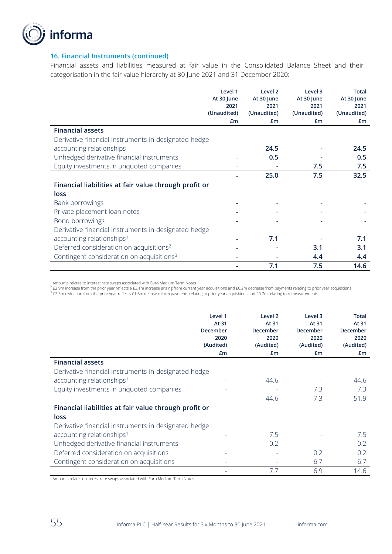

#### **16. Financial Instruments (continued)**

Financial assets and liabilities measured at fair value in the Consolidated Balance Sheet and their categorisation in the fair value hierarchy at 30 June 2021 and 31 December 2020:

|                                                       | Level 1     | Level <sub>2</sub> | Level 3     | <b>Total</b> |
|-------------------------------------------------------|-------------|--------------------|-------------|--------------|
|                                                       | At 30 June  | At 30 June         | At 30 June  | At 30 June   |
|                                                       | 2021        | 2021               | 2021        | 2021         |
|                                                       | (Unaudited) | (Unaudited)        | (Unaudited) | (Unaudited)  |
|                                                       | £m          | £m                 | £m          | £m           |
| <b>Financial assets</b>                               |             |                    |             |              |
| Derivative financial instruments in designated hedge  |             |                    |             |              |
| accounting relationships                              |             | 24.5               |             | 24.5         |
| Unhedged derivative financial instruments             |             | 0.5                |             | 0.5          |
| Equity investments in unquoted companies              |             |                    | 7.5         | 7.5          |
|                                                       |             | 25.0               | 7.5         | 32.5         |
| Financial liabilities at fair value through profit or |             |                    |             |              |
| loss                                                  |             |                    |             |              |
| Bank borrowings                                       |             |                    |             |              |
| Private placement loan notes                          |             |                    |             |              |
| Bond borrowings                                       |             |                    |             |              |
| Derivative financial instruments in designated hedge  |             |                    |             |              |
| accounting relationships <sup>1</sup>                 |             | 7.1                |             | 7.1          |
| Deferred consideration on acquisitions <sup>2</sup>   |             |                    | 3.1         | 3.1          |
| Contingent consideration on acquisitions <sup>3</sup> |             |                    | 4.4         | 4.4          |
|                                                       |             | 7.1                | 7.5         | 14.6         |

<sup>1</sup>Amounts relates to interest rate swaps associated with Euro Medium Term Notes

 $^{2}$  £2.9m increase from the prior year reflects a £3.1m increase arising from current year acquisitions and £0.2m decrease from payments relating to prior year acquisitions.

<sup>3</sup> £2.3m reduction from the prior year reflects £1.6m decrease from payments relating to prior year acquisitions and £0.7m relating to remeasurements.

|                                                       | Level 1<br>At 31<br><b>December</b><br>2020<br>(Audited)<br>£m | Level <sub>2</sub><br>At 31<br>December<br>2020<br>(Audited)<br>£m | Level 3<br>At 31<br>December<br>2020<br>(Audited)<br>£m | <b>Total</b><br>At 31<br>December<br>2020<br>(Audited)<br>Em |
|-------------------------------------------------------|----------------------------------------------------------------|--------------------------------------------------------------------|---------------------------------------------------------|--------------------------------------------------------------|
| <b>Financial assets</b>                               |                                                                |                                                                    |                                                         |                                                              |
| Derivative financial instruments in designated hedge  |                                                                |                                                                    |                                                         |                                                              |
| accounting relationships <sup>1</sup>                 |                                                                | 44.6                                                               |                                                         | 44.6                                                         |
| Equity investments in unquoted companies              |                                                                |                                                                    | 7.3                                                     | 7.3                                                          |
|                                                       |                                                                | 44.6                                                               | 7.3                                                     | 51.9                                                         |
| Financial liabilities at fair value through profit or |                                                                |                                                                    |                                                         |                                                              |
| loss                                                  |                                                                |                                                                    |                                                         |                                                              |
| Derivative financial instruments in designated hedge  |                                                                |                                                                    |                                                         |                                                              |
| accounting relationships <sup>1</sup>                 |                                                                | 7.5                                                                |                                                         | 7.5                                                          |
| Unhedged derivative financial instruments             |                                                                | 0.2                                                                |                                                         | 0.2                                                          |
| Deferred consideration on acquisitions                |                                                                |                                                                    | 0.2                                                     | 0.2                                                          |
| Contingent consideration on acquisitions              |                                                                |                                                                    | 6.7                                                     | 6.7                                                          |
|                                                       |                                                                | 7.7                                                                | 6.9                                                     | 14.6                                                         |

<sup>1</sup>Amounts relate to interest rate swaps associated with Euro Medium Term Notes.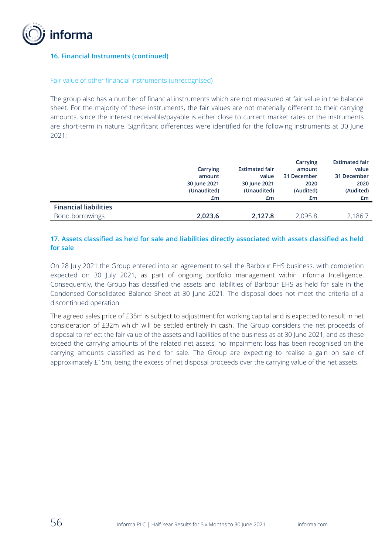

### **16. Financial Instruments (continued)**

#### Fair value of other financial instruments (unrecognised)

The group also has a number of financial instruments which are not measured at fair value in the balance sheet. For the majority of these instruments, the fair values are not materially different to their carrying amounts, since the interest receivable/payable is either close to current market rates or the instruments are short-term in nature. Significant differences were identified for the following instruments at 30 June 2021:

|                              |              |                       | Carrying    | <b>Estimated fair</b> |
|------------------------------|--------------|-----------------------|-------------|-----------------------|
|                              | Carrying     | <b>Estimated fair</b> | amount      | value                 |
|                              | amount       | value                 | 31 December | 31 December           |
|                              | 30 June 2021 | 30 June 2021          | 2020        | 2020                  |
|                              | (Unaudited)  | (Unaudited)           | (Audited)   | (Audited)             |
|                              | £m           | £m                    | £m          | £m                    |
| <b>Financial liabilities</b> |              |                       |             |                       |
| Bond borrowings              | 2.023.6      | 2,127.8               | 2,095.8     | 2,186.7               |

## **17. Assets classified as held for sale and liabilities directly associated with assets classified as held for sale**

On 28 July 2021 the Group entered into an agreement to sell the Barbour EHS business, with completion expected on 30 July 2021, as part of ongoing portfolio management within Informa Intelligence. Consequently, the Group has classified the assets and liabilities of Barbour EHS as held for sale in the Condensed Consolidated Balance Sheet at 30 June 2021. The disposal does not meet the criteria of a discontinued operation.

The agreed sales price of £35m is subject to adjustment for working capital and is expected to result in net consideration of £32m which will be settled entirely in cash. The Group considers the net proceeds of disposal to reflect the fair value of the assets and liabilities of the business as at 30 June 2021, and as these exceed the carrying amounts of the related net assets, no impairment loss has been recognised on the carrying amounts classified as held for sale. The Group are expecting to realise a gain on sale of approximately £15m, being the excess of net disposal proceeds over the carrying value of the net assets.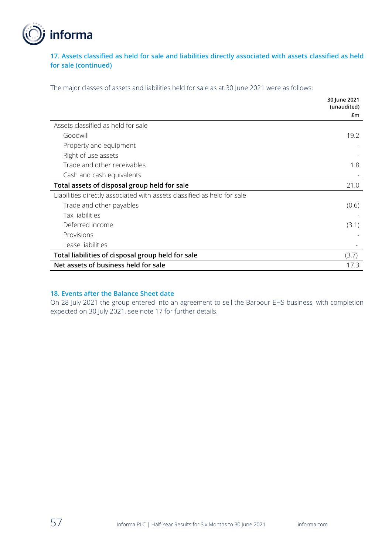

## **17. Assets classified as held for sale and liabilities directly associated with assets classified as held for sale (continued)**

The major classes of assets and liabilities held for sale as at 30 June 2021 were as follows:

|                                                                         | 30 June 2021<br>(unaudited) |
|-------------------------------------------------------------------------|-----------------------------|
|                                                                         | £m                          |
| Assets classified as held for sale                                      |                             |
| Goodwill                                                                | 19.2                        |
| Property and equipment                                                  |                             |
| Right of use assets                                                     |                             |
| Trade and other receivables                                             | 1.8                         |
| Cash and cash equivalents                                               |                             |
| Total assets of disposal group held for sale                            | 21.0                        |
| Liabilities directly associated with assets classified as held for sale |                             |
| Trade and other payables                                                | (0.6)                       |
| Tax liabilities                                                         |                             |
| Deferred income                                                         | (3.1)                       |
| Provisions                                                              |                             |
| Lease liabilities                                                       |                             |
| Total liabilities of disposal group held for sale                       | (3.7)                       |
| Net assets of business held for sale                                    | 17.3                        |

### **18. Events after the Balance Sheet date**

On 28 July 2021 the group entered into an agreement to sell the Barbour EHS business, with completion expected on 30 July 2021, see note 17 for further details.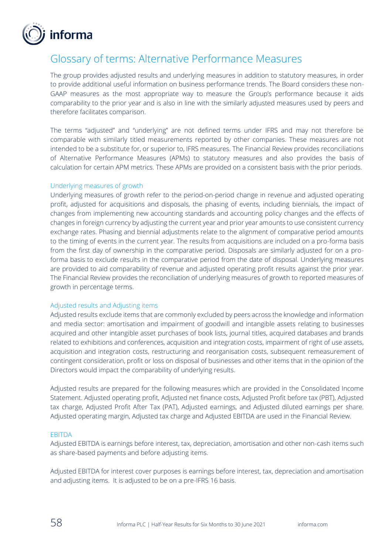

## Glossary of terms: Alternative Performance Measures

The group provides adjusted results and underlying measures in addition to statutory measures, in order to provide additional useful information on business performance trends. The Board considers these non-GAAP measures as the most appropriate way to measure the Group's performance because it aids comparability to the prior year and is also in line with the similarly adjusted measures used by peers and therefore facilitates comparison.

The terms "adjusted" and "underlying" are not defined terms under IFRS and may not therefore be comparable with similarly titled measurements reported by other companies. These measures are not intended to be a substitute for, or superior to, IFRS measures. The Financial Review provides reconciliations of Alternative Performance Measures (APMs) to statutory measures and also provides the basis of calculation for certain APM metrics. These APMs are provided on a consistent basis with the prior periods.

#### Underlying measures of growth

Underlying measures of growth refer to the period-on-period change in revenue and adjusted operating profit, adjusted for acquisitions and disposals, the phasing of events, including biennials, the impact of changes from implementing new accounting standards and accounting policy changes and the effects of changes in foreign currency by adjusting the current year and prior year amounts to use consistent currency exchange rates. Phasing and biennial adjustments relate to the alignment of comparative period amounts to the timing of events in the current year. The results from acquisitions are included on a pro-forma basis from the first day of ownership in the comparative period. Disposals are similarly adjusted for on a proforma basis to exclude results in the comparative period from the date of disposal. Underlying measures are provided to aid comparability of revenue and adjusted operating profit results against the prior year. The Financial Review provides the reconciliation of underlying measures of growth to reported measures of growth in percentage terms.

#### Adjusted results and Adjusting items

Adjusted results exclude items that are commonly excluded by peers across the knowledge and information and media sector: amortisation and impairment of goodwill and intangible assets relating to businesses acquired and other intangible asset purchases of book lists, journal titles, acquired databases and brands related to exhibitions and conferences, acquisition and integration costs, impairment of right of use assets, acquisition and integration costs, restructuring and reorganisation costs, subsequent remeasurement of contingent consideration, profit or loss on disposal of businesses and other items that in the opinion of the Directors would impact the comparability of underlying results.

Adjusted results are prepared for the following measures which are provided in the Consolidated Income Statement. Adjusted operating profit, Adjusted net finance costs, Adjusted Profit before tax (PBT), Adjusted tax charge, Adjusted Profit After Tax (PAT), Adjusted earnings, and Adjusted diluted earnings per share. Adjusted operating margin, Adjusted tax charge and Adjusted EBITDA are used in the Financial Review.

#### EBITDA

Adjusted EBITDA is earnings before interest, tax, depreciation, amortisation and other non-cash items such as share-based payments and before adjusting items.

Adjusted EBITDA for interest cover purposes is earnings before interest, tax, depreciation and amortisation and adjusting items. It is adjusted to be on a pre-IFRS 16 basis.